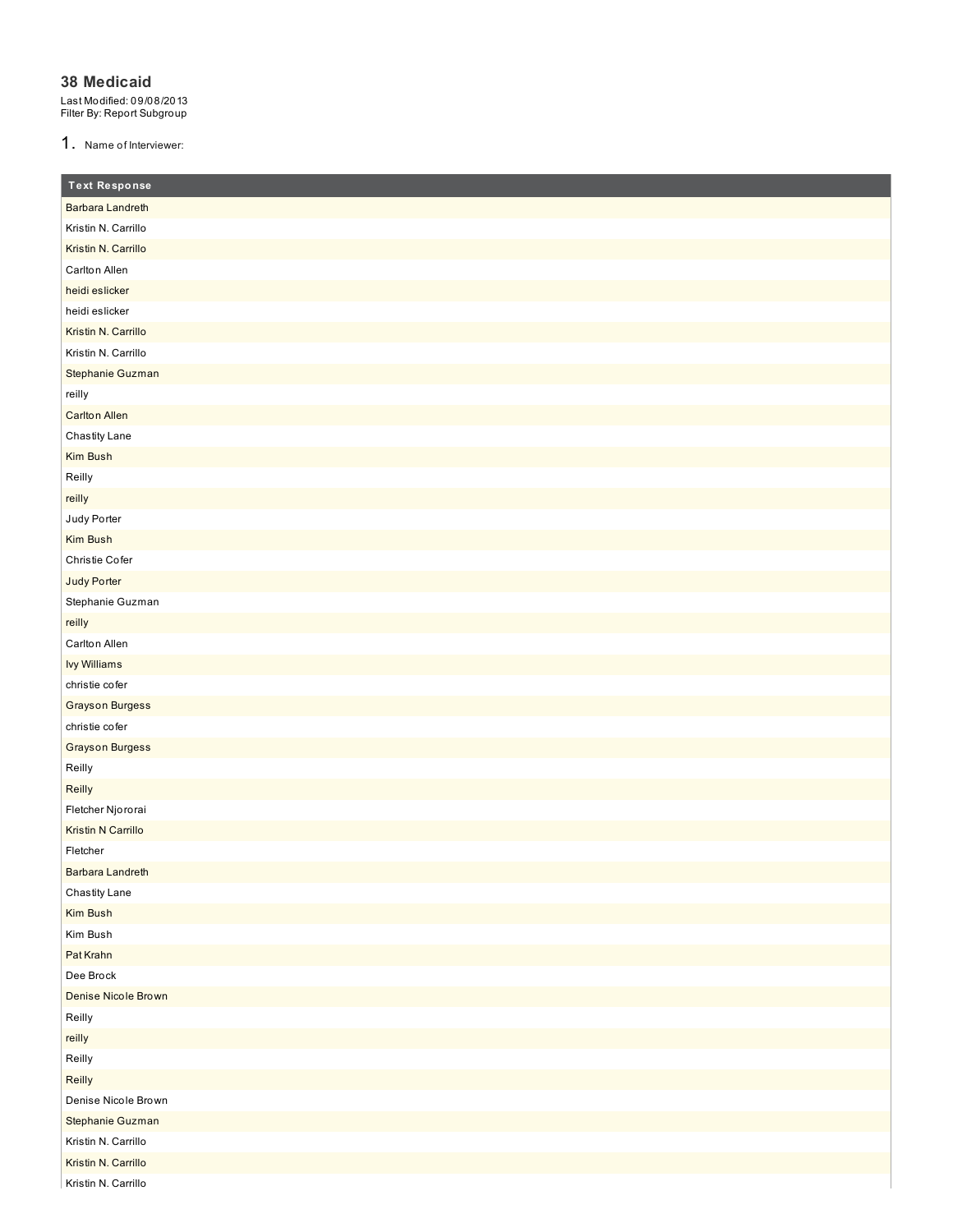#### **38 Medicaid**

Last Modified: 09/08/2013 Filter By: Report Subgroup

1. Name of Interviewer:

| <b>Text Response</b>      |
|---------------------------|
| Barbara Landreth          |
| Kristin N. Carrillo       |
| Kristin N. Carrillo       |
| Carlton Allen             |
| heidi eslicker            |
| heidi eslicker            |
| Kristin N. Carrillo       |
| Kristin N. Carrillo       |
| Stephanie Guzman          |
| reilly                    |
| <b>Carlton Allen</b>      |
| Chastity Lane             |
| Kim Bush                  |
| Reilly                    |
| reilly                    |
| Judy Porter               |
| Kim Bush                  |
| Christie Cofer            |
| Judy Porter               |
| Stephanie Guzman          |
| reilly                    |
| Carlton Allen             |
| <b>Ivy Williams</b>       |
| christie cofer            |
| <b>Grayson Burgess</b>    |
| christie cofer            |
| <b>Grayson Burgess</b>    |
| Reilly                    |
| Reilly                    |
| Fletcher Njororai         |
| <b>Kristin N Carrillo</b> |
| Fletcher                  |
| Barbara Landreth          |
| Chastity Lane             |
| Kim Bush                  |
| Kim Bush                  |
| Pat Krahn                 |
| Dee Brock                 |
| Denise Nicole Brown       |
| Reilly                    |
| reilly                    |
| Reilly                    |
| Reilly                    |
| Denise Nicole Brown       |
| Stephanie Guzman          |
| Kristin N. Carrillo       |
| Kristin N. Carrillo       |
| Kristin N. Carrillo       |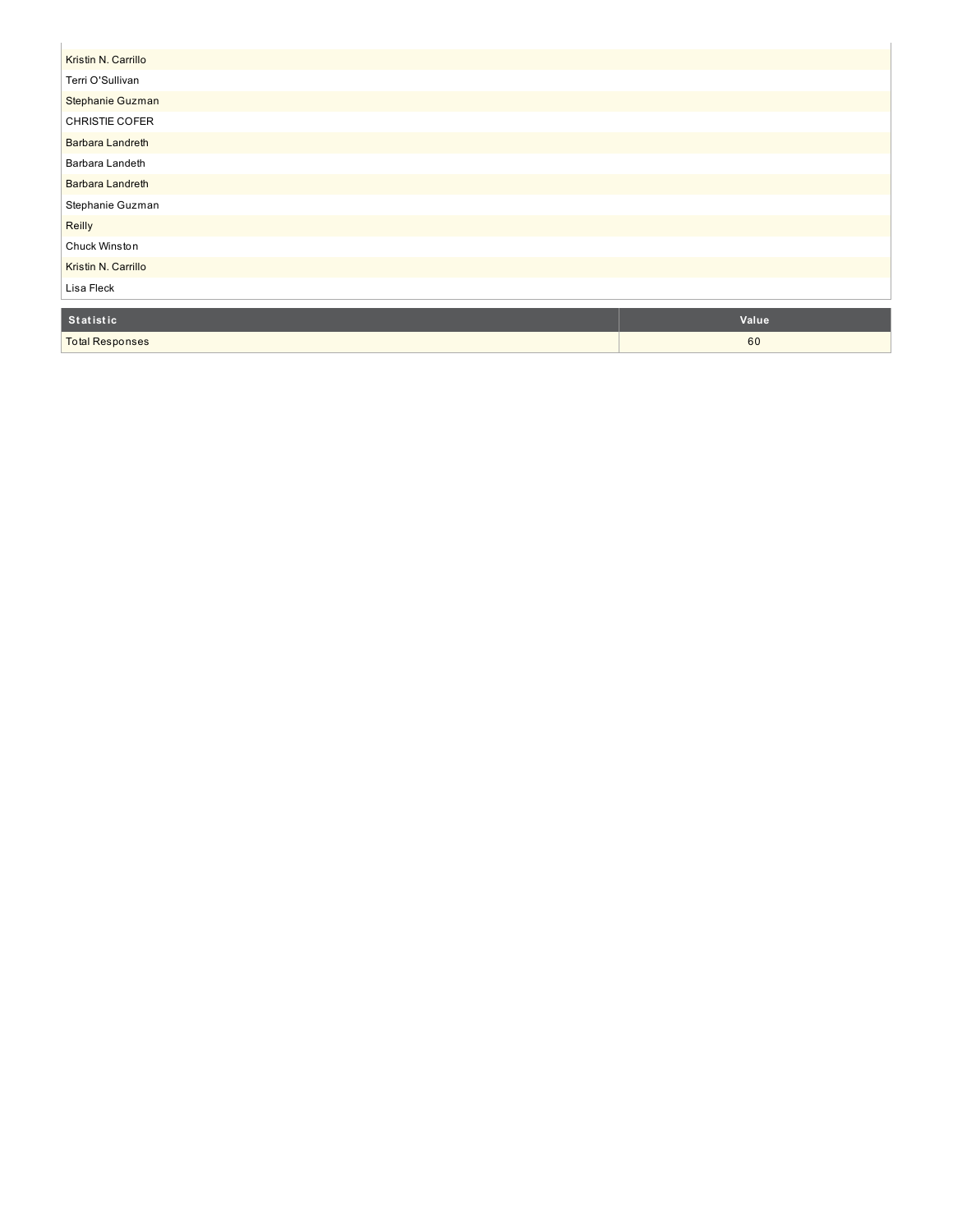| Kristin N. Carrillo     |  |
|-------------------------|--|
| Terri O'Sullivan        |  |
| Stephanie Guzman        |  |
| CHRISTIE COFER          |  |
| <b>Barbara Landreth</b> |  |
| Barbara Landeth         |  |
| <b>Barbara Landreth</b> |  |
| Stephanie Guzman        |  |
| Reilly                  |  |
| Chuck Winston           |  |
| Kristin N. Carrillo     |  |
| Lisa Fleck              |  |
|                         |  |

| Statistic              | Value |
|------------------------|-------|
| <b>Total Responses</b> | 60    |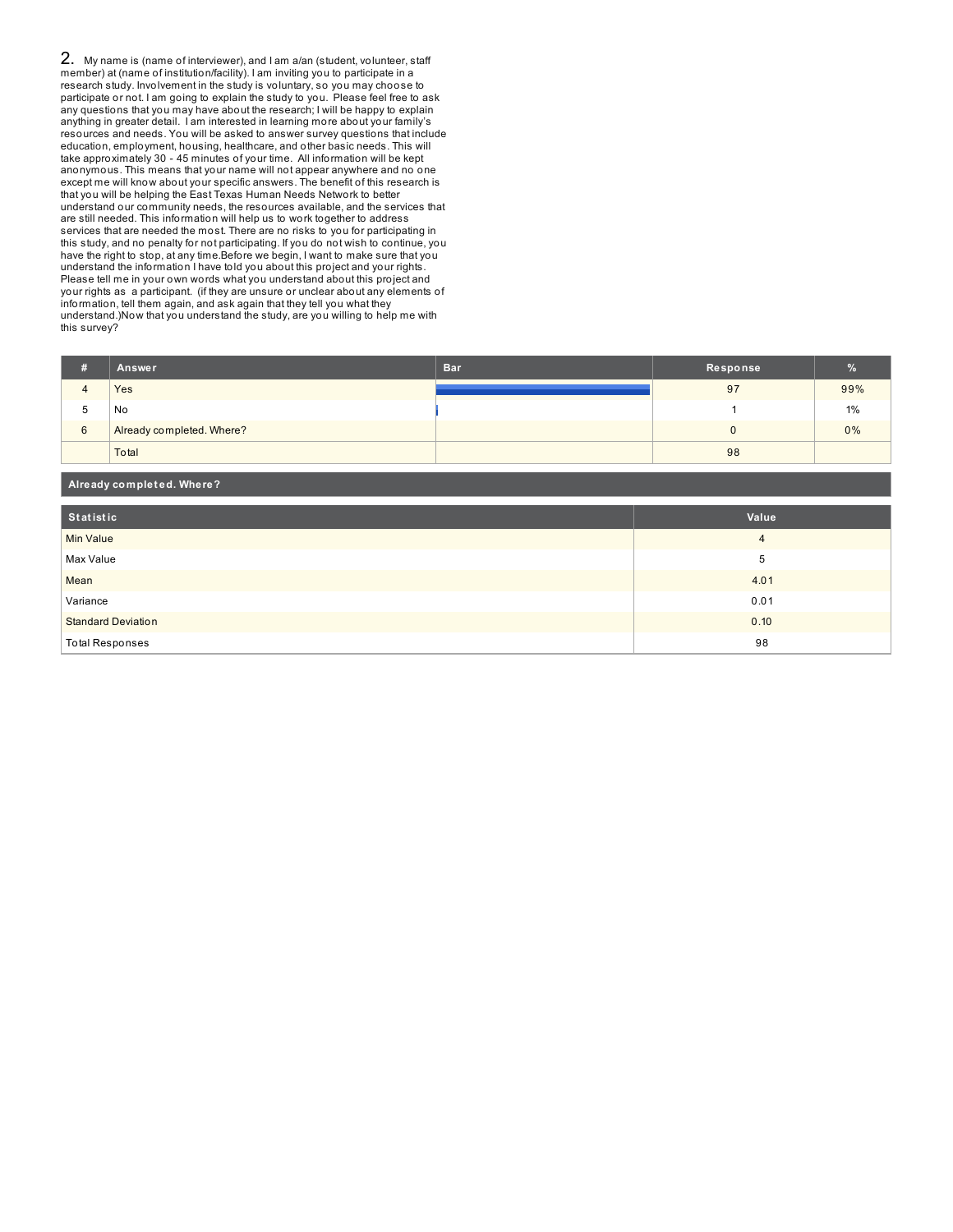2. My name is (name of interviewer), and I am a/an (student, volunteer, staff member) at (name of institution/facility). I am inviting you to participate in a research study. Involvement in the study is voluntary, so you may choose to participate or not. I am going to explain the study to you. Please feel free to ask any questions that you may have about the research; I will be happy to explain anything in greater detail. I am interested in learning more about your family's resources and needs. You will be asked to answer survey questions that include education, employment, housing, healthcare, and other basic needs. This will take approximately 30 - 45 minutes of your time. All information will be kept anonymous. This means that your name will not appear anywhere and no one except me will know about your specific answers. The benefit of this research is that you will be helping the East Texas Human Needs Network to better understand our community needs, the resources available, and the services that are still needed. This information will help us to work together to address services that are needed the most. There are no risks to you for participating in this study, and no penalty for not participating. If you do not wish to continue, you have the right to stop, at any time.Before we begin, I want to make sure that you understand the information I have told you about this project and your rights. Please tell me in your own words what you understand about this project and your rights as a participant. (if they are unsure or unclear about any elements of information, tell them again, and ask again that they tell you what they understand.)Now that you understand the study, are you willing to help me with this survey?

| я | Answer                    | <b>Bar</b> | Response | $\%$ |
|---|---------------------------|------------|----------|------|
|   | Yes                       |            | 97       | 99%  |
| b | No                        |            |          | 1%   |
| 6 | Already completed. Where? |            |          | 0%   |
|   | Total                     |            | 98       |      |

| Already completed. Where? |                |  |  |
|---------------------------|----------------|--|--|
| Statistic                 | Value          |  |  |
| Min Value                 | $\overline{4}$ |  |  |
| Max Value                 | 5              |  |  |
| Mean                      | 4.01           |  |  |
| Variance                  | 0.01           |  |  |
| <b>Standard Deviation</b> | 0.10           |  |  |
| <b>Total Responses</b>    | 98             |  |  |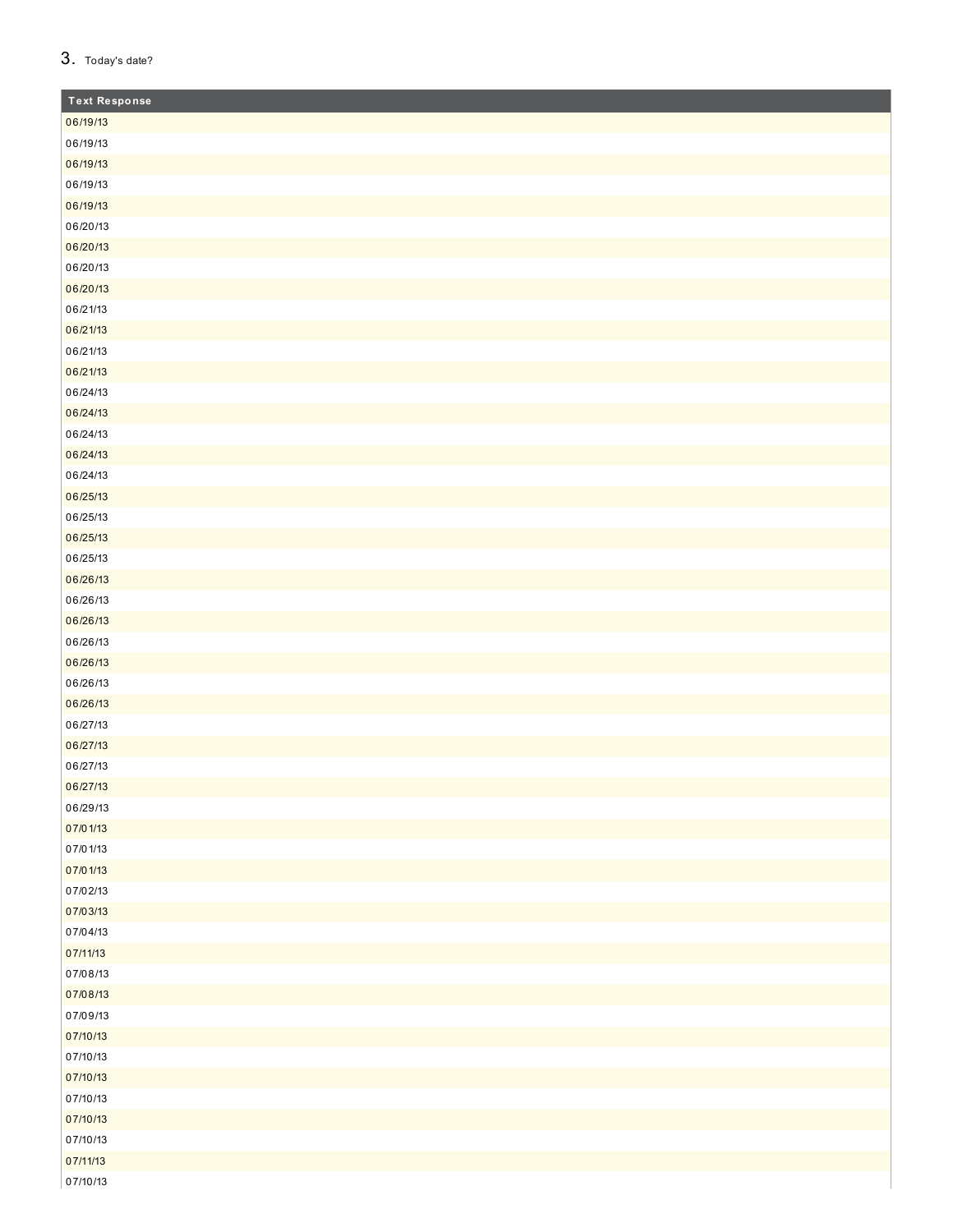### 3. Today's date?

| <b>Text Response</b> |
|----------------------|
| 06/19/13             |
| 06/19/13             |
| 06/19/13             |
| 06/19/13             |
| 06/19/13             |
| 06/20/13             |
| 06/20/13             |
| 06/20/13             |
| 06/20/13             |
| 06/21/13             |
| 06/21/13             |
| 06/21/13             |
| 06/21/13             |
| 06/24/13             |
| 06/24/13             |
| 06/24/13             |
| 06/24/13             |
| 06/24/13             |
| 06/25/13             |
| 06/25/13             |
| 06/25/13             |
| 06/25/13             |
| 06/26/13             |
| 06/26/13             |
| 06/26/13             |
| 06/26/13             |
| 06/26/13             |
| 06/26/13             |
| 06/26/13             |
| 06/27/13             |
| 06/27/13             |
| 06/27/13             |
| 06/27/13             |
| 06/29/13             |
| 07/01/13             |
| 07/01/13             |
| 07/01/13             |
| 07/02/13             |
| 07/03/13             |
| 07/04/13             |
| 07/11/13             |
| 07/08/13             |
| 07/08/13             |
| 07/09/13             |
| 07/10/13             |
| 07/10/13             |
| 07/10/13             |
| 07/10/13             |
| 07/10/13             |
| 07/10/13             |
| 07/11/13             |
| 07/10/13             |
|                      |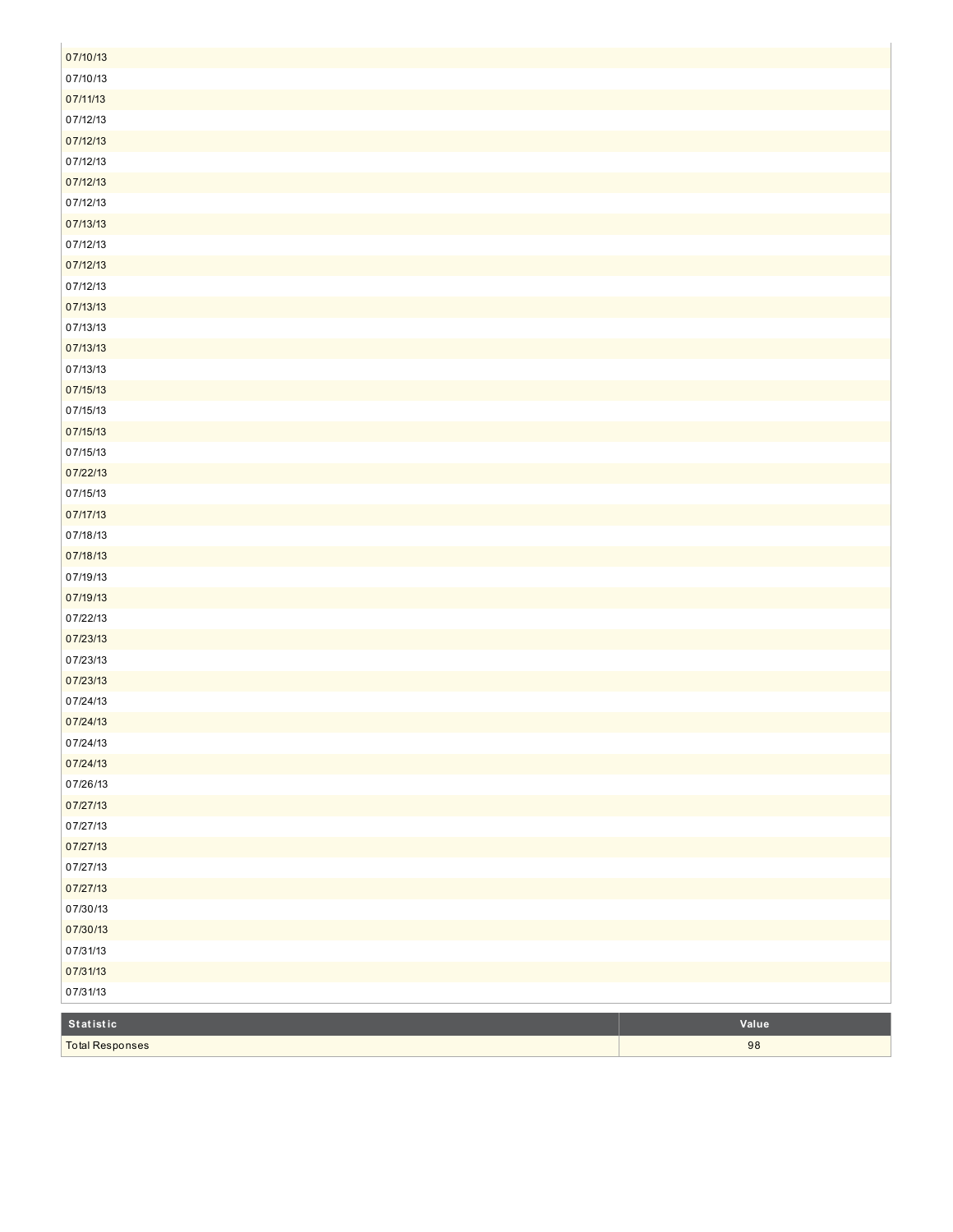| 07/10/13               |       |
|------------------------|-------|
| 07/10/13               |       |
| 07/11/13               |       |
| 07/12/13               |       |
| 07/12/13               |       |
| 07/12/13               |       |
| 07/12/13               |       |
| 07/12/13               |       |
| 07/13/13               |       |
| 07/12/13               |       |
| 07/12/13               |       |
| 07/12/13               |       |
| 07/13/13               |       |
| 07/13/13               |       |
| 07/13/13               |       |
| 07/13/13               |       |
| 07/15/13               |       |
| 07/15/13               |       |
| 07/15/13               |       |
| 07/15/13               |       |
| 07/22/13               |       |
| 07/15/13               |       |
| 07/17/13               |       |
| 07/18/13               |       |
| 07/18/13               |       |
| 07/19/13               |       |
| 07/19/13               |       |
| 07/22/13               |       |
| 07/23/13               |       |
| 07/23/13               |       |
| 07/23/13               |       |
| 07/24/13               |       |
| 07/24/13<br>07/24/13   |       |
|                        |       |
| 07/24/13<br>07/26/13   |       |
| 07/27/13               |       |
| 07/27/13               |       |
| 07/27/13               |       |
| 07/27/13               |       |
| 07/27/13               |       |
| 07/30/13               |       |
| 07/30/13               |       |
| 07/31/13               |       |
| 07/31/13               |       |
| 07/31/13               |       |
|                        |       |
| Statistic              | Value |
| <b>Total Responses</b> | 98    |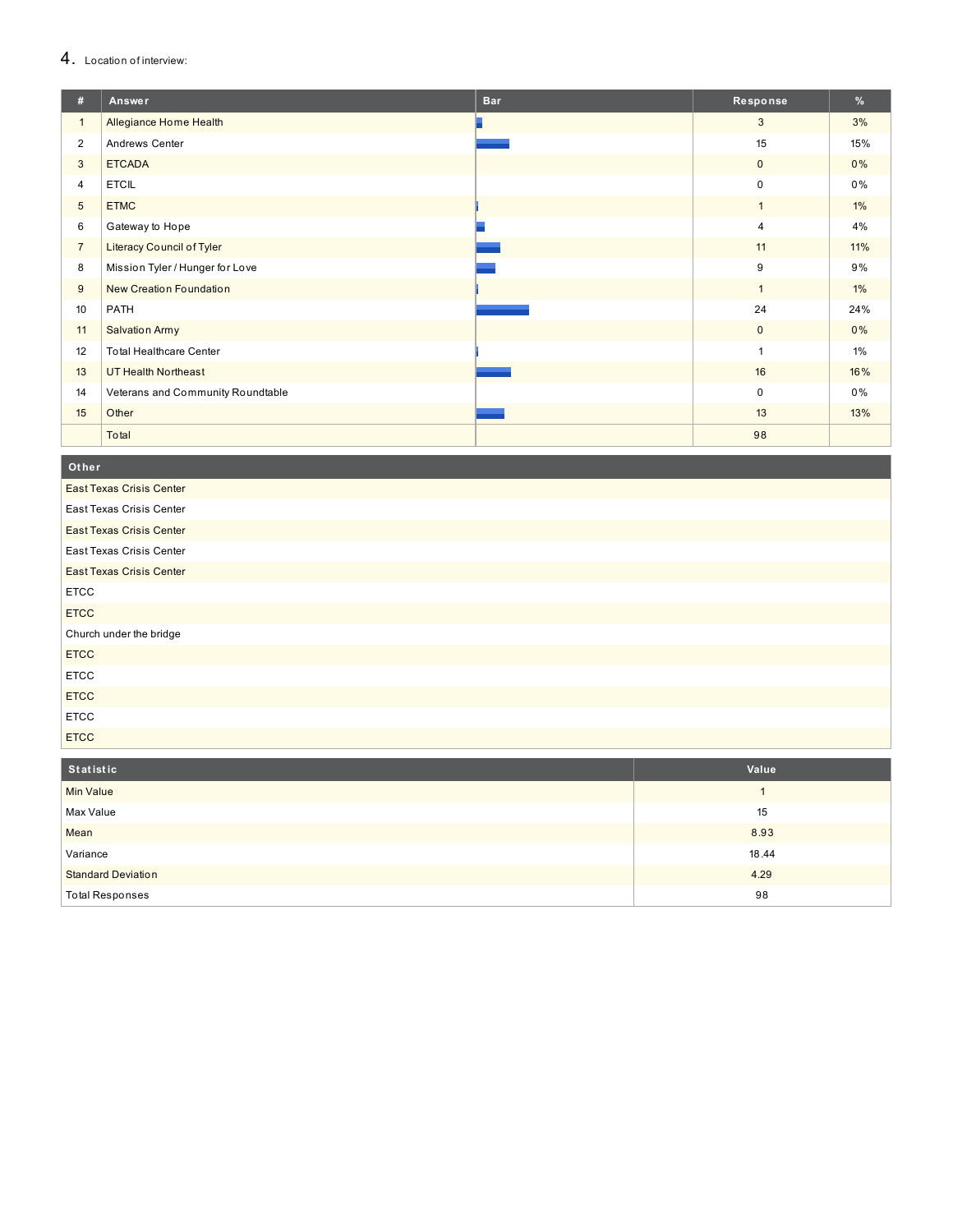#### 4. Location of interview:

| #              | Answer                            | <b>Bar</b> | Response     | %     |
|----------------|-----------------------------------|------------|--------------|-------|
| $\mathbf{1}$   | Allegiance Home Health            |            | 3            | 3%    |
| $\overline{2}$ | Andrews Center                    |            | 15           | 15%   |
| 3              | <b>ETCADA</b>                     |            | $\mathbf 0$  | 0%    |
| $\overline{4}$ | <b>ETCIL</b>                      |            | $\mathbf 0$  | 0%    |
| 5              | <b>ETMC</b>                       |            | $\mathbf{1}$ | $1\%$ |
| 6              | Gateway to Hope                   |            | 4            | 4%    |
| $\overline{7}$ | <b>Literacy Council of Tyler</b>  |            | 11           | 11%   |
| 8              | Mission Tyler / Hunger for Love   |            | 9            | 9%    |
| 9              | New Creation Foundation           |            | $\mathbf{1}$ | $1\%$ |
| 10             | PATH                              |            | 24           | 24%   |
| 11             | <b>Salvation Army</b>             |            | $\mathbf 0$  | 0%    |
| 12             | <b>Total Healthcare Center</b>    |            | -1           | $1\%$ |
| 13             | <b>UT Health Northeast</b>        |            | 16           | 16%   |
| 14             | Veterans and Community Roundtable |            | $\Omega$     | 0%    |
| 15             | Other                             |            | 13           | 13%   |
|                | Total                             |            | 98           |       |

**O t h e r**

| <b>East Texas Crisis Center</b> |
|---------------------------------|
| East Texas Crisis Center        |
| <b>East Texas Crisis Center</b> |
| East Texas Crisis Center        |
| <b>East Texas Crisis Center</b> |
| <b>ETCC</b>                     |
| <b>ETCC</b>                     |
| Church under the bridge         |
| <b>ETCC</b>                     |
| <b>ETCC</b>                     |
| <b>ETCC</b>                     |
| <b>ETCC</b>                     |
| <b>ETCC</b>                     |

| Statistic                 | Value |
|---------------------------|-------|
| <b>Min Value</b>          |       |
| Max Value                 | 15    |
| Mean                      | 8.93  |
| Variance                  | 18.44 |
| <b>Standard Deviation</b> | 4.29  |
| <b>Total Responses</b>    | 98    |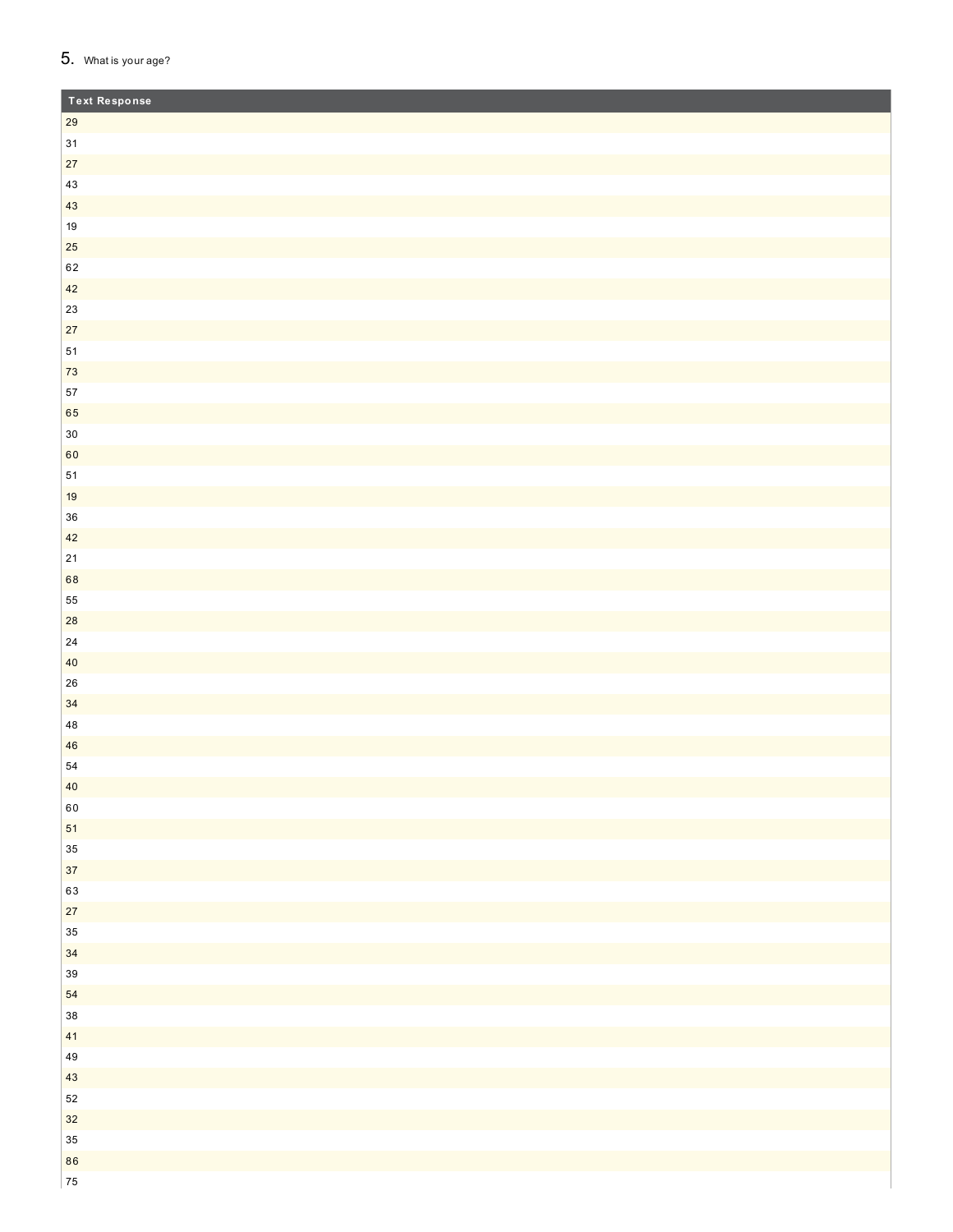### 5. What is your age?

| <b>Text Response</b> |  |
|----------------------|--|
| 29                   |  |
| $31$                 |  |
| 27                   |  |
| $43\,$               |  |
| 43                   |  |
| $19\,$               |  |
| 25                   |  |
| 62                   |  |
| 42                   |  |
| $23\,$               |  |
| $27\,$               |  |
| ${\bf 51}$           |  |
| ${\bf 73}$           |  |
| 57                   |  |
| 65                   |  |
| $30\,$               |  |
| 60                   |  |
| ${\bf 51}$           |  |
| 19                   |  |
| $36\,$               |  |
| 42                   |  |
| $21\,$               |  |
| 68                   |  |
| 55                   |  |
| 28                   |  |
| ${\bf 24}$           |  |
| $40\,$               |  |
| ${\bf 26}$           |  |
| 34                   |  |
| $\bf 48$             |  |
| 46<br>${\bf 54}$     |  |
|                      |  |
| $40\,$<br>$60\,$     |  |
| ${\bf 51}$           |  |
| $35\,$               |  |
| $37\,$               |  |
| 63                   |  |
| $27\,$               |  |
| $35\,$               |  |
| 34                   |  |
| $39\,$               |  |
| 54                   |  |
| $38\,$               |  |
| 41                   |  |
| 49                   |  |
| $43\,$               |  |
| $52\,$               |  |
| $32\,$               |  |
| $35\,$               |  |
| 86                   |  |
| ${\bf 75}$           |  |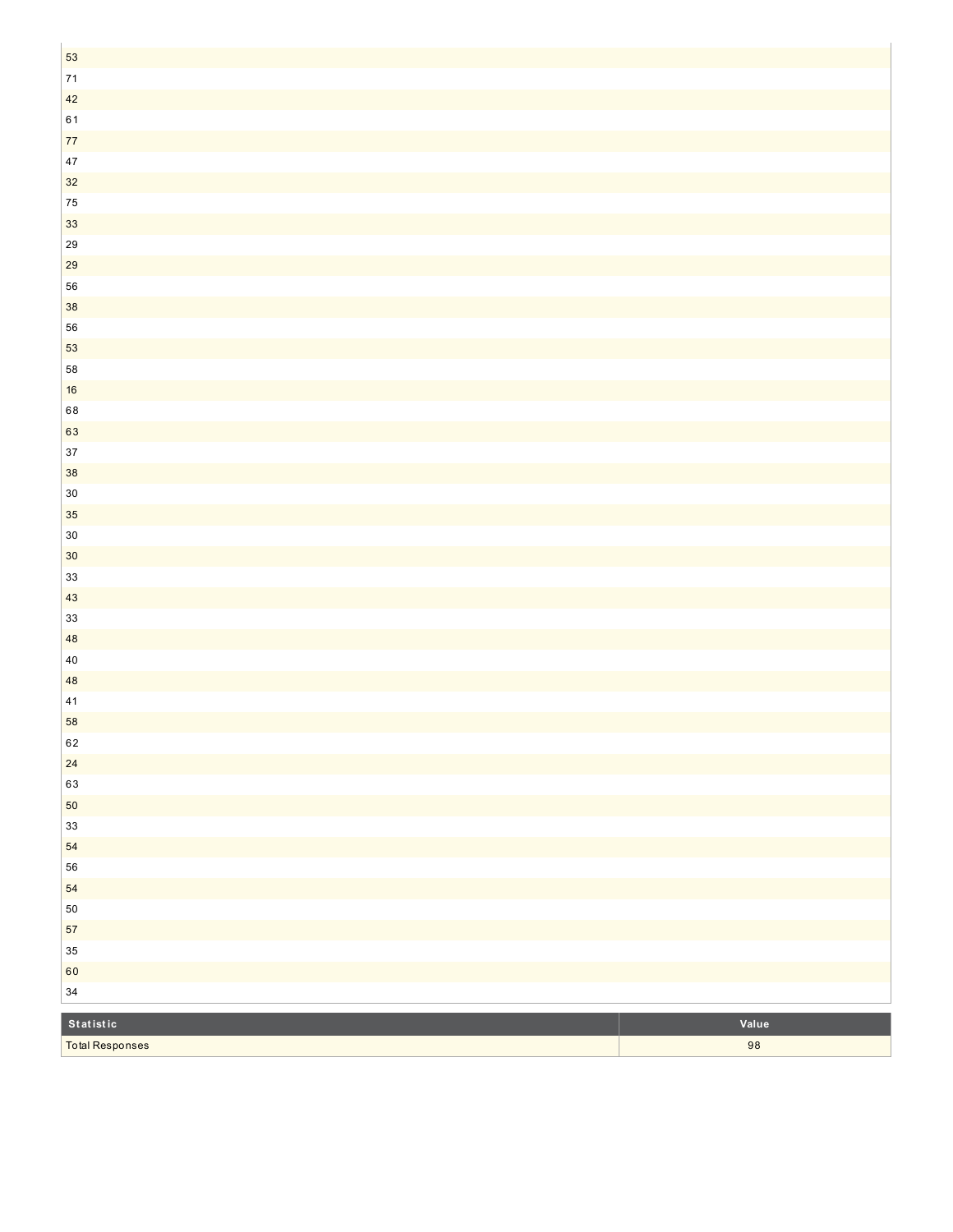| 53                     |        |
|------------------------|--------|
| $71$                   |        |
| 42                     |        |
| $61\,$                 |        |
| $77\,$                 |        |
| $47\,$                 |        |
| $32$                   |        |
| ${\bf 75}$             |        |
| 33                     |        |
| ${\bf 29}$             |        |
| ${\bf 29}$             |        |
| 56                     |        |
| $38\,$                 |        |
| 56                     |        |
| 53                     |        |
| 58                     |        |
| $16\,$                 |        |
| 68                     |        |
| 63                     |        |
| $37\,$                 |        |
| 38                     |        |
| $30\,$                 |        |
| $35\,$                 |        |
| $30\,$                 |        |
| $30\,$                 |        |
| $33\,$                 |        |
| $43\,$                 |        |
| $33\,$                 |        |
| 48                     |        |
| $40\,$                 |        |
| $\bf 48$<br>$41\,$     |        |
| 58                     |        |
| 62                     |        |
| $24\,$                 |        |
| 63                     |        |
| $50\,$                 |        |
| $33\,$                 |        |
| 54                     |        |
| 56                     |        |
| 54                     |        |
| ${\bf 50}$             |        |
| ${\bf 57}$             |        |
| $35\,$                 |        |
| 60                     |        |
| $34\,$                 |        |
|                        |        |
| Statistic              | Value  |
| <b>Total Responses</b> | $9\,8$ |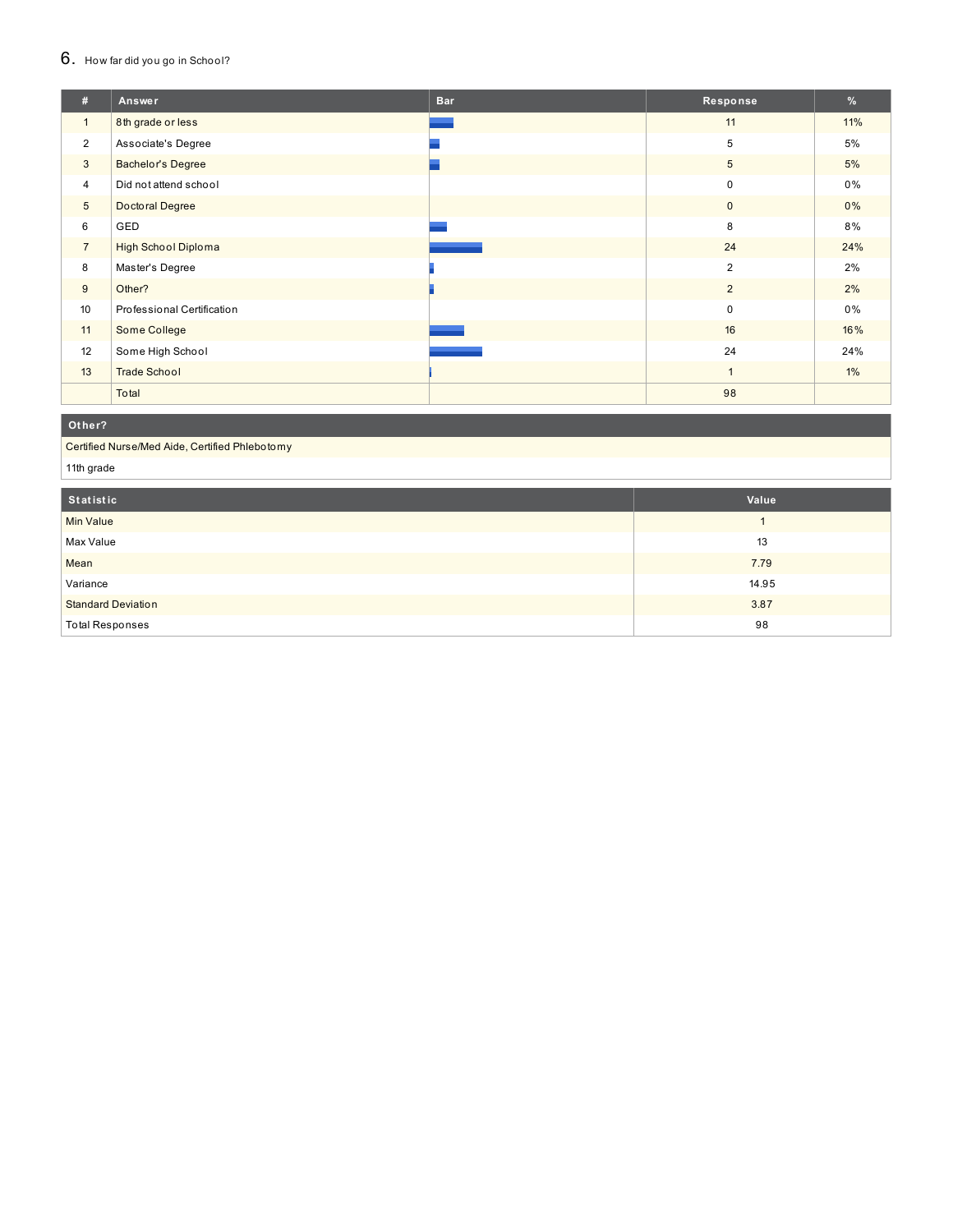#### $6.$  How far did you go in School?

| #               | Answer                     | <b>Bar</b> | Response       | %     |
|-----------------|----------------------------|------------|----------------|-------|
| $\mathbf{1}$    | 8th grade or less          |            | 11             | 11%   |
| $\overline{2}$  | Associate's Degree         |            | 5              | 5%    |
| 3               | <b>Bachelor's Degree</b>   |            | $\overline{5}$ | 5%    |
| 4               | Did not attend school      |            | $\pmb{0}$      | $0\%$ |
| $5\phantom{.0}$ | Doctoral Degree            |            | $\mathbf 0$    | $0\%$ |
| 6               | GED                        |            | 8              | 8%    |
| $\overline{7}$  | <b>High School Diploma</b> |            | 24             | 24%   |
| 8               | Master's Degree            |            | $\overline{2}$ | 2%    |
| 9               | Other?                     |            | 2              | 2%    |
| 10              | Professional Certification |            | $\pmb{0}$      | $0\%$ |
| 11              | Some College               |            | 16             | 16%   |
| 12              | Some High School           |            | 24             | 24%   |
| 13              | <b>Trade School</b>        |            | $\overline{1}$ | $1\%$ |
|                 | Total                      |            | 98             |       |

#### **O t h e r ?**

Certified Nurse/Med Aide, Certified Phlebotomy

11th grade

| Statistic                 | Value |
|---------------------------|-------|
| <b>Min Value</b>          |       |
| Max Value                 | 13    |
| Mean                      | 7.79  |
| Variance                  | 14.95 |
| <b>Standard Deviation</b> | 3.87  |
| <b>Total Responses</b>    | 98    |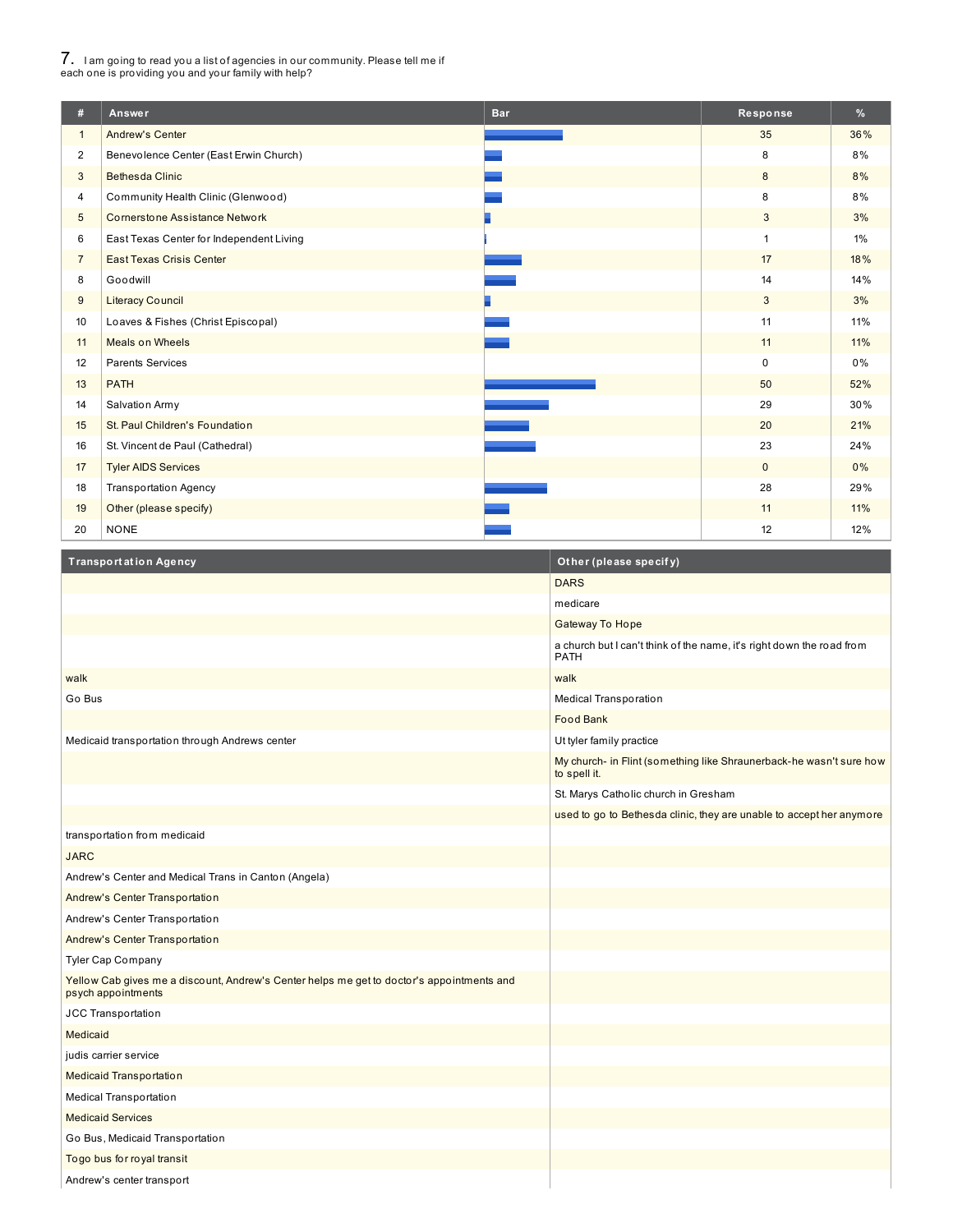# 7. <sup>I</sup> am going to read you <sup>a</sup> list of agencies in our community. Please tell me if each one is providing you and your family with help?

I

| #              | Answer                                   | <b>Bar</b> | Response       | %     |
|----------------|------------------------------------------|------------|----------------|-------|
| $\mathbf{1}$   | <b>Andrew's Center</b>                   |            | 35             | 36%   |
| $\overline{2}$ | Benevolence Center (East Erwin Church)   |            | 8              | 8%    |
| 3              | <b>Bethesda Clinic</b>                   |            | 8              | 8%    |
| 4              | Community Health Clinic (Glenwood)       |            | 8              | 8%    |
| 5              | <b>Cornerstone Assistance Network</b>    |            | 3              | 3%    |
| 6              | East Texas Center for Independent Living |            | $\overline{1}$ | 1%    |
| $\overline{7}$ | <b>East Texas Crisis Center</b>          |            | 17             | 18%   |
| 8              | Goodwill                                 |            | 14             | 14%   |
| 9              | <b>Literacy Council</b>                  |            | 3              | 3%    |
| 10             | Loaves & Fishes (Christ Episcopal)       |            | 11             | 11%   |
| 11             | <b>Meals on Wheels</b>                   |            | 11             | 11%   |
| 12             | <b>Parents Services</b>                  |            | $\mathbf 0$    | $0\%$ |
| 13             | <b>PATH</b>                              |            | 50             | 52%   |
| 14             | Salvation Army                           |            | 29             | 30%   |
| 15             | St. Paul Children's Foundation           |            | 20             | 21%   |
| 16             | St. Vincent de Paul (Cathedral)          |            | 23             | 24%   |
| 17             | <b>Tyler AIDS Services</b>               |            | $\mathbf{0}$   | 0%    |
| 18             | <b>Transportation Agency</b>             |            | 28             | 29%   |
| 19             | Other (please specify)                   |            | 11             | 11%   |
| 20             | <b>NONE</b>                              |            | 12             | 12%   |

| <b>Transportation Agency</b>                                                                                    | Other (please specify)                                                               |
|-----------------------------------------------------------------------------------------------------------------|--------------------------------------------------------------------------------------|
|                                                                                                                 | <b>DARS</b>                                                                          |
|                                                                                                                 | medicare                                                                             |
|                                                                                                                 | <b>Gateway To Hope</b>                                                               |
|                                                                                                                 | a church but I can't think of the name, it's right down the road from<br><b>PATH</b> |
| walk                                                                                                            | walk                                                                                 |
| Go Bus                                                                                                          | <b>Medical Transporation</b>                                                         |
|                                                                                                                 | <b>Food Bank</b>                                                                     |
| Medicaid transportation through Andrews center                                                                  | Ut tyler family practice                                                             |
|                                                                                                                 | My church- in Flint (something like Shraunerback-he wasn't sure how<br>to spell it.  |
|                                                                                                                 | St. Marys Catholic church in Gresham                                                 |
|                                                                                                                 | used to go to Bethesda clinic, they are unable to accept her anymore                 |
| transportation from medicaid                                                                                    |                                                                                      |
| <b>JARC</b>                                                                                                     |                                                                                      |
| Andrew's Center and Medical Trans in Canton (Angela)                                                            |                                                                                      |
| Andrew's Center Transportation                                                                                  |                                                                                      |
| Andrew's Center Transportation                                                                                  |                                                                                      |
| Andrew's Center Transportation                                                                                  |                                                                                      |
| <b>Tyler Cap Company</b>                                                                                        |                                                                                      |
| Yellow Cab gives me a discount, Andrew's Center helps me get to doctor's appointments and<br>psych appointments |                                                                                      |
| JCC Transportation                                                                                              |                                                                                      |
| Medicaid                                                                                                        |                                                                                      |
| judis carrier service                                                                                           |                                                                                      |
| <b>Medicaid Transportation</b>                                                                                  |                                                                                      |
| Medical Transportation                                                                                          |                                                                                      |
| <b>Medicaid Services</b>                                                                                        |                                                                                      |
| Go Bus, Medicaid Transportation                                                                                 |                                                                                      |
| Togo bus for royal transit                                                                                      |                                                                                      |
| Andrew's center transport                                                                                       |                                                                                      |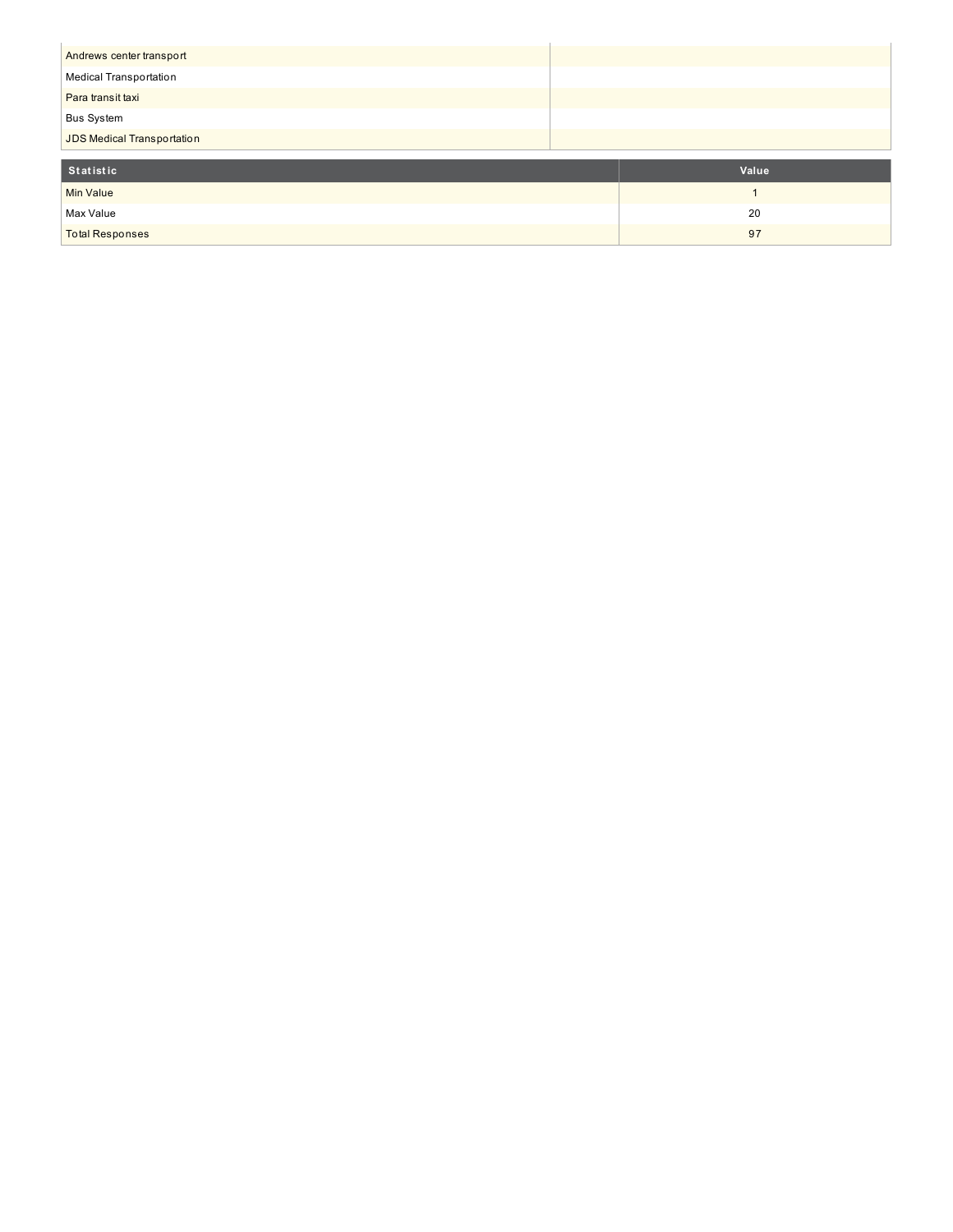| Andrews center transport   |       |
|----------------------------|-------|
| Medical Transportation     |       |
| Para transit taxi          |       |
| <b>Bus System</b>          |       |
| JDS Medical Transportation |       |
|                            |       |
| <b>Statistic</b>           | Value |
| Min Value                  | и     |
| Max Value                  | 20    |
| <b>Total Responses</b>     | 97    |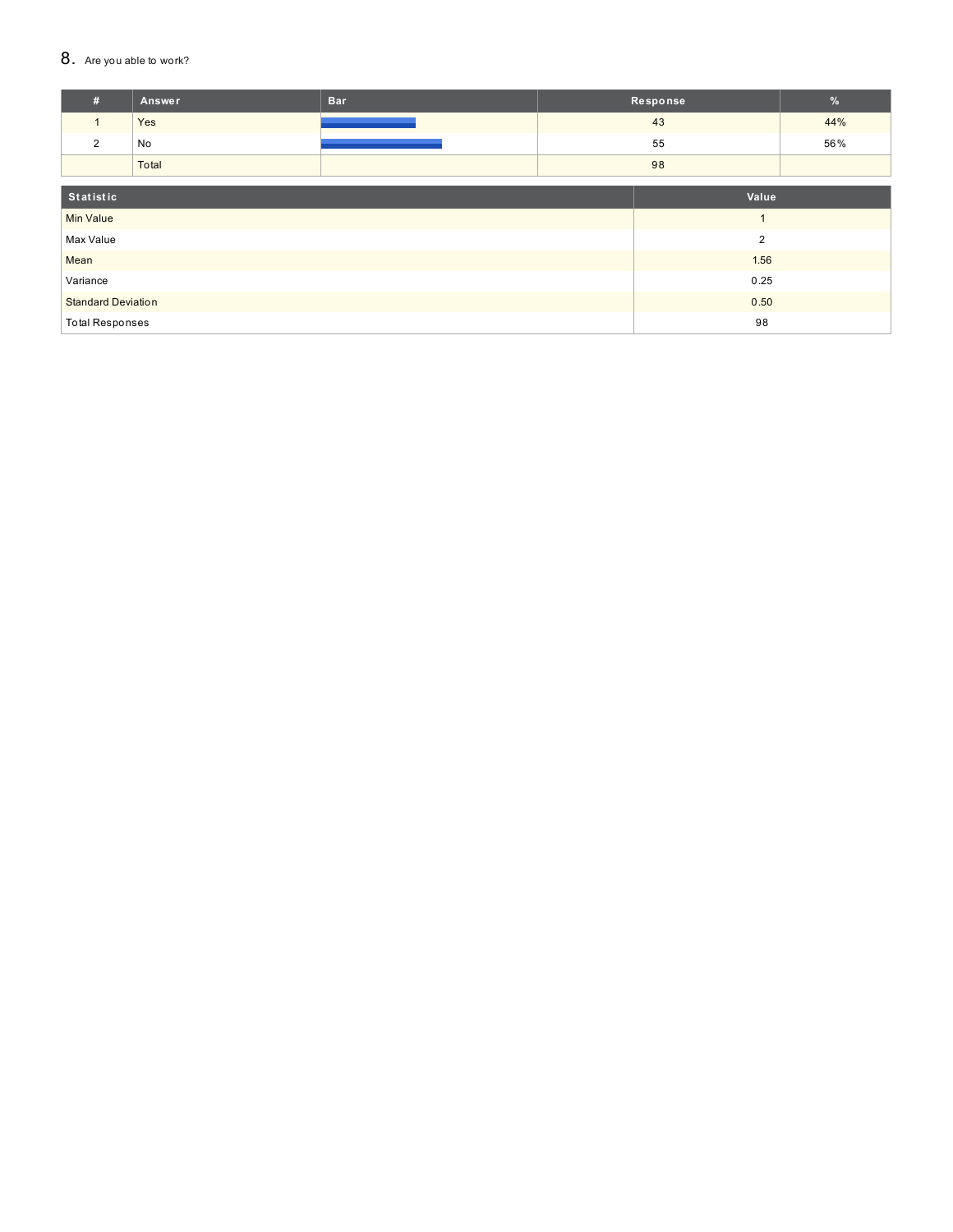#### 8. Are you able to work?

| #                         | <b>Answer</b> | <b>Bar</b>     |    | Response | $\frac{9}{6}$ |
|---------------------------|---------------|----------------|----|----------|---------------|
| $\mathbf{1}$              | Yes           |                |    | 43       | 44%           |
| 2                         | No            |                |    | 55       | 56%           |
|                           | Total         |                | 98 |          |               |
|                           |               |                |    |          |               |
| Statistic                 |               | Value          |    |          |               |
| <b>Min Value</b>          |               |                |    |          |               |
| Max Value                 |               | $\overline{2}$ |    |          |               |
| Mean                      |               | 1.56           |    |          |               |
| Variance                  |               | 0.25           |    |          |               |
| <b>Standard Deviation</b> |               | 0.50           |    |          |               |
| <b>Total Responses</b>    |               | 98             |    |          |               |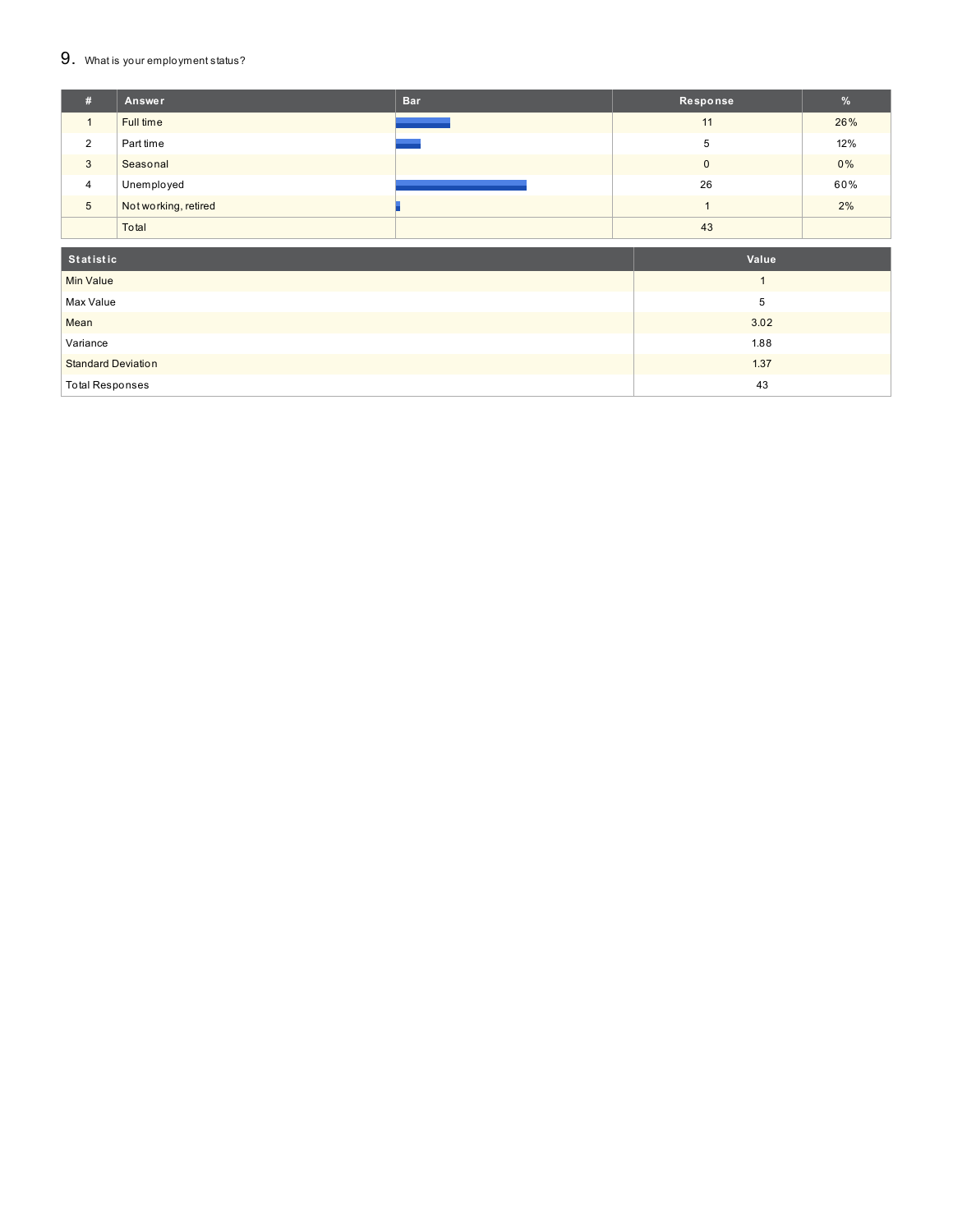### 9. What is your employment status?

| # | Answer               | <b>Bar</b> | Response     | %   |
|---|----------------------|------------|--------------|-----|
|   | Full time            |            | 11           | 26% |
| 2 | Part time            |            | 5            | 12% |
| 3 | Seasonal             |            | $\mathbf{0}$ | 0%  |
| 4 | Unemployed           |            | 26           | 60% |
| 5 | Not working, retired |            |              | 2%  |
|   | Total                |            | 43           |     |

| Statistic                 | Value |
|---------------------------|-------|
| <b>Min Value</b>          |       |
| Max Value                 | 5     |
| Mean                      | 3.02  |
| Variance                  | 1.88  |
| <b>Standard Deviation</b> | 1.37  |
| <b>Total Responses</b>    | 43    |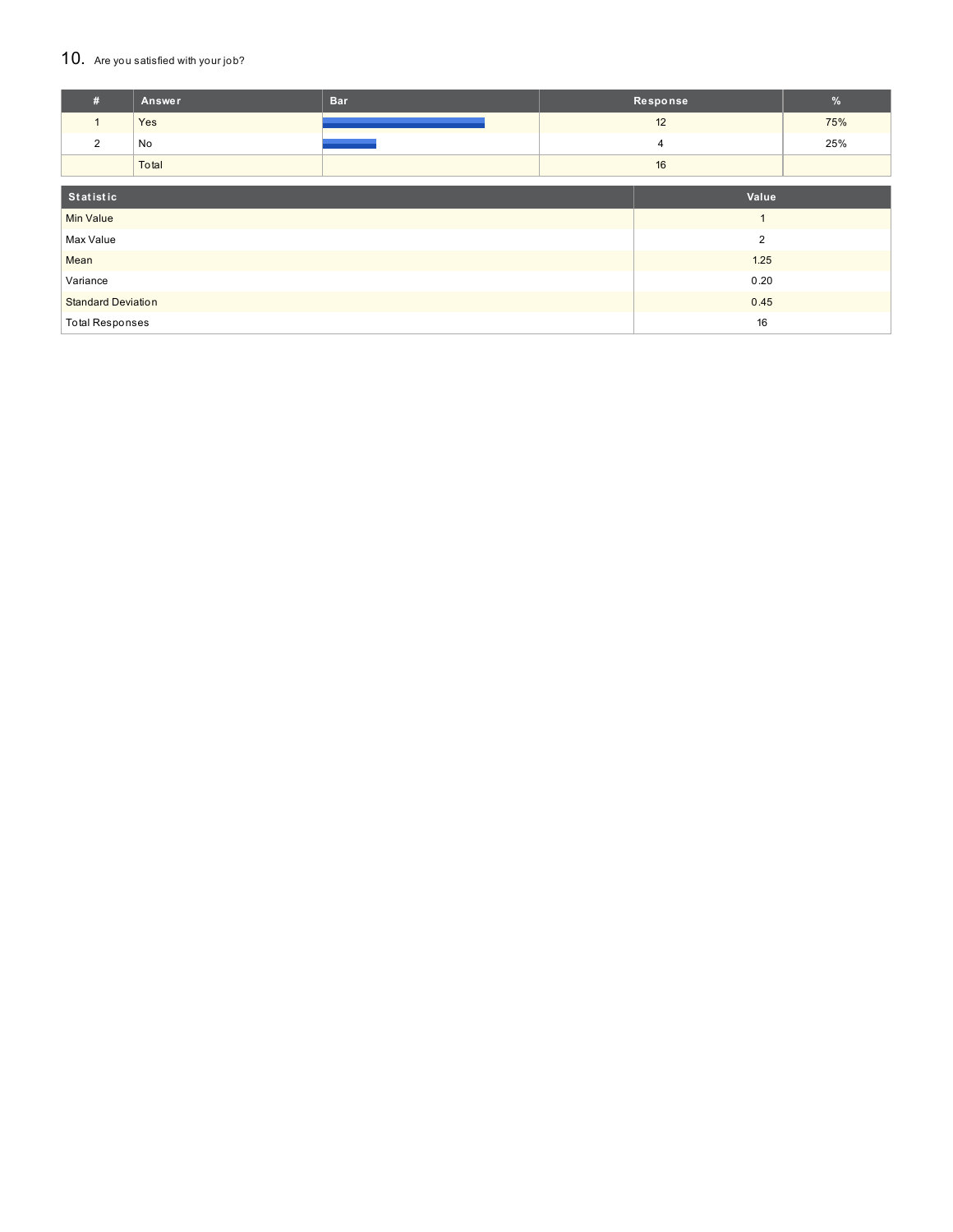#### 10. Are you satisfied with your job?

| #                            | Answer | <b>Bar</b> | Response       |    | $\%$ |
|------------------------------|--------|------------|----------------|----|------|
| 1                            | Yes    |            |                | 12 | 75%  |
| $\overline{2}$               | No     |            |                | 4  | 25%  |
|                              | Total  |            |                | 16 |      |
|                              |        |            |                |    |      |
| Statistic                    |        | Value      |                |    |      |
| <b>Min Value</b>             |        |            |                |    |      |
| Max Value                    |        |            | $\overline{2}$ |    |      |
| Mean                         |        |            | 1.25           |    |      |
| Variance                     |        | 0.20       |                |    |      |
| <b>Standard Deviation</b>    |        | 0.45       |                |    |      |
| 16<br><b>Total Responses</b> |        |            |                |    |      |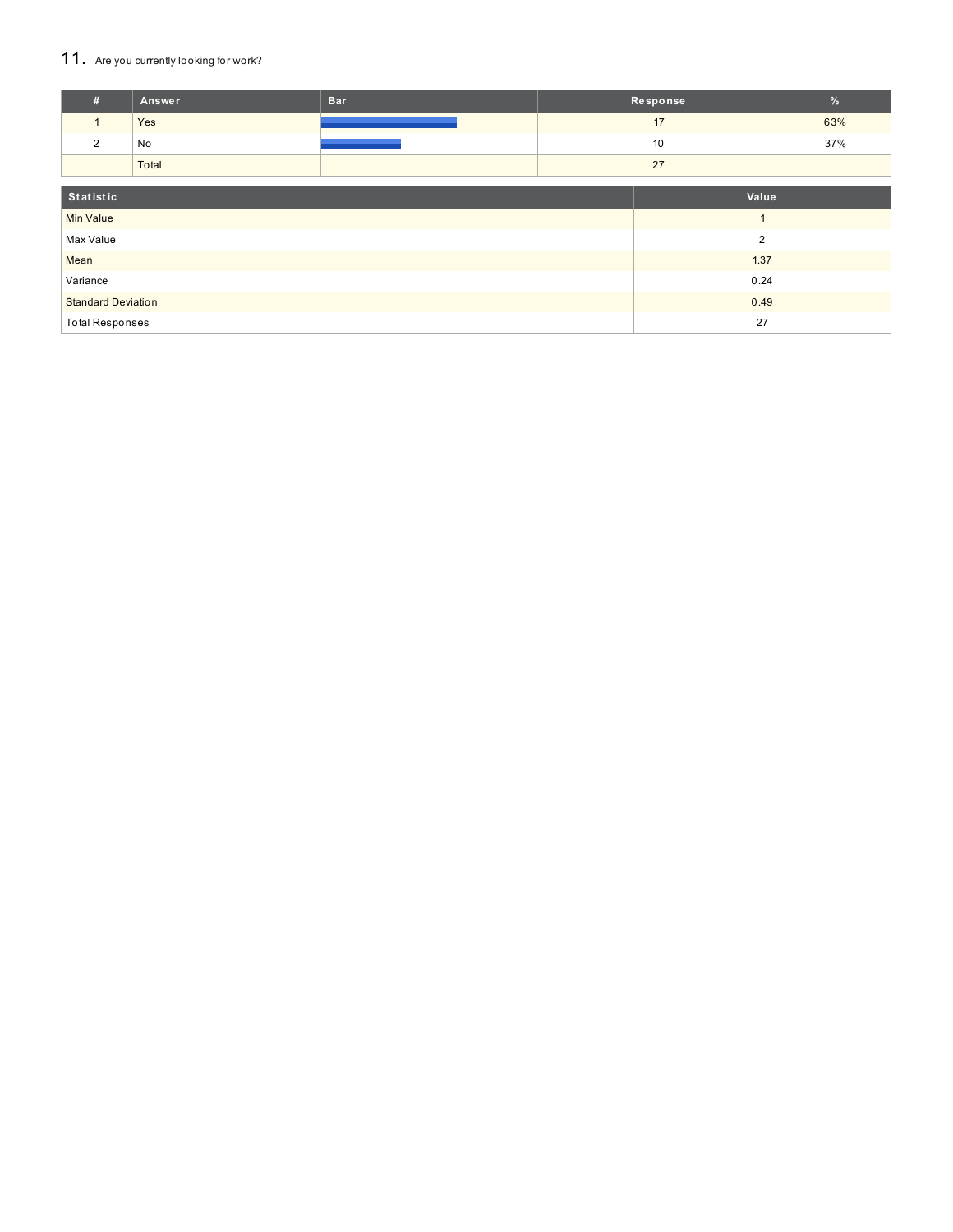### 11. Are you currently looking for work?

| #                         | Answer | <b>Bar</b>     | Response |    | $\%$ |
|---------------------------|--------|----------------|----------|----|------|
| $\mathbf{1}$              | Yes    |                |          | 17 | 63%  |
| 2                         | No     |                |          | 10 | 37%  |
|                           | Total  |                | 27       |    |      |
| Statistic<br>Value        |        |                |          |    |      |
| <b>Min Value</b>          |        | $\overline{A}$ |          |    |      |
| Max Value                 |        | $\overline{2}$ |          |    |      |
| 1.37<br>Mean              |        |                |          |    |      |
| Variance                  |        | 0.24           |          |    |      |
| <b>Standard Deviation</b> |        | 0.49           |          |    |      |
| <b>Total Responses</b>    |        |                | 27       |    |      |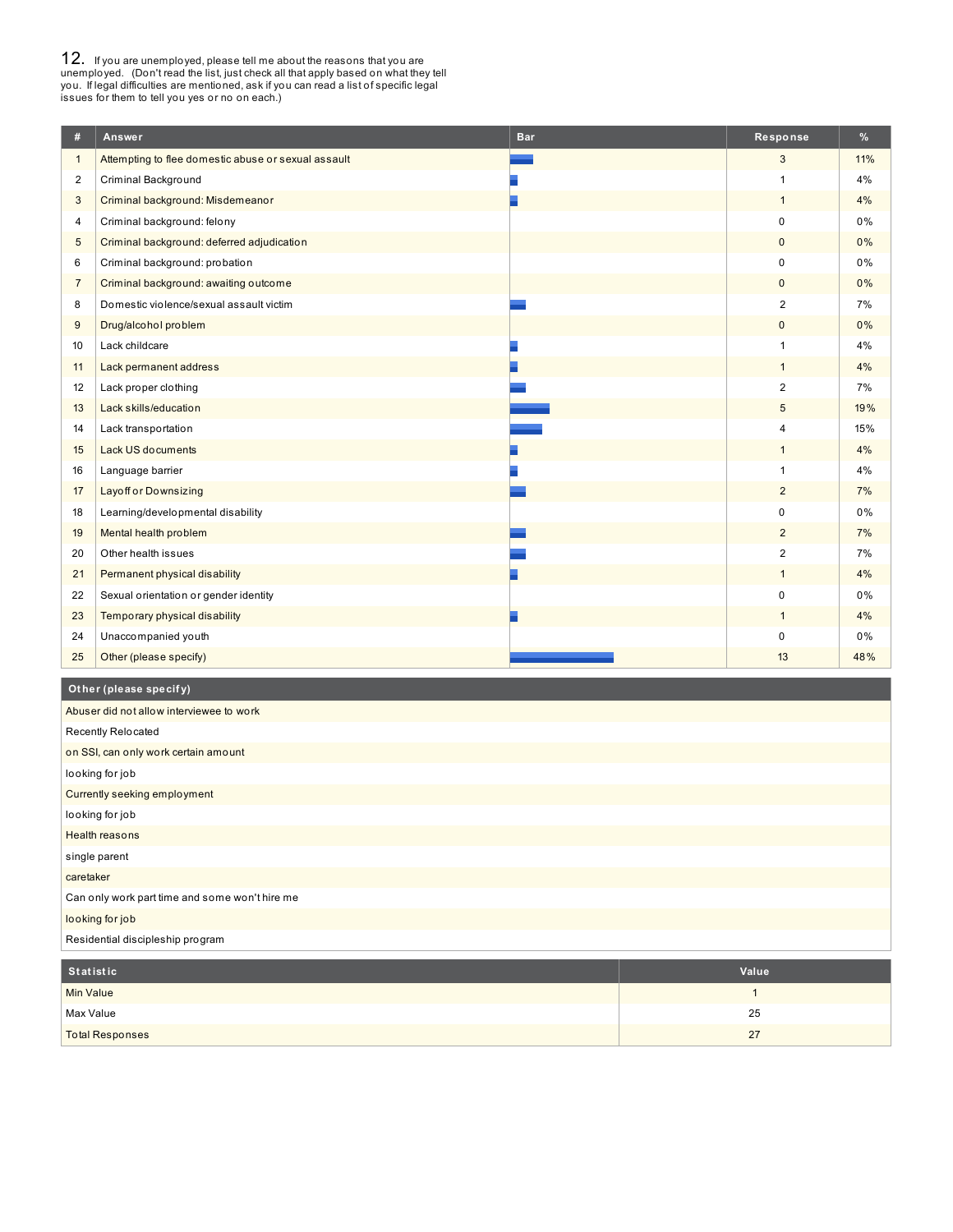**12.** If you are unemployed, please tell me about the reasons that you are unemployed. (Don't read the list, just check all that apply based on what they tell you. If legal difficulties are mentioned, ask if you can read a

| #                       | Answer                                              | <b>Bar</b> | Response       | %     |
|-------------------------|-----------------------------------------------------|------------|----------------|-------|
| $\mathbf{1}$            | Attempting to flee domestic abuse or sexual assault |            | 3              | 11%   |
| $\overline{\mathbf{c}}$ | Criminal Background                                 |            | $\overline{1}$ | 4%    |
| 3                       | Criminal background: Misdemeanor                    |            | $\mathbf{1}$   | 4%    |
| 4                       | Criminal background: felony                         |            | $\mathbf 0$    | 0%    |
| 5                       | Criminal background: deferred adjudication          |            | $\mathbf 0$    | 0%    |
| 6                       | Criminal background: probation                      |            | 0              | 0%    |
| $\overline{7}$          | Criminal background: awaiting outcome               |            | $\mathbf{0}$   | 0%    |
| 8                       | Domestic violence/sexual assault victim             |            | $\overline{2}$ | 7%    |
| 9                       | Drug/alcohol problem                                |            | $\mathbf 0$    | 0%    |
| 10                      | Lack childcare                                      |            | $\mathbf{1}$   | 4%    |
| 11                      | Lack permanent address                              |            | $\mathbf{1}$   | 4%    |
| 12                      | Lack proper clothing                                |            | $\overline{2}$ | 7%    |
| 13                      | Lack skills/education                               |            | 5              | 19%   |
| 14                      | Lack transportation                                 |            | $\overline{4}$ | 15%   |
| 15                      | <b>Lack US documents</b>                            |            | $\mathbf{1}$   | 4%    |
| 16                      | Language barrier                                    |            | $\mathbf{1}$   | 4%    |
| 17                      | <b>Layoff or Downsizing</b>                         |            | $\overline{2}$ | 7%    |
| 18                      | Learning/developmental disability                   |            | $\mathbf 0$    | $0\%$ |
| 19                      | Mental health problem                               |            | $\overline{2}$ | 7%    |
| 20                      | Other health issues                                 |            | $\overline{2}$ | 7%    |
| 21                      | Permanent physical disability                       |            | $\mathbf{1}$   | 4%    |
| 22                      | Sexual orientation or gender identity               |            | $\mathbf 0$    | 0%    |
| 23                      | Temporary physical disability                       |            | $\mathbf{1}$   | 4%    |
| 24                      | Unaccompanied youth                                 |            | 0              | $0\%$ |
| 25                      | Other (please specify)                              |            | 13             | 48%   |

### **Ot her (please specif y)**

| Abuser did not allow interviewee to work       |
|------------------------------------------------|
| Recently Relocated                             |
| on SSI, can only work certain amount           |
| looking for job                                |
| Currently seeking employment                   |
| looking for job                                |
| <b>Health reasons</b>                          |
| single parent                                  |
| caretaker                                      |
| Can only work part time and some won't hire me |
| looking for job                                |
| Residential discipleship program               |

| Statistic              | Value |
|------------------------|-------|
| <b>Min Value</b>       |       |
| Max Value              | 25    |
| <b>Total Responses</b> | 27    |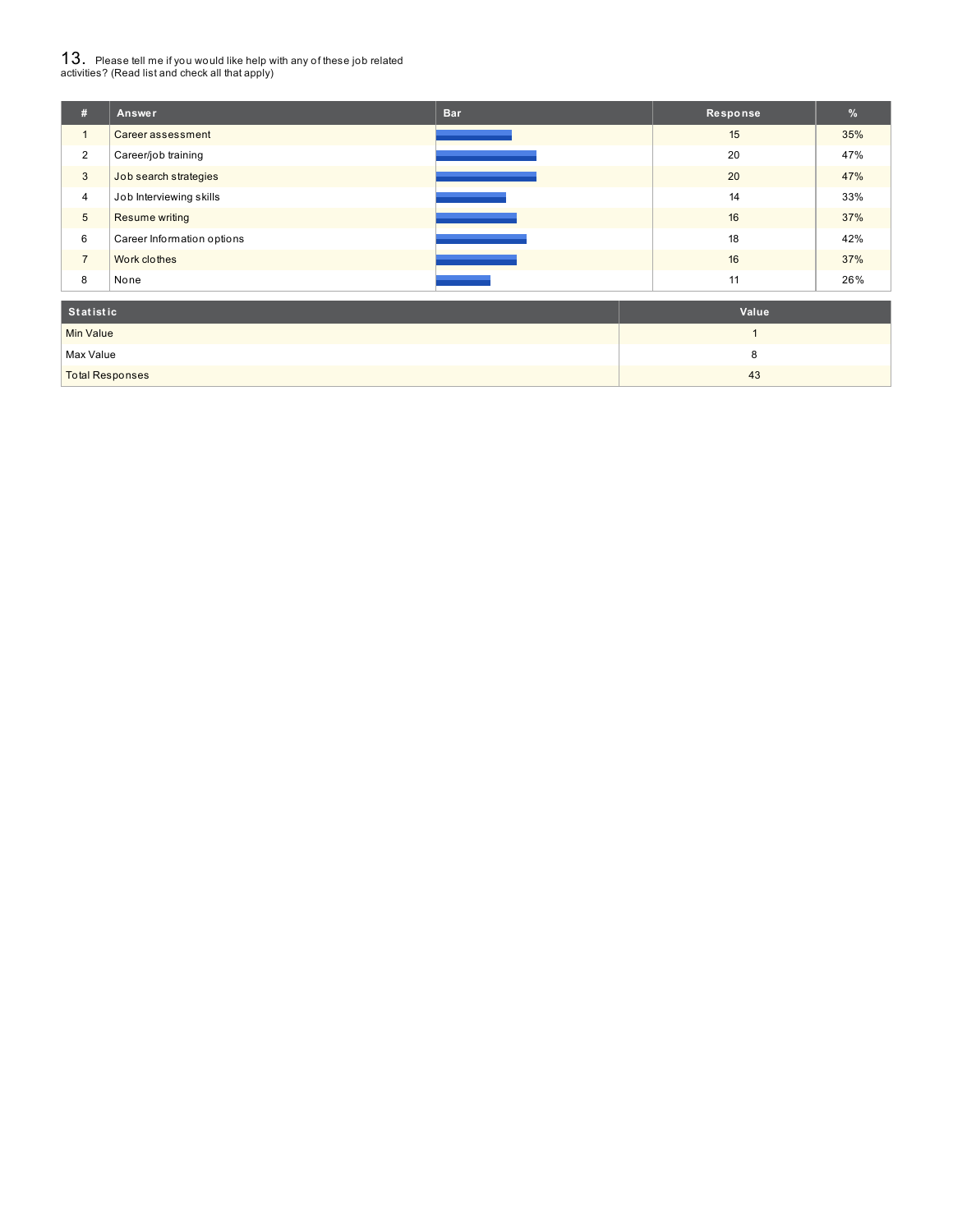# $13_\cdot$  Please tell me if you would like help with any of these job related<br>activities? (Read list and check all that apply)

| #                | Answer                     | <b>Bar</b> | Response | %   |
|------------------|----------------------------|------------|----------|-----|
| $\mathbf{1}$     | Career assessment          |            | 15       | 35% |
| $\overline{2}$   | Career/job training        |            | 20       | 47% |
| 3                | Job search strategies      |            | 20       | 47% |
| $\overline{4}$   | Job Interviewing skills    |            | 14       | 33% |
| $\sqrt{5}$       | Resume writing             |            | 16       | 37% |
| 6                | Career Information options |            | 18       | 42% |
| $\overline{7}$   | Work clothes               |            | 16       | 37% |
| 8                | None                       |            | 11       | 26% |
|                  | <b>Statistic</b>           |            | Value    |     |
| <b>Min Value</b> |                            |            |          |     |

Max Value 8 and 2012 12:00 the state of the state of the state of the state of the state of the state of the state of the state of the state of the state of the state of the state of the state of the state of the state of Total Responses 43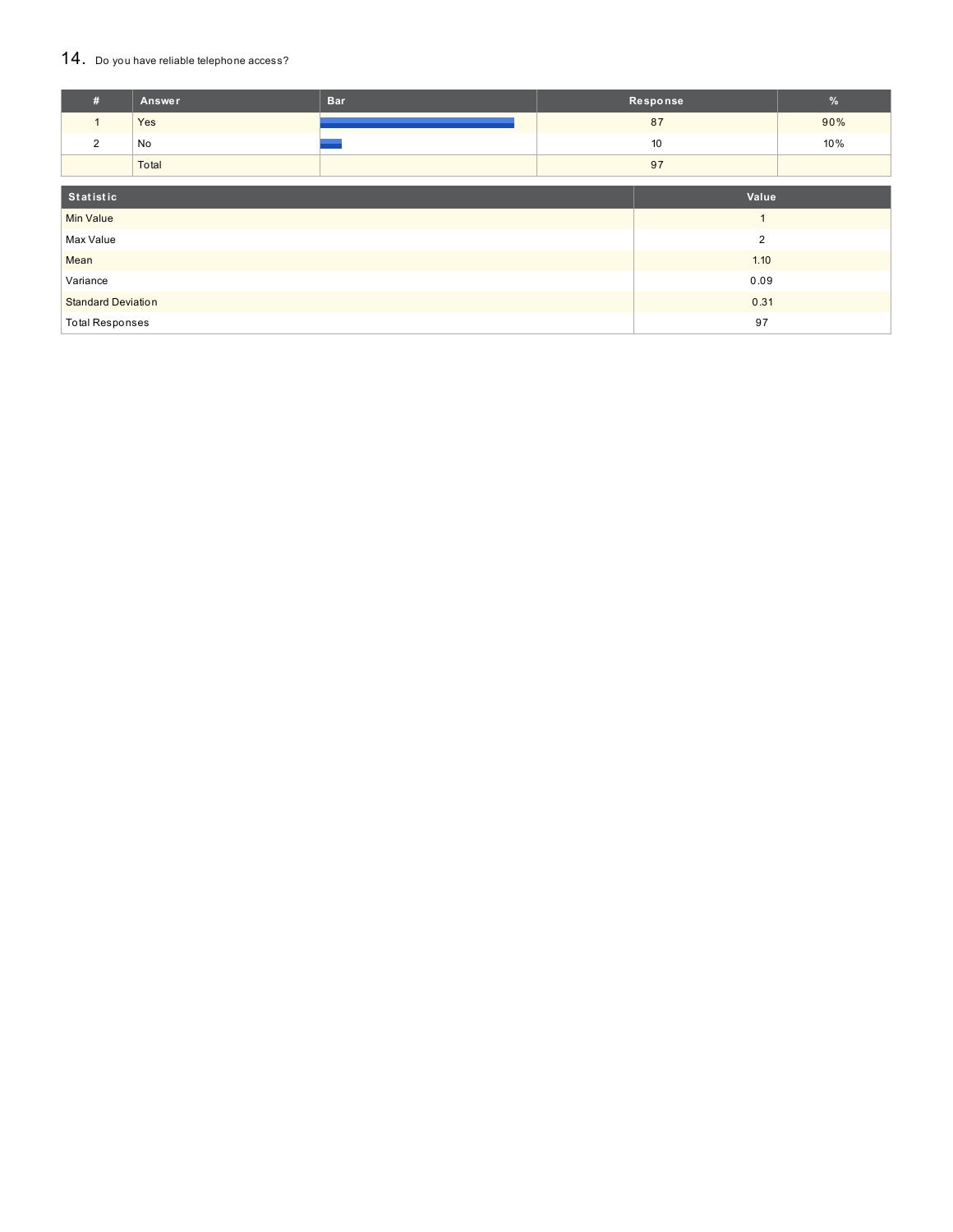#### 14. Do you have reliable telephone access?

| #                         | Answer | <b>Bar</b> |                | Response | $\%$ |
|---------------------------|--------|------------|----------------|----------|------|
| $\mathbf{1}$              | Yes    |            |                | 87       | 90%  |
| 2                         | No     |            |                | 10       | 10%  |
|                           | Total  |            |                | 97       |      |
|                           |        |            |                |          |      |
| Statistic                 |        |            |                | Value    |      |
| <b>Min Value</b>          |        |            | $\overline{ }$ |          |      |
| Max Value                 |        |            | $\overline{2}$ |          |      |
| Mean                      |        |            | 1.10           |          |      |
| Variance                  |        |            | 0.09           |          |      |
| <b>Standard Deviation</b> |        |            | 0.31           |          |      |
| <b>Total Responses</b>    |        |            | 97             |          |      |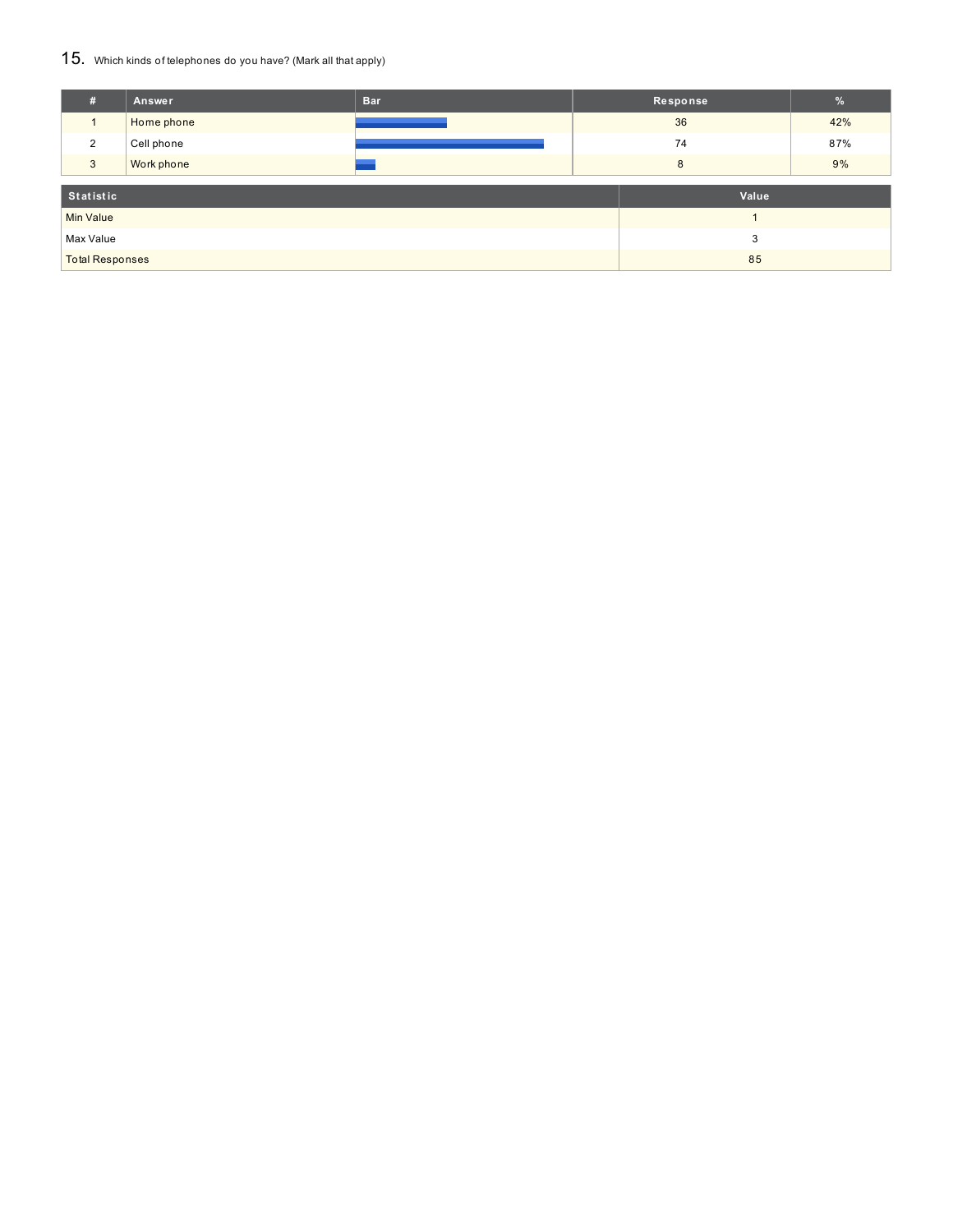#### 15. Which kinds of telephones do you have? (Mark all that apply)

| #                      | Answer     | <b>Bar</b> |       | Response | $\frac{9}{6}$ |
|------------------------|------------|------------|-------|----------|---------------|
|                        | Home phone |            | 36    |          | 42%           |
| 2                      | Cell phone |            |       | 74       | 87%           |
| 3                      | Work phone |            |       | 8        | 9%            |
| Statistic              |            |            | Value |          |               |
|                        |            |            |       |          |               |
| <b>Min Value</b>       |            |            |       |          |               |
| Max Value              |            |            |       | 3        |               |
| <b>Total Responses</b> |            |            | 85    |          |               |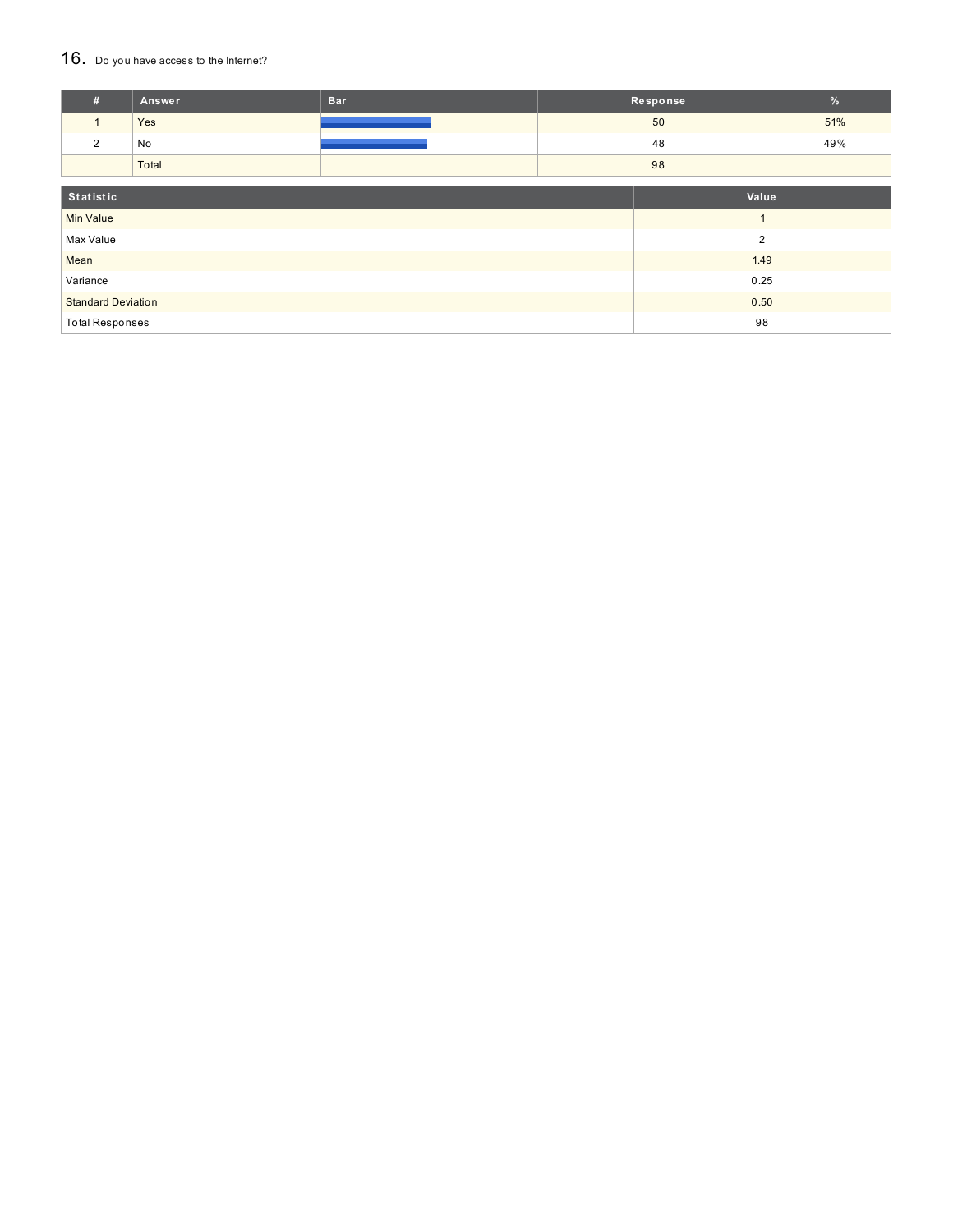#### 16. Do you have access to the Internet?

| #                         | Answer | <b>Bar</b> |                | Response       | $\frac{9}{6}$ |
|---------------------------|--------|------------|----------------|----------------|---------------|
| $\mathbf{1}$              | Yes    |            |                | 50             | 51%           |
| 2                         | No     |            |                | 48             | 49%           |
|                           | Total  |            |                | 98             |               |
| Statistic                 |        |            |                | Value          |               |
| <b>Min Value</b>          |        |            |                | $\overline{ }$ |               |
| Max Value                 |        |            | $\overline{2}$ |                |               |
| Mean                      |        | 1.49       |                |                |               |
| Variance                  |        |            |                | 0.25           |               |
| <b>Standard Deviation</b> |        |            | 0.50           |                |               |
| <b>Total Responses</b>    |        |            |                | 98             |               |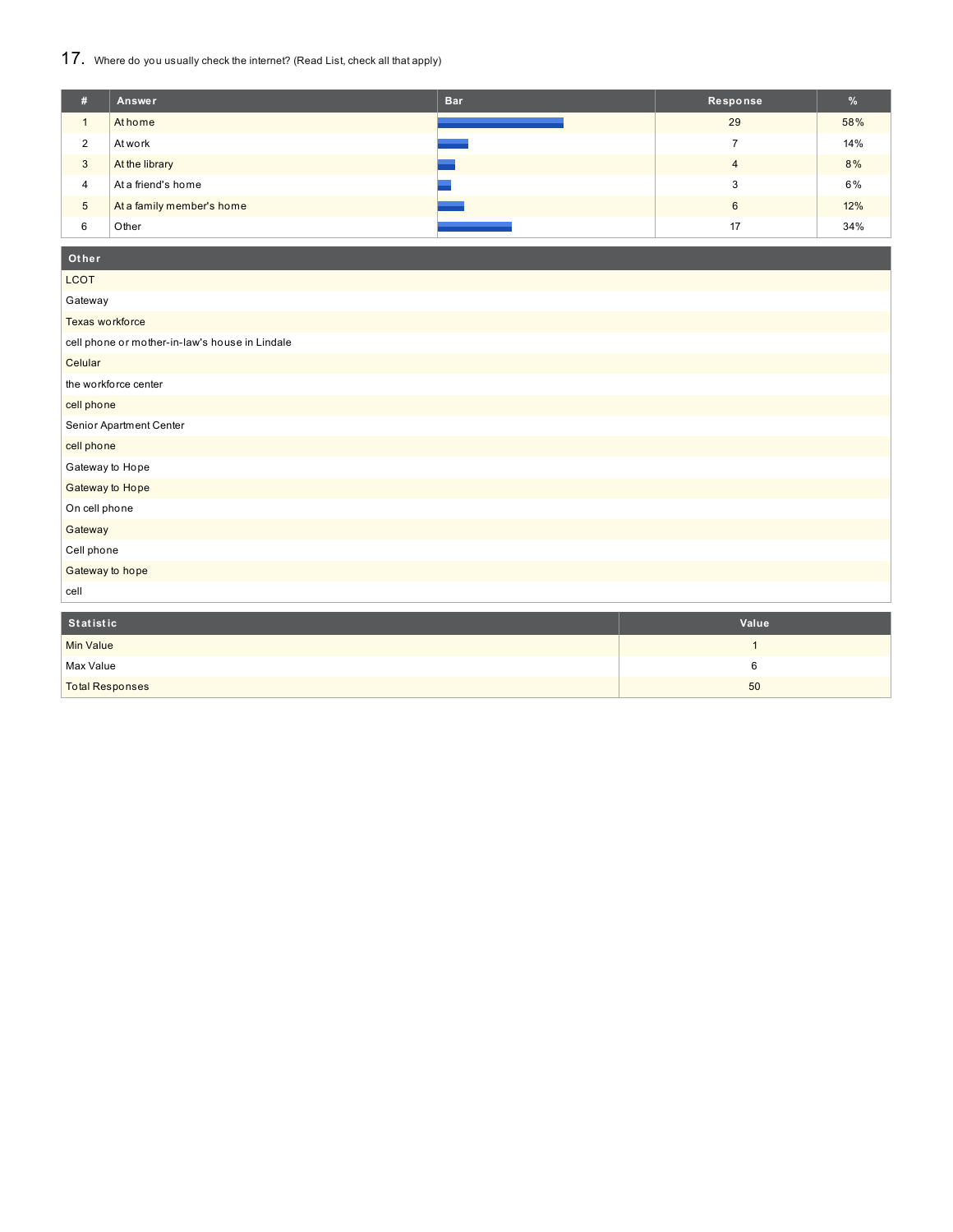### 17. Where do you usually check the internet? (Read List, check all that apply)

| #               | Answer                    | <b>Bar</b> | Response       | %   |
|-----------------|---------------------------|------------|----------------|-----|
|                 | At home                   |            | 29             | 58% |
| າ<br>$\epsilon$ | At work                   |            |                | 14% |
| 3               | At the library            |            | $\overline{4}$ | 8%  |
| $\overline{4}$  | At a friend's home        |            |                | 6%  |
| $\sqrt{5}$      | At a family member's home |            | 6              | 12% |
| 6               | Other                     |            | 17             | 34% |

### **Ot her**

| <b>LCOT</b>                                    |
|------------------------------------------------|
| Gateway                                        |
| Texas workforce                                |
| cell phone or mother-in-law's house in Lindale |
| Celular                                        |
| the workforce center                           |
| cell phone                                     |
| Senior Apartment Center                        |
| cell phone                                     |
| Gateway to Hope                                |
| Gateway to Hope                                |
| On cell phone                                  |
| Gateway                                        |
| Cell phone                                     |
| Gateway to hope                                |
| cell                                           |

| Statistic              | Value |
|------------------------|-------|
| <b>Min Value</b>       |       |
| Max Value              |       |
| <b>Total Responses</b> | 50    |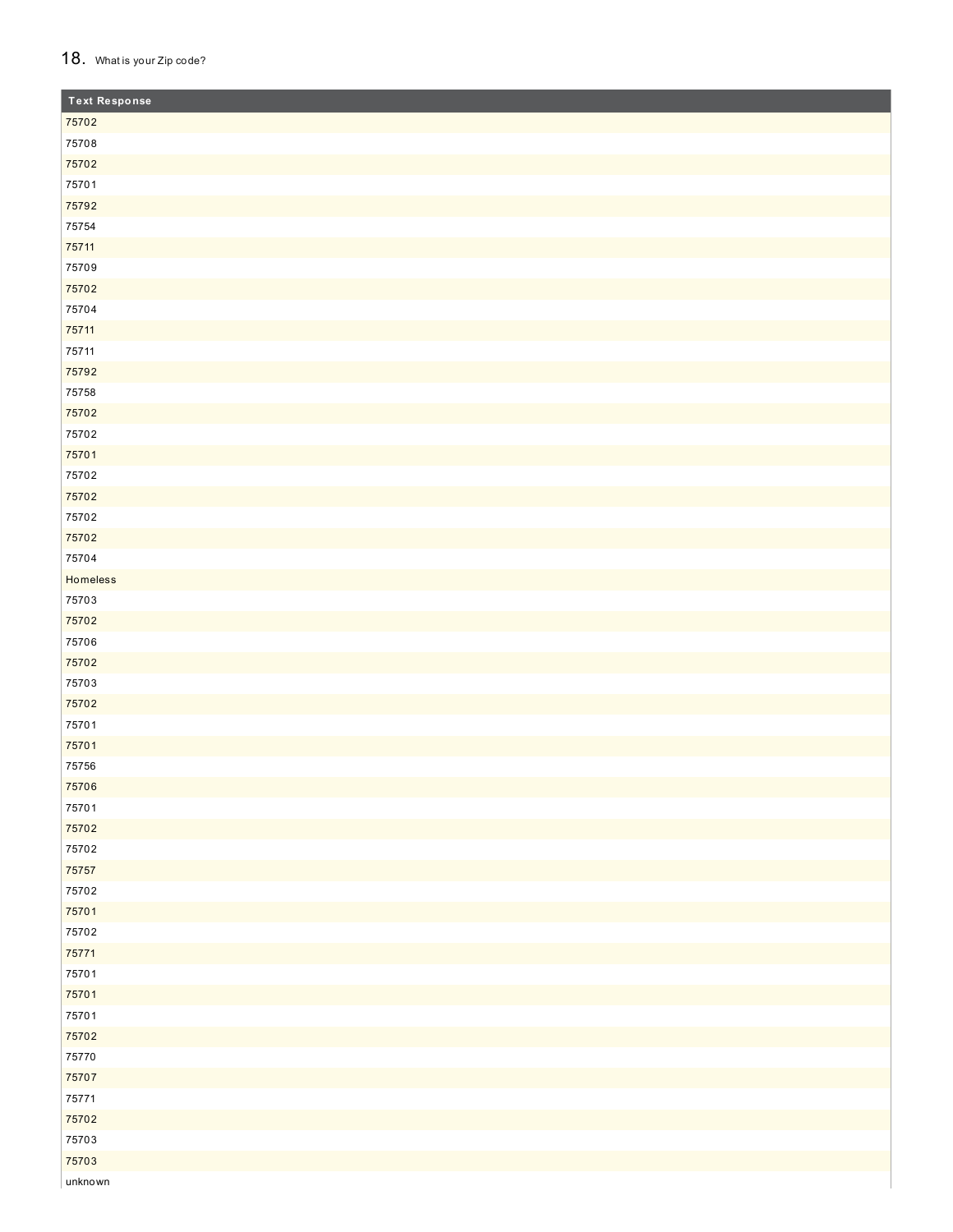#### 18. What is your Zip code?

| <b>Text Response</b> |  |
|----------------------|--|
| 75702                |  |
| 75708                |  |
| 75702                |  |
| 75701                |  |
| 75792                |  |
| 75754                |  |
| 75711                |  |
| 75709                |  |
| 75702                |  |
| 75704                |  |
| 75711                |  |
| 75711                |  |
| 75792                |  |
| 75758                |  |
| 75702                |  |
| 75702                |  |
| 75701                |  |
| 75702                |  |
| 75702                |  |
| 75702                |  |
| 75702                |  |
| 75704                |  |
| Homeless             |  |
| 75703                |  |
| 75702                |  |
| 75706                |  |
| 75702                |  |
| 75703                |  |
| 75702                |  |
| 75701                |  |
| 75701                |  |
| 75756                |  |
| 75706                |  |
| 75701                |  |
| 75702                |  |
| 75702                |  |
| 75757                |  |
| 75702                |  |
| 75701                |  |
| 75702                |  |
| 75771                |  |
| 75701                |  |
| 75701                |  |
| 75701                |  |
| 75702                |  |
| 75770                |  |
| 75707                |  |
| 75771                |  |
| 75702                |  |
| 75703                |  |
| 75703                |  |
| unknown              |  |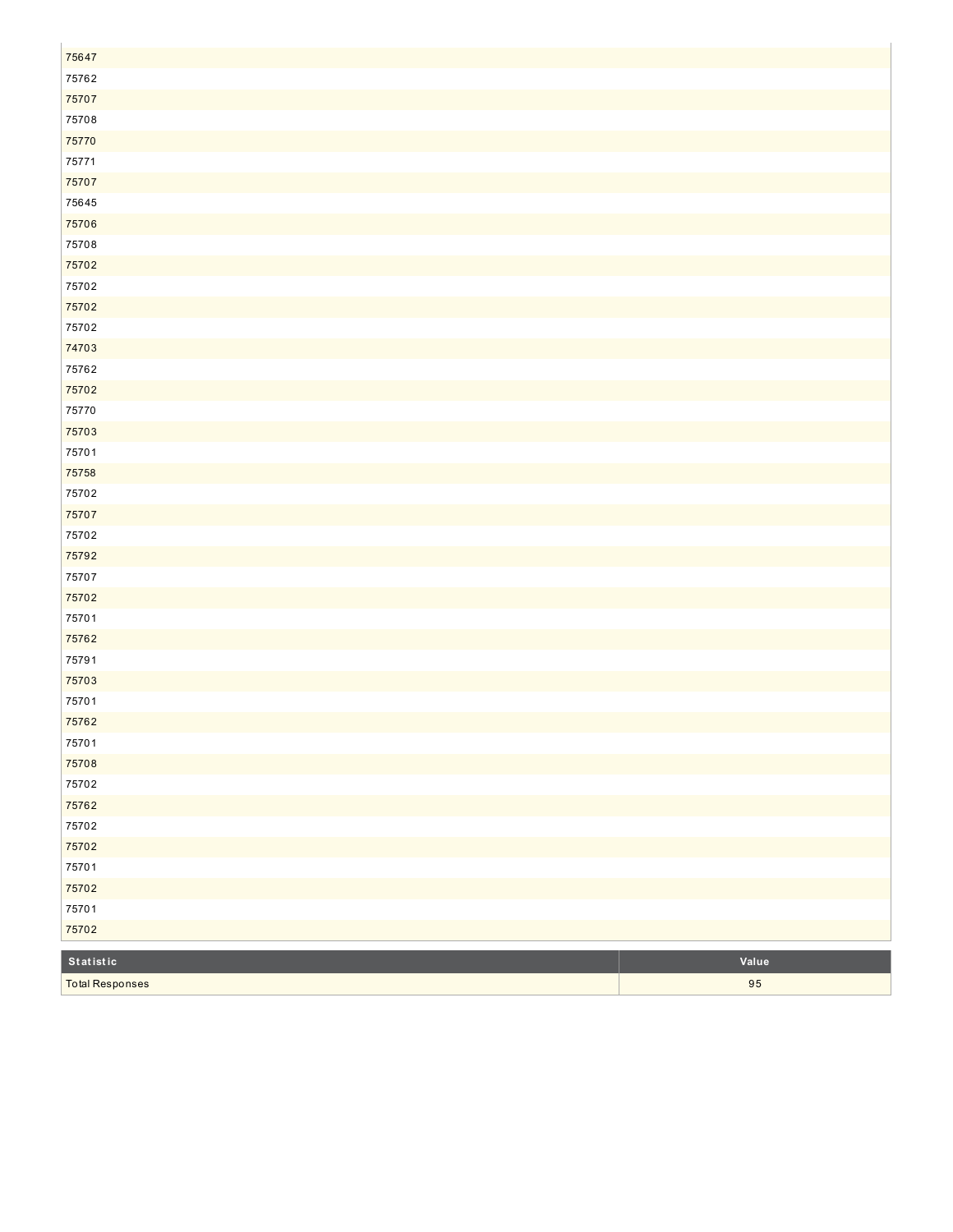| 75647     |       |
|-----------|-------|
| 75762     |       |
| 75707     |       |
| 75708     |       |
| 75770     |       |
| 75771     |       |
| 75707     |       |
| 75645     |       |
| 75706     |       |
| 75708     |       |
| 75702     |       |
| 75702     |       |
| 75702     |       |
| 75702     |       |
| 74703     |       |
| 75762     |       |
| 75702     |       |
| 75770     |       |
| 75703     |       |
| 75701     |       |
| 75758     |       |
| 75702     |       |
| 75707     |       |
| 75702     |       |
| 75792     |       |
| 75707     |       |
| 75702     |       |
| 75701     |       |
| 75762     |       |
| 75791     |       |
| 75703     |       |
| 75701     |       |
| 75762     |       |
| 75701     |       |
| 75708     |       |
| 75702     |       |
| 75762     |       |
| 75702     |       |
| 75702     |       |
| 75701     |       |
| 75702     |       |
| 75701     |       |
| 75702     |       |
| Statistic | Value |

5

Total Responses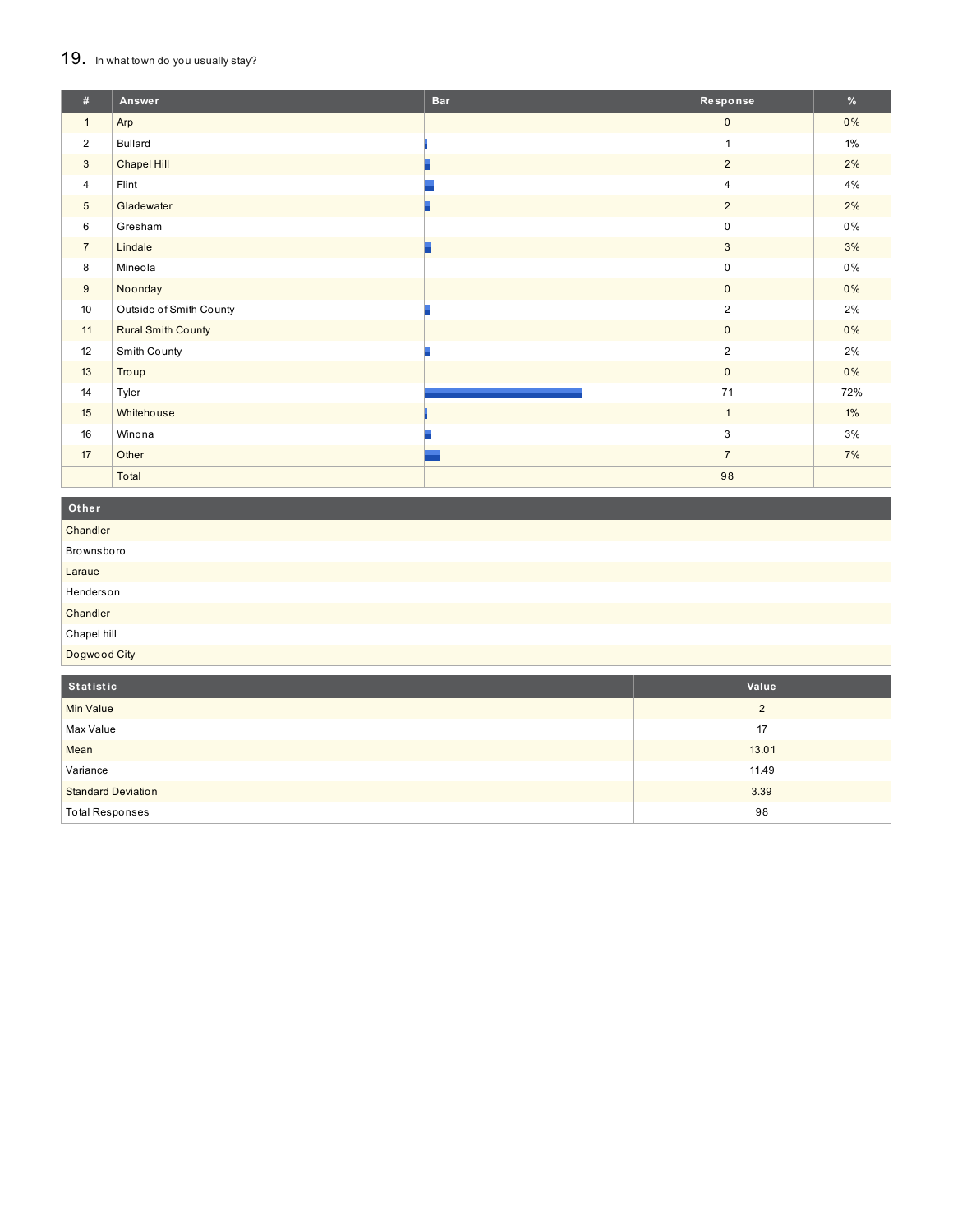#### 19. In what town do you usually stay?

| #               | Answer                    | <b>Bar</b> | Response       | $\%$  |
|-----------------|---------------------------|------------|----------------|-------|
| $\mathbf{1}$    | Arp                       |            | $\mathbf 0$    | $0\%$ |
| $\overline{2}$  | <b>Bullard</b>            |            | $\mathbf{1}$   | 1%    |
| 3               | Chapel Hill               |            | $\overline{2}$ | 2%    |
| $\overline{4}$  | Flint                     |            | 4              | 4%    |
| $5\phantom{.0}$ | Gladewater                |            | $\overline{2}$ | 2%    |
| 6               | Gresham                   |            | 0              | $0\%$ |
| $\overline{7}$  | Lindale                   |            | $\mathbf{3}$   | 3%    |
| 8               | Mineola                   |            | 0              | 0%    |
| 9               | Noonday                   |            | $\overline{0}$ | 0%    |
| 10              | Outside of Smith County   |            | $\overline{2}$ | 2%    |
| 11              | <b>Rural Smith County</b> |            | $\mathbf{0}$   | 0%    |
| 12              | Smith County              |            | $\overline{2}$ | 2%    |
| 13              | Troup                     |            | $\mathbf{0}$   | $0\%$ |
| 14              | Tyler                     |            | 71             | 72%   |
| 15              | Whitehouse                |            | $\mathbf{1}$   | $1\%$ |
| 16              | Winona                    |            | 3              | 3%    |
| 17              | Other                     |            | $\overline{7}$ | 7%    |
|                 | Total                     |            | 98             |       |

| Other            |       |
|------------------|-------|
| Chandler         |       |
| Brownsboro       |       |
| Laraue           |       |
| Henderson        |       |
| Chandler         |       |
| Chapel hill      |       |
| Dogwood City     |       |
| Statistic        | Value |
| <b>Min Value</b> | 2     |
| Max Value        | 17    |

| Max Value                 |       |
|---------------------------|-------|
| Mean                      | 13.01 |
| Variance                  | 11.49 |
| <b>Standard Deviation</b> | 3.39  |
| <b>Total Responses</b>    | 98    |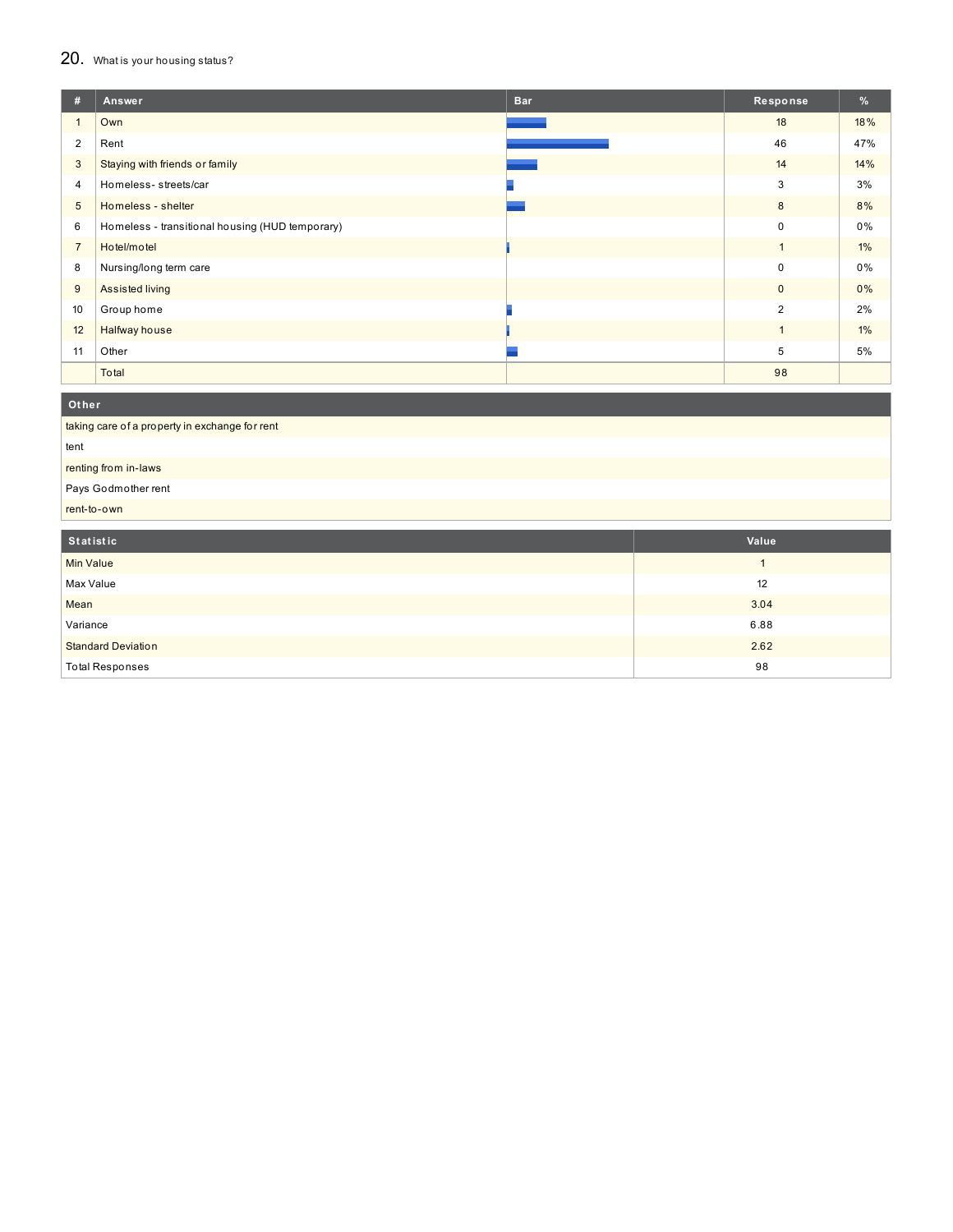### 20. What is your housing status?

| #              | Answer                                          | <b>Bar</b> | Response       | %     |
|----------------|-------------------------------------------------|------------|----------------|-------|
|                | Own                                             |            | 18             | 18%   |
| 2              | Rent                                            |            | 46             | 47%   |
| $\mathbf{3}$   | Staying with friends or family                  |            | 14             | 14%   |
| $\overline{4}$ | Homeless- streets/car                           |            | 3              | 3%    |
| 5              | Homeless - shelter                              |            | 8              | 8%    |
| 6              | Homeless - transitional housing (HUD temporary) |            | $\mathbf 0$    | 0%    |
| $\overline{7}$ | Hotel/motel                                     |            | $\mathbf{1}$   | $1\%$ |
| 8              | Nursing/long term care                          |            | 0              | 0%    |
| 9              | Assisted living                                 |            | $\mathbf 0$    | 0%    |
| 10             | Group home                                      |            | $\overline{2}$ | 2%    |
| 12             | Halfway house                                   |            | $\mathbf{1}$   | $1\%$ |
| 11             | Other                                           |            | 5              | 5%    |
|                | Total                                           |            | 98             |       |
| Other          |                                                 |            |                |       |

| Statistic                                      | Value |
|------------------------------------------------|-------|
| rent-to-own                                    |       |
| Pays Godmother rent                            |       |
| renting from in-laws                           |       |
| tent                                           |       |
| taking care of a property in exchange for rent |       |

| <b>Statistic</b>          | value |
|---------------------------|-------|
| <b>Min Value</b>          |       |
| Max Value                 | 12    |
| Mean                      | 3.04  |
| Variance                  | 6.88  |
| <b>Standard Deviation</b> | 2.62  |
| <b>Total Responses</b>    | 98    |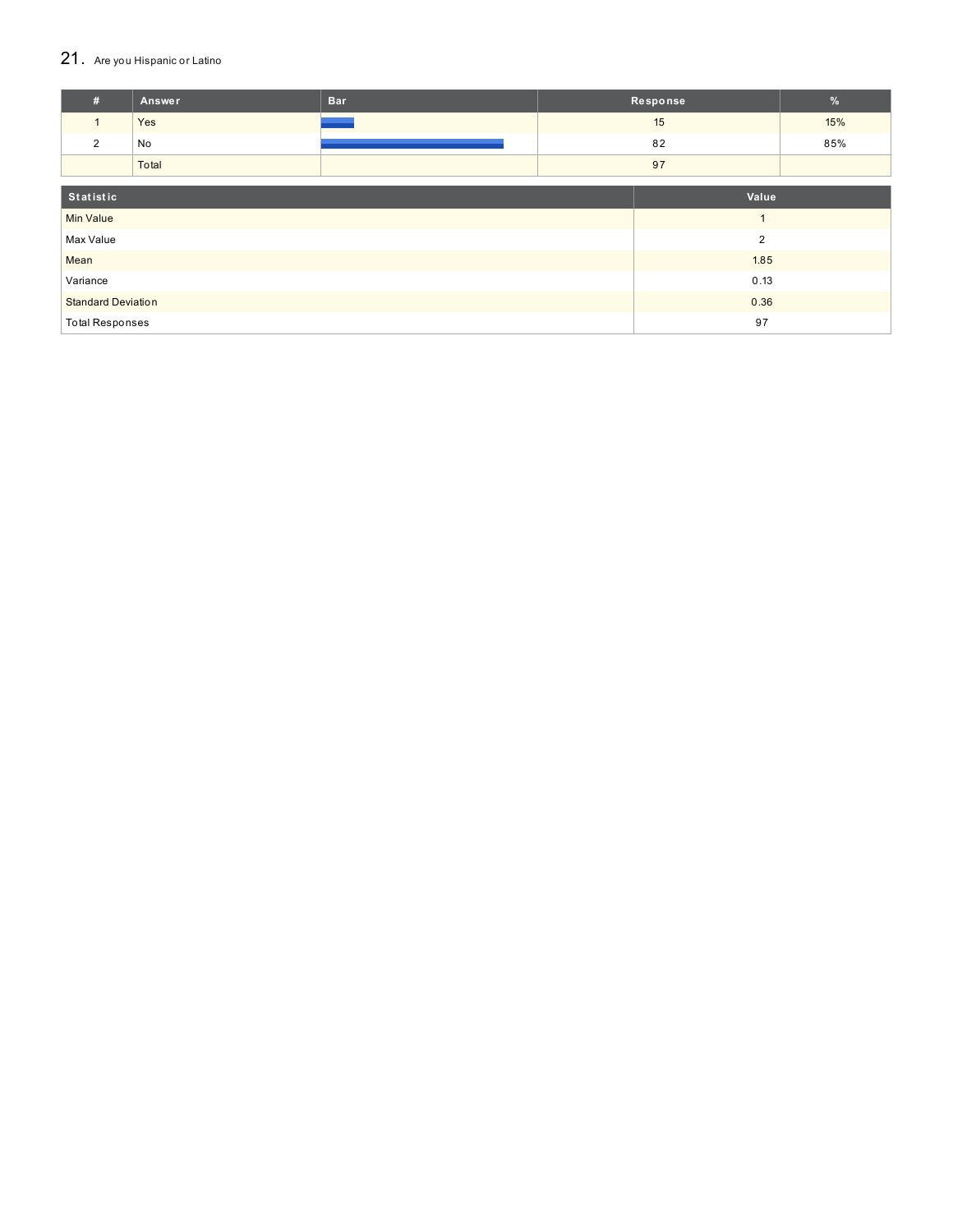### 21. Are you Hispanic or Latino

| #                            | Answer                            | <b>Bar</b>     |    | Response       | $\frac{9}{6}$ |
|------------------------------|-----------------------------------|----------------|----|----------------|---------------|
| $\mathbf{1}$                 | Yes                               |                |    | 15             | 15%           |
| $\overline{2}$               | No                                |                |    | 82             | 85%           |
|                              | Total                             |                | 97 |                |               |
| Statistic<br>Value           |                                   |                |    |                |               |
| <b>Min Value</b>             |                                   |                |    | $\overline{ }$ |               |
|                              |                                   | $\overline{2}$ |    |                |               |
|                              | Max Value                         |                |    |                |               |
| Mean                         |                                   |                |    | 1.85           |               |
| 0.13<br>Variance             |                                   |                |    |                |               |
|                              | 0.36<br><b>Standard Deviation</b> |                |    |                |               |
| 97<br><b>Total Responses</b> |                                   |                |    |                |               |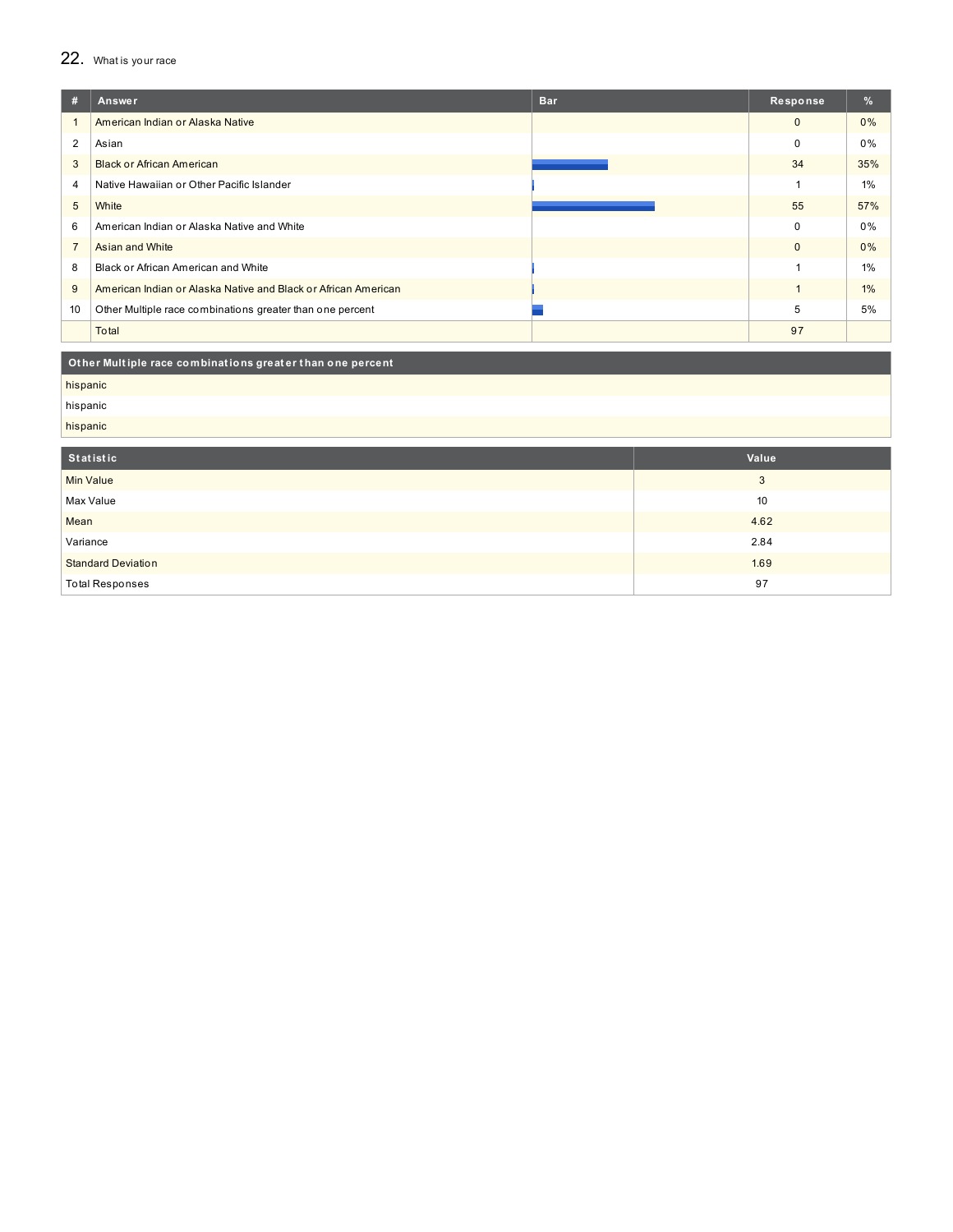### 22. What is your race

| #              | Answer                                                         | <b>Bar</b> | Response     | %     |
|----------------|----------------------------------------------------------------|------------|--------------|-------|
|                | American Indian or Alaska Native                               |            | $\mathbf{0}$ | 0%    |
| $\overline{2}$ | Asian                                                          |            | 0            | 0%    |
| 3              | <b>Black or African American</b>                               |            | 34           | 35%   |
| 4              | Native Hawaiian or Other Pacific Islander                      |            |              | 1%    |
| 5              | White                                                          |            | 55           | 57%   |
| 6              | American Indian or Alaska Native and White                     |            | 0            | 0%    |
| $\overline{7}$ | Asian and White                                                |            | $\mathbf{0}$ | 0%    |
| 8              | Black or African American and White                            |            |              | 1%    |
| 9              | American Indian or Alaska Native and Black or African American |            |              | $1\%$ |
| 10             | Other Multiple race combinations greater than one percent      |            | 5            | 5%    |
|                | Total                                                          |            | 97           |       |
|                |                                                                |            |              |       |

| Other Multiple race combinations greater than one percent |       |
|-----------------------------------------------------------|-------|
| hispanic                                                  |       |
| hispanic                                                  |       |
| hispanic                                                  |       |
|                                                           |       |
| Statistic                                                 | Value |
| <b>Min Value</b>                                          | 3     |
| Max Value                                                 | 10    |
| Mean                                                      | 4.62  |
| Variance                                                  | 2.84  |
| <b>Standard Deviation</b>                                 | 1.69  |
| <b>Total Responses</b>                                    | 97    |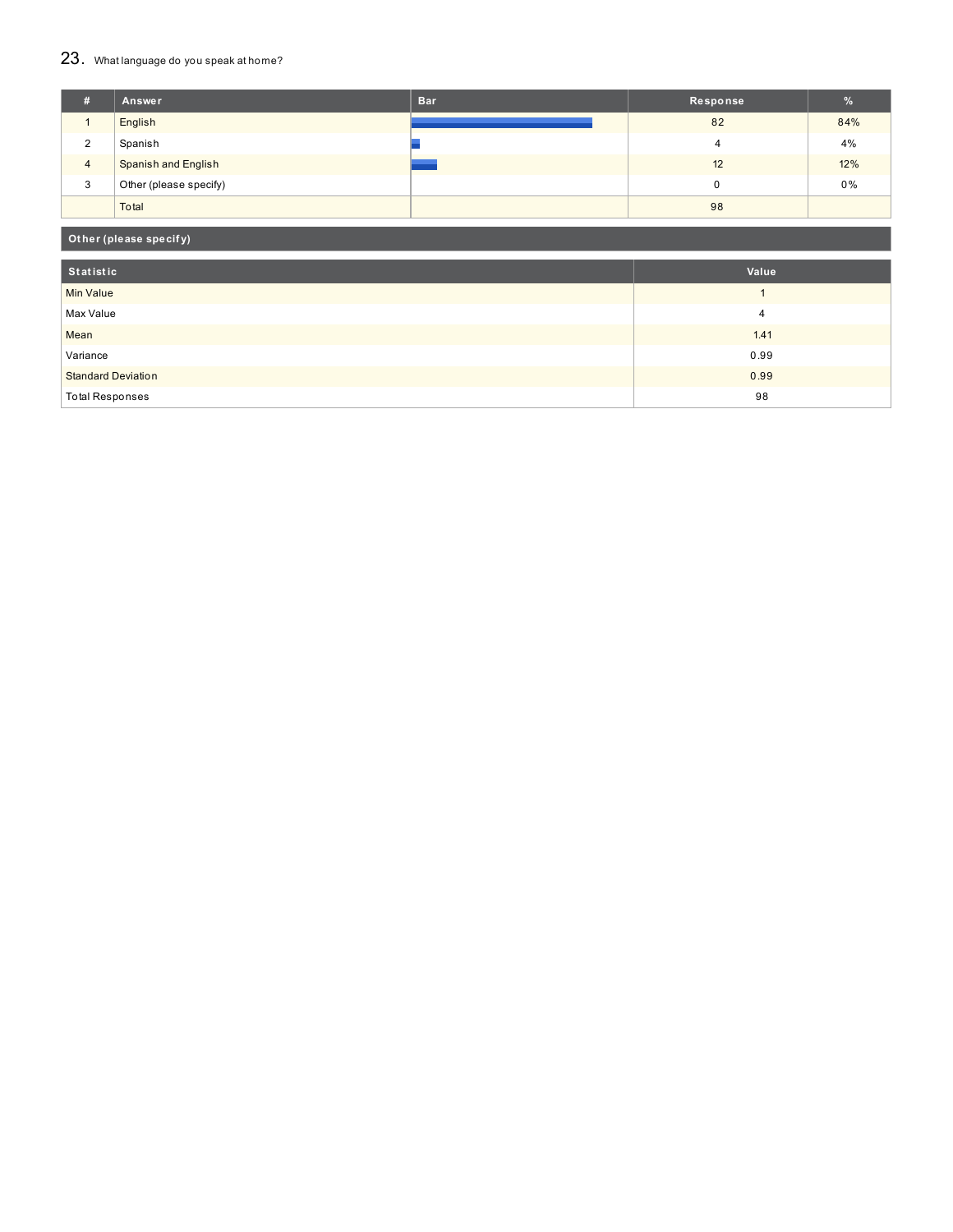## 23. What language do you speak at home?

| #              | Answer                     | <b>Bar</b> | Response | $\mathcal{A}$ |
|----------------|----------------------------|------------|----------|---------------|
|                | English                    |            | 82       | 84%           |
| 2              | Spanish                    |            |          | 4%            |
| $\overline{4}$ | <b>Spanish and English</b> |            | 12       | 12%           |
| 3              | Other (please specify)     |            |          | 0%            |
|                | Total                      |            | 98       |               |

### **Ot her (please specif y)**

| Statistic                 | Value |
|---------------------------|-------|
| <b>Min Value</b>          |       |
| Max Value                 | 4     |
| Mean                      | 1.41  |
| Variance                  | 0.99  |
| <b>Standard Deviation</b> | 0.99  |
| <b>Total Responses</b>    | 98    |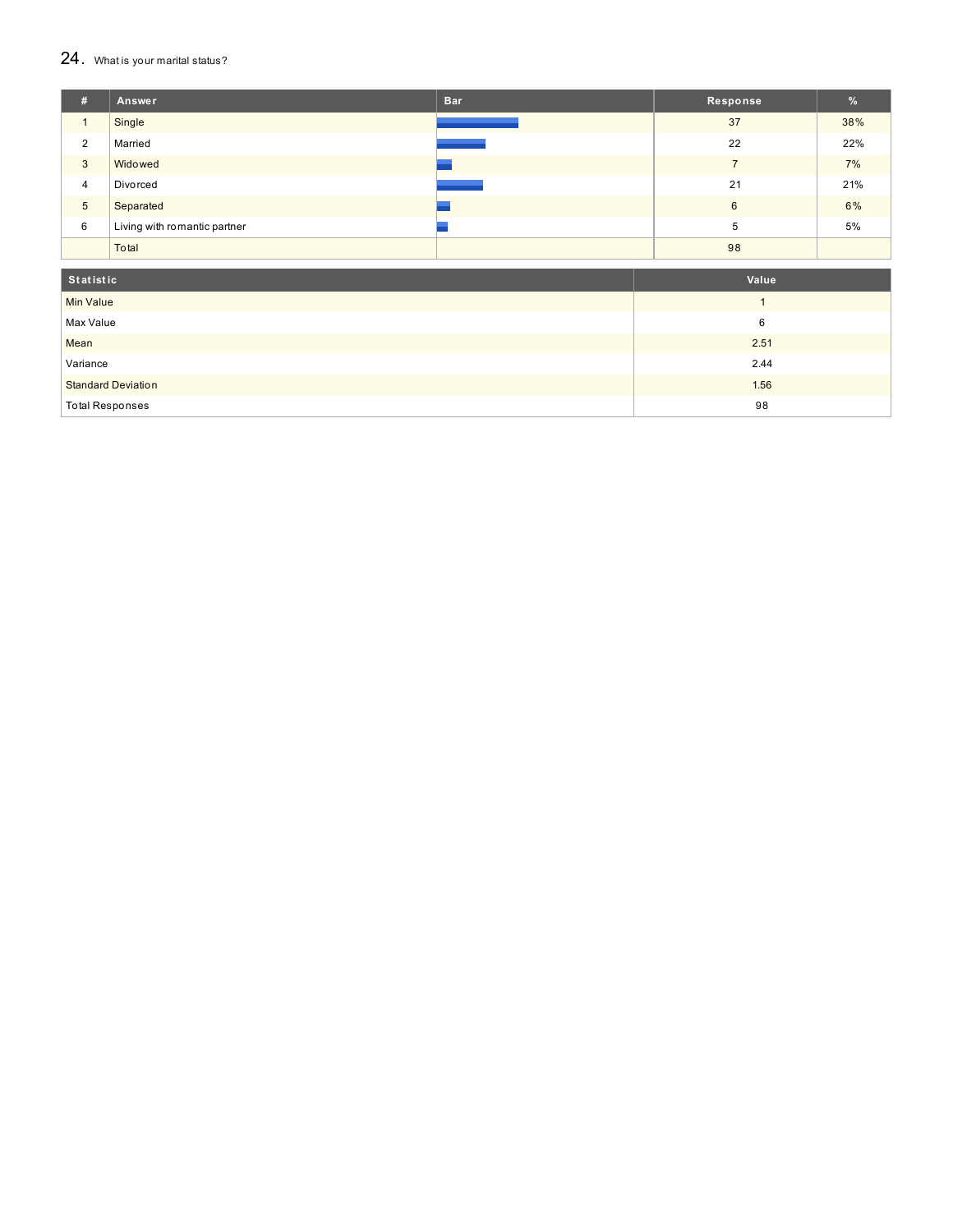#### $24.$  What is your marital status?

| #               | Answer                       | <b>Bar</b> | Response | %   |
|-----------------|------------------------------|------------|----------|-----|
|                 | Single                       |            | 37       | 38% |
| $\overline{2}$  | Married                      |            | 22       | 22% |
| 3               | Widowed                      |            |          | 7%  |
| $\overline{4}$  | Divorced                     |            | 21       | 21% |
| $5\overline{)}$ | Separated                    |            | 6        | 6%  |
| 6               | Living with romantic partner |            | 5        | 5%  |
|                 | Total                        |            | 98       |     |

| Statistic                 | Value |
|---------------------------|-------|
| <b>Min Value</b>          |       |
| Max Value                 | 6     |
| Mean                      | 2.51  |
| Variance                  | 2.44  |
| <b>Standard Deviation</b> | 1.56  |
| <b>Total Responses</b>    | 98    |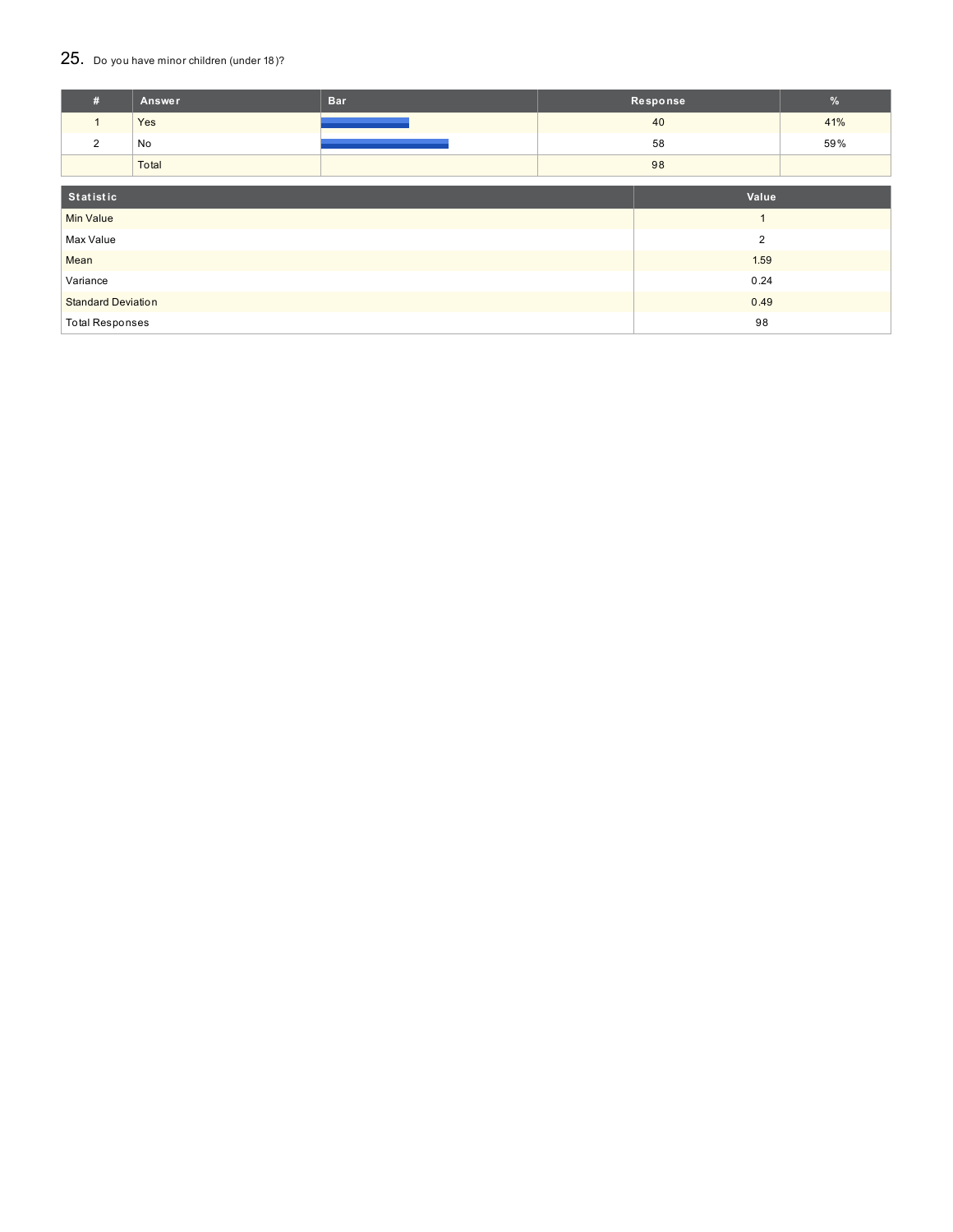### 25. Do you have minor children (under 18)?

| #                            | Answer                            | <b>Bar</b> |  | Response       | $\%$ |
|------------------------------|-----------------------------------|------------|--|----------------|------|
| $\mathbf{1}$                 | Yes                               |            |  | 40             | 41%  |
| 2                            | No                                |            |  | 58             | 59%  |
|                              | Total                             |            |  | 98             |      |
| Statistic<br>Value           |                                   |            |  |                |      |
| <b>Min Value</b>             |                                   |            |  | $\overline{ }$ |      |
| $\overline{2}$<br>Max Value  |                                   |            |  |                |      |
| Mean                         |                                   | 1.59       |  |                |      |
| Variance<br>0.24             |                                   |            |  |                |      |
|                              | <b>Standard Deviation</b><br>0.49 |            |  |                |      |
| 98<br><b>Total Responses</b> |                                   |            |  |                |      |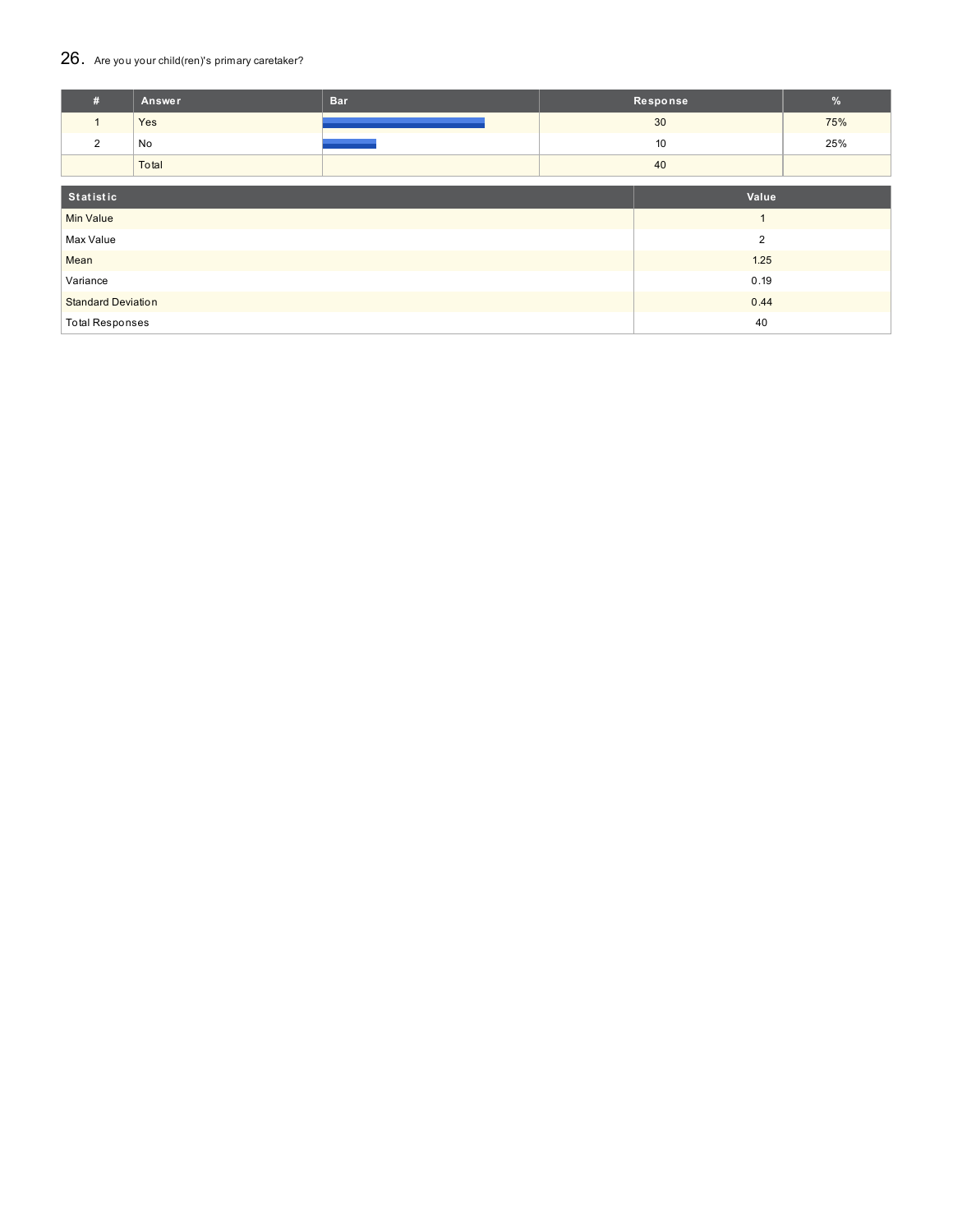### 26. Are you your child(ren)'s primary caretaker?

| #                         | Answer | <b>Bar</b> |                | Response | $\%$ |
|---------------------------|--------|------------|----------------|----------|------|
| $\mathbf{1}$              | Yes    |            | 30             |          | 75%  |
| $\overline{2}$            | No     |            | 10             |          | 25%  |
|                           | Total  |            | 40             |          |      |
|                           |        |            |                |          |      |
| Statistic                 |        |            | Value          |          |      |
| <b>Min Value</b>          |        |            |                |          |      |
| Max Value                 |        |            | $\overline{2}$ |          |      |
| Mean                      |        |            | 1.25           |          |      |
| Variance                  |        |            |                | 0.19     |      |
| <b>Standard Deviation</b> |        |            |                | 0.44     |      |
| <b>Total Responses</b>    |        |            |                | 40       |      |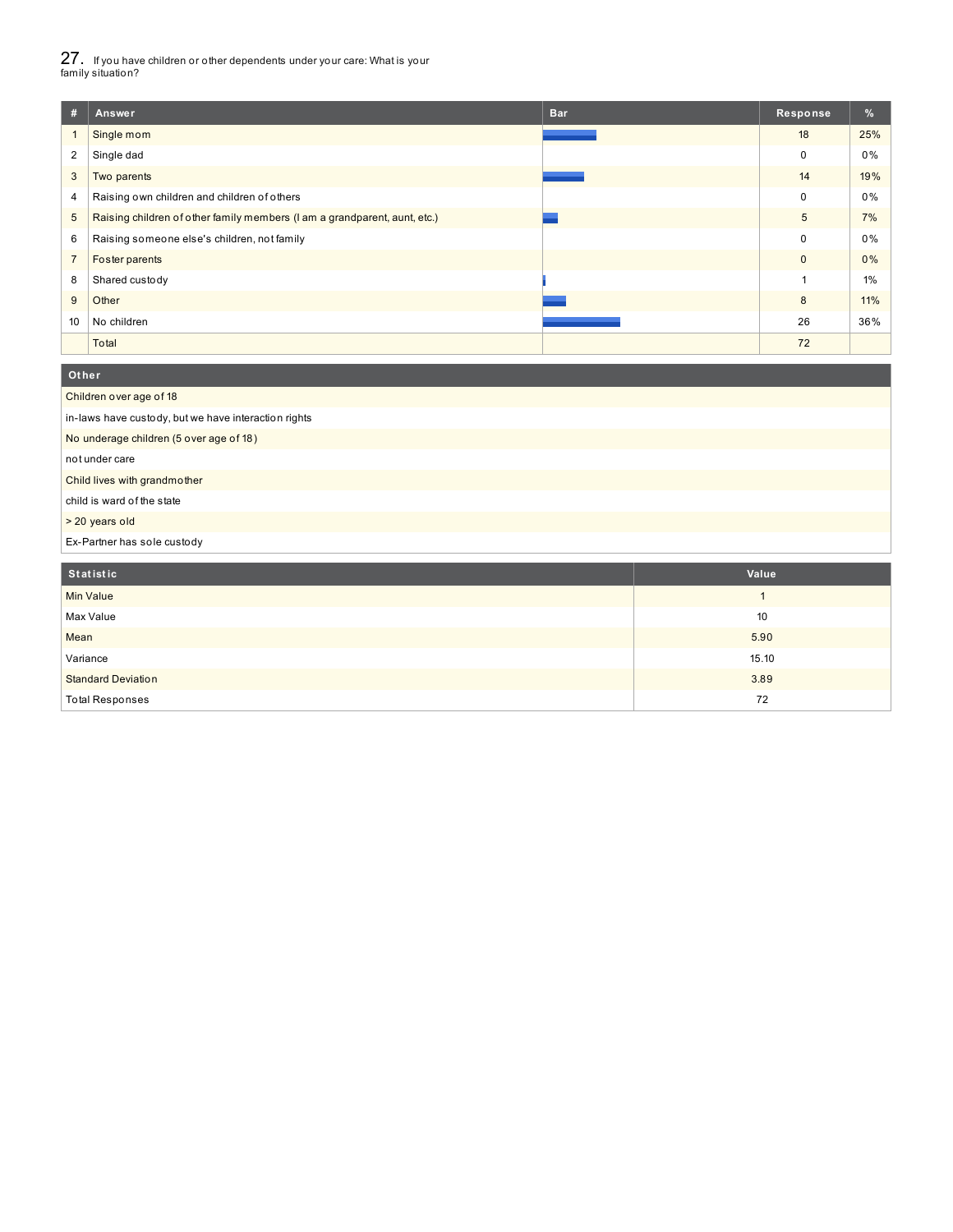27. If you have children or other dependents under your care: What is your family situation?

 $\overline{\mathbf{O}}$ 

| #              | <b>Bar</b><br>Answer                                                      | Response     | %     |
|----------------|---------------------------------------------------------------------------|--------------|-------|
|                | Single mom                                                                | 18           | 25%   |
| 2              | Single dad                                                                | 0            | 0%    |
| 3              | Two parents                                                               | 14           | 19%   |
| 4              | Raising own children and children of others                               | 0            | 0%    |
| 5              | Raising children of other family members (I am a grandparent, aunt, etc.) | 5            | 7%    |
| 6              | Raising someone else's children, not family                               | 0            | 0%    |
| $\overline{7}$ | Foster parents                                                            | $\mathbf{0}$ | $0\%$ |
| 8              | Shared custody                                                            |              | $1\%$ |
| 9              | Other                                                                     | 8            | 11%   |
| 10             | No children                                                               | 26           | 36%   |
|                | Total                                                                     | 72           |       |

| Children over age of 18                              |
|------------------------------------------------------|
| in-laws have custody, but we have interaction rights |
| No underage children (5 over age of 18)              |
| not under care                                       |
| Child lives with grandmother                         |
| child is ward of the state                           |
| > 20 years old                                       |
| Ex-Partner has sole custody                          |

| Statistic                 | Value |
|---------------------------|-------|
| Min Value                 |       |
| Max Value                 | 10    |
| Mean                      | 5.90  |
| Variance                  | 15.10 |
| <b>Standard Deviation</b> | 3.89  |
| <b>Total Responses</b>    | 72    |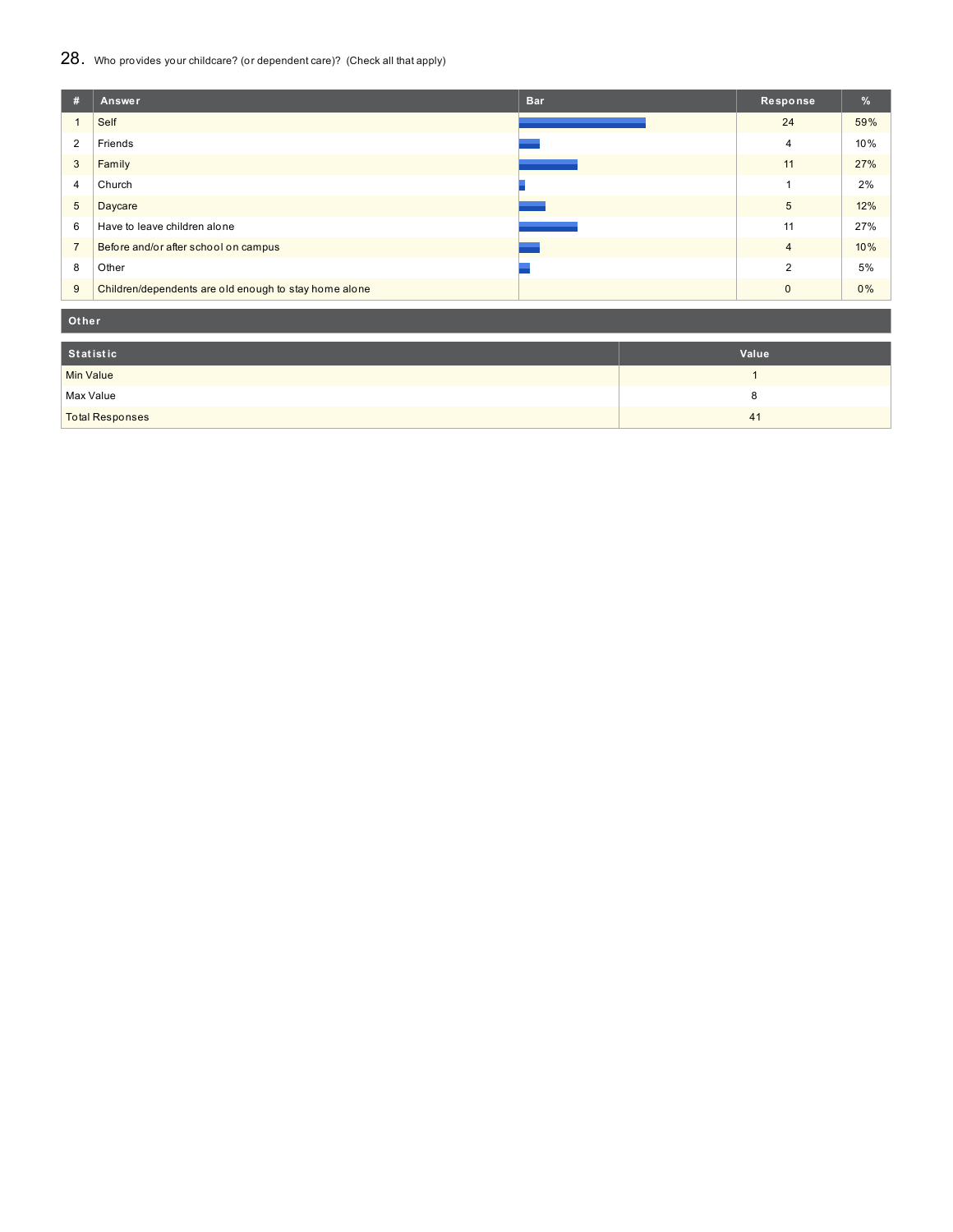### 28. Who provides your childcare? (or dependent care)? (Check all that apply)

| #              | <b>Bar</b><br>Answer                                  | Response       | $\frac{9}{6}$ |
|----------------|-------------------------------------------------------|----------------|---------------|
|                | Self                                                  | 24             | 59%           |
| 2              | Friends                                               | $\overline{4}$ | 10%           |
| 3              | Family                                                | 11             | 27%           |
| 4              | Church                                                |                | 2%            |
| 5              | Daycare                                               | 5              | 12%           |
| 6              | Have to leave children alone                          | 11             | 27%           |
| $\overline{7}$ | Before and/or after school on campus                  | $\overline{4}$ | 10%           |
| 8              | Other                                                 | $\overline{2}$ | 5%            |
| 9              | Children/dependents are old enough to stay home alone | $\Omega$       | 0%            |

**Ot her**

| Statistic              | Value |
|------------------------|-------|
| Min Value              |       |
| Max Value              |       |
| <b>Total Responses</b> | 41    |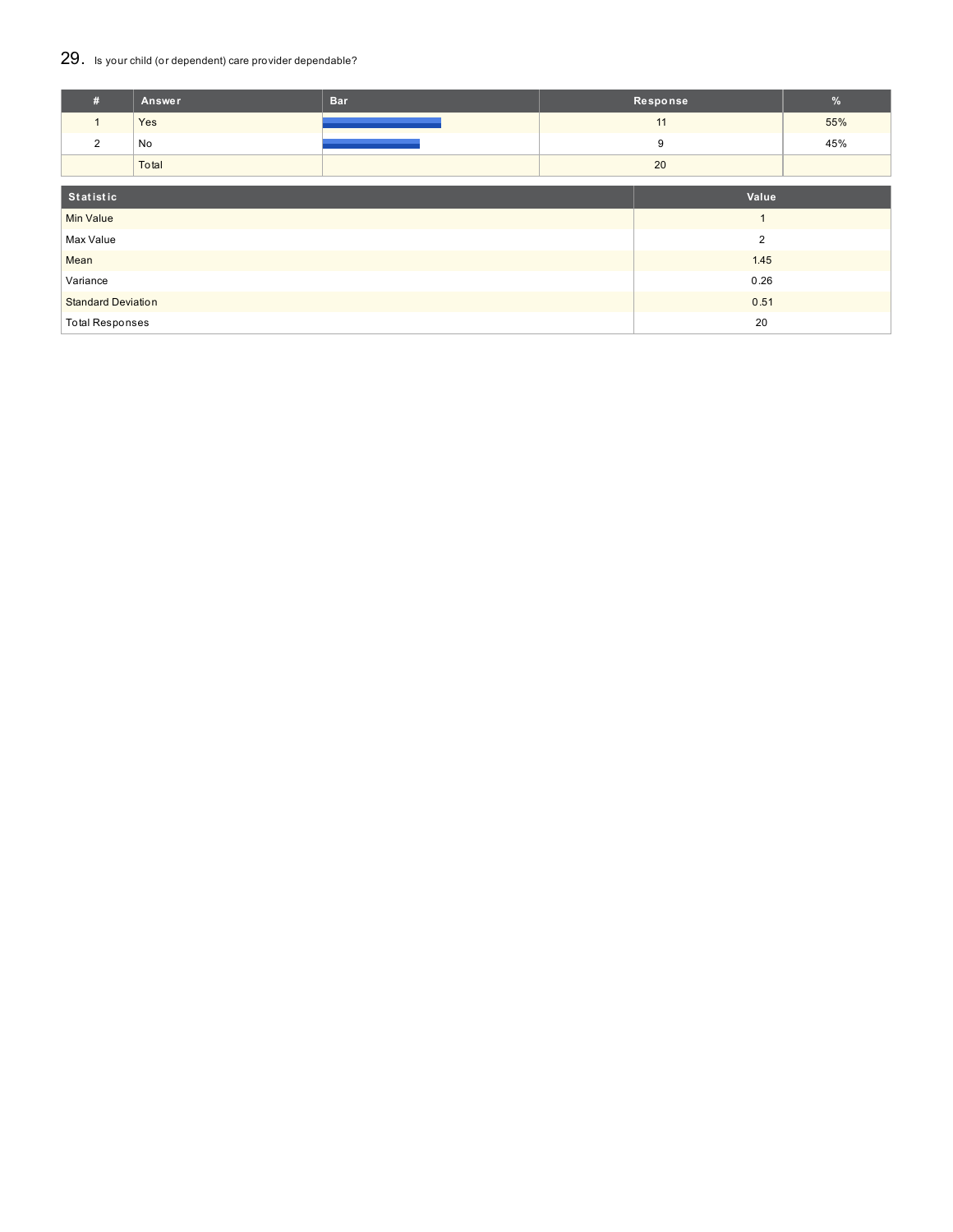### 29. Is your child (or dependent) care provider dependable?

| #                         | Answer | <b>Bar</b> |                | Response | $\%$ |
|---------------------------|--------|------------|----------------|----------|------|
|                           | Yes    |            |                | 11       | 55%  |
| $\overline{2}$            | No     |            | 9              |          | 45%  |
|                           | Total  |            |                | 20       |      |
| Statistic                 |        |            |                | Value    |      |
| <b>Min Value</b>          |        |            | $\overline{A}$ |          |      |
| Max Value                 |        |            | $\overline{2}$ |          |      |
| Mean                      |        |            | 1.45           |          |      |
| Variance                  |        |            | 0.26           |          |      |
| <b>Standard Deviation</b> |        |            | 0.51           |          |      |
| <b>Total Responses</b>    |        |            | 20             |          |      |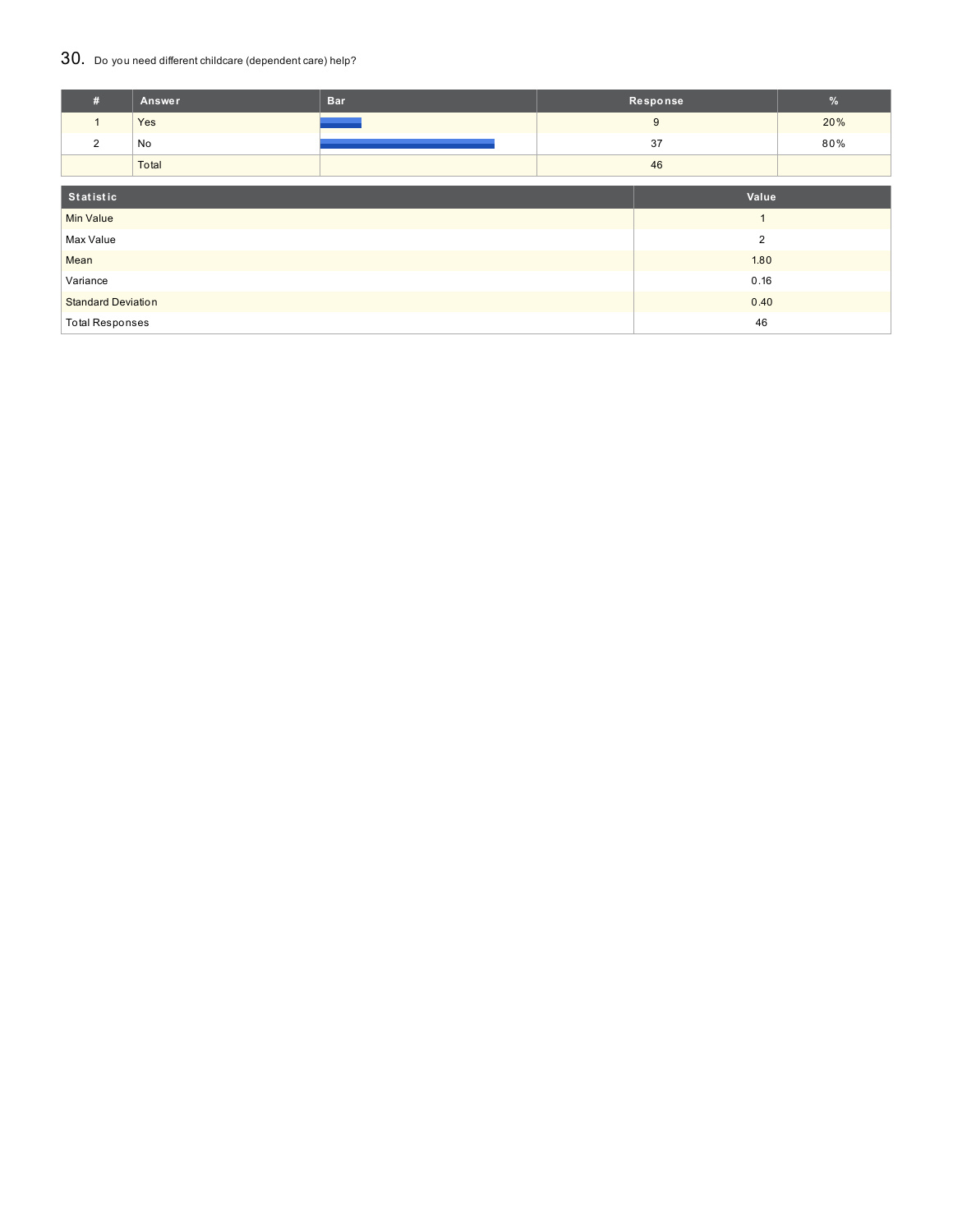### 30. Do you need different childcare (dependent care) help?

| #                         | Answer | <b>Bar</b> |                | Response | $\frac{9}{6}$ |
|---------------------------|--------|------------|----------------|----------|---------------|
| $\mathbf{1}$              | Yes    |            |                | 9        | 20%           |
| 2                         | No     |            | 37             |          | 80%           |
|                           | Total  |            |                | 46       |               |
|                           |        |            |                |          |               |
| Statistic                 |        |            |                | Value    |               |
| <b>Min Value</b>          |        |            | $\overline{ }$ |          |               |
| Max Value                 |        |            | $\overline{2}$ |          |               |
| Mean                      |        |            | 1.80           |          |               |
| Variance                  |        |            | 0.16           |          |               |
| <b>Standard Deviation</b> |        |            |                | 0.40     |               |
| <b>Total Responses</b>    |        |            |                | 46       |               |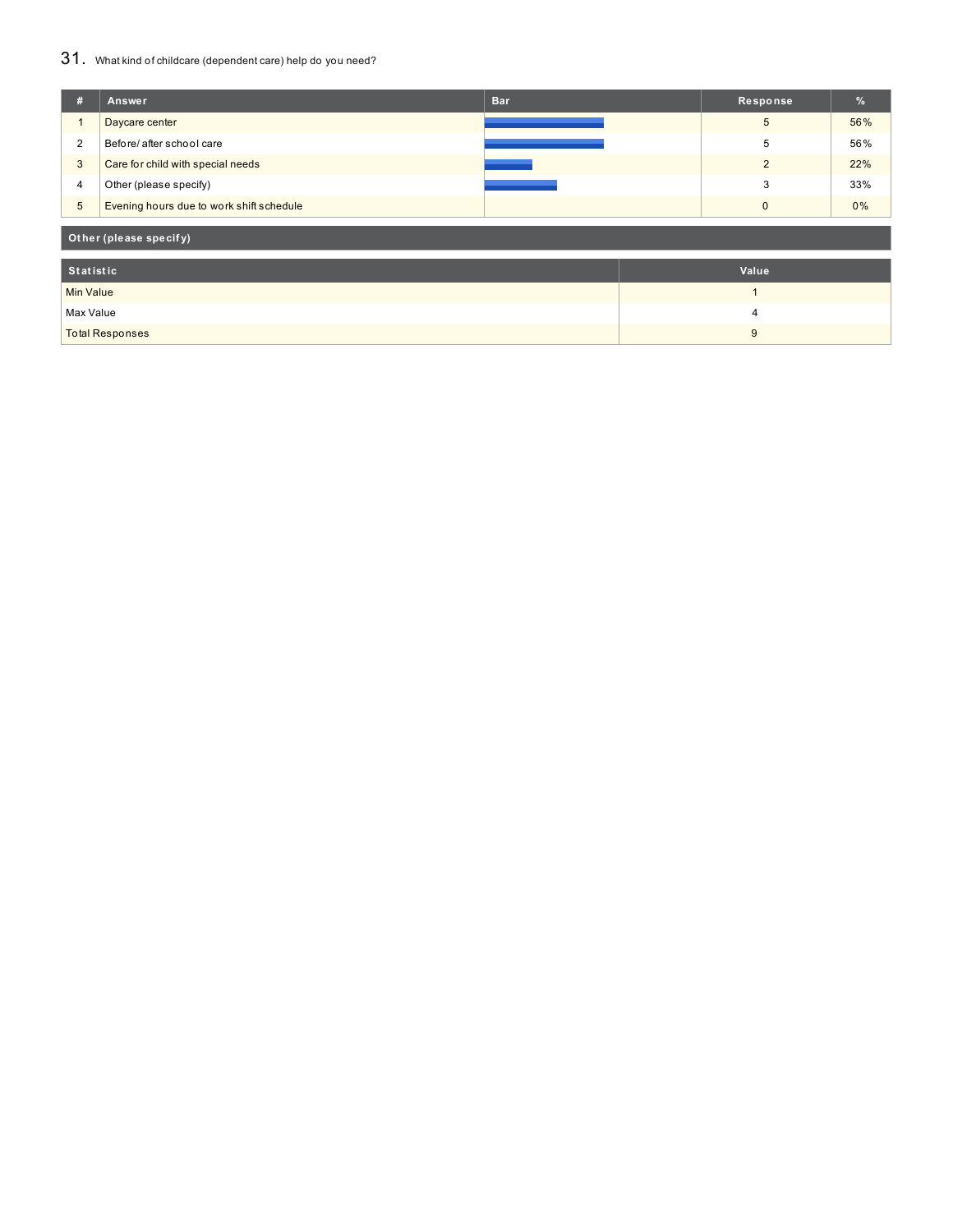### 31. What kind of childcare (dependent care) help do you need?

| #                      | Answer                                   | <b>Bar</b> | Response       | %   |  |
|------------------------|------------------------------------------|------------|----------------|-----|--|
|                        | Daycare center                           |            | 5              | 56% |  |
| $\overline{2}$         | Before/ after school care                |            | 5              | 56% |  |
| 3                      | Care for child with special needs        |            | $\overline{2}$ | 22% |  |
| 4                      | Other (please specify)                   |            | 3              | 33% |  |
| $\overline{5}$         | Evening hours due to work shift schedule |            | 0              | 0%  |  |
| Other (please specify) |                                          |            |                |     |  |
| <b>Statistic</b>       |                                          |            | Value          |     |  |
| <b>Min Value</b>       |                                          |            | $\overline{ }$ |     |  |
| Max Value              |                                          |            | 4              |     |  |
| <b>Total Responses</b> |                                          |            | 9              |     |  |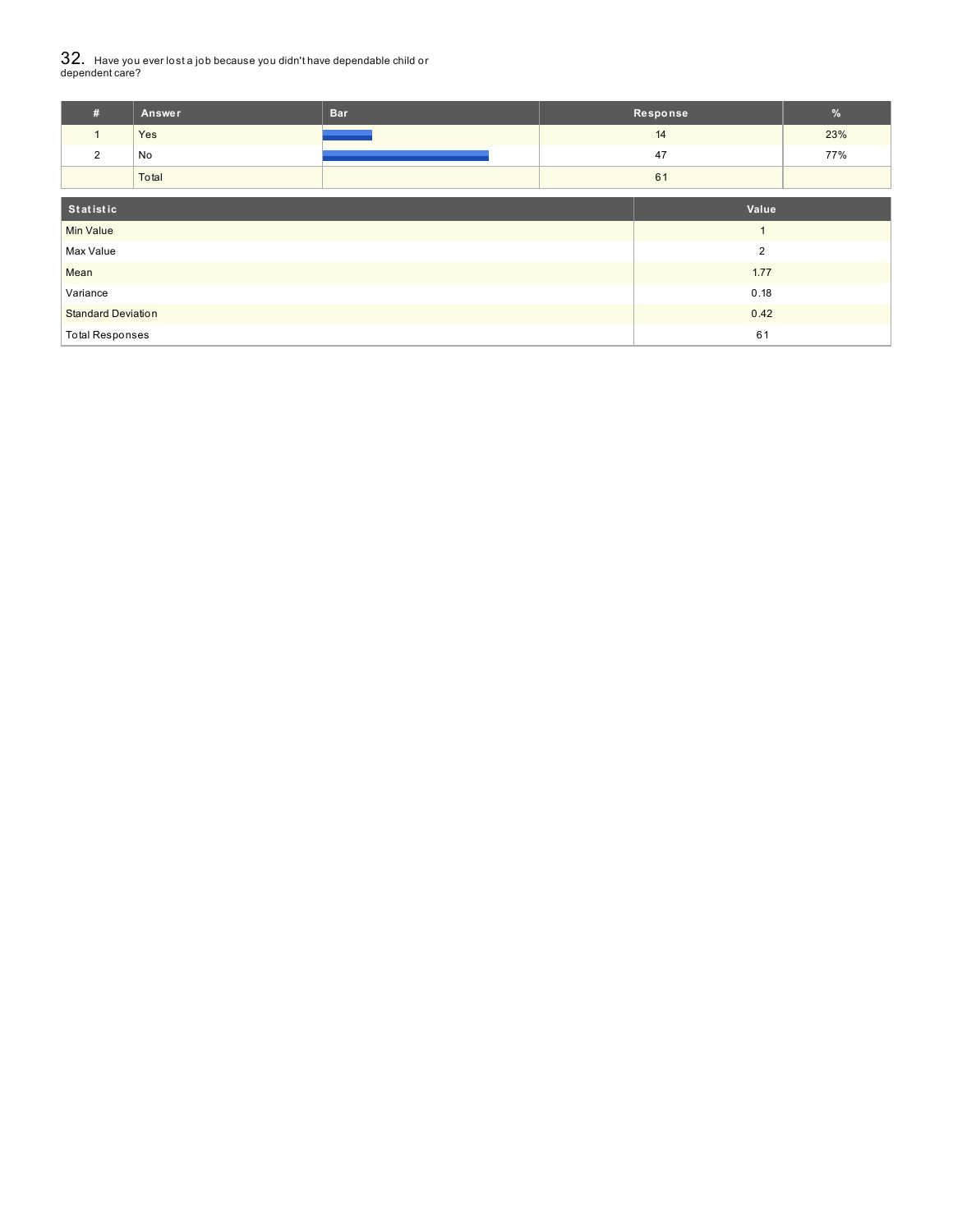# $32_\cdot\,$  Have you ever lost a job because you didn't have dependable child or<br>dependent care?

| $\#$                      | Answer | <b>Bar</b> | Response       | %   |
|---------------------------|--------|------------|----------------|-----|
| $\mathbf{1}$              | Yes    |            | 14             | 23% |
| $\overline{2}$            | No     |            | 47             | 77% |
|                           | Total  |            | 61             |     |
| Statistic                 |        |            | Value          |     |
| <b>Min Value</b>          |        |            | $\overline{1}$ |     |
| Max Value                 |        |            | $\overline{2}$ |     |
| Mean                      |        |            | 1.77           |     |
| Variance                  |        |            | 0.18           |     |
| <b>Standard Deviation</b> |        |            | 0.42           |     |
| <b>Total Responses</b>    |        |            | 61             |     |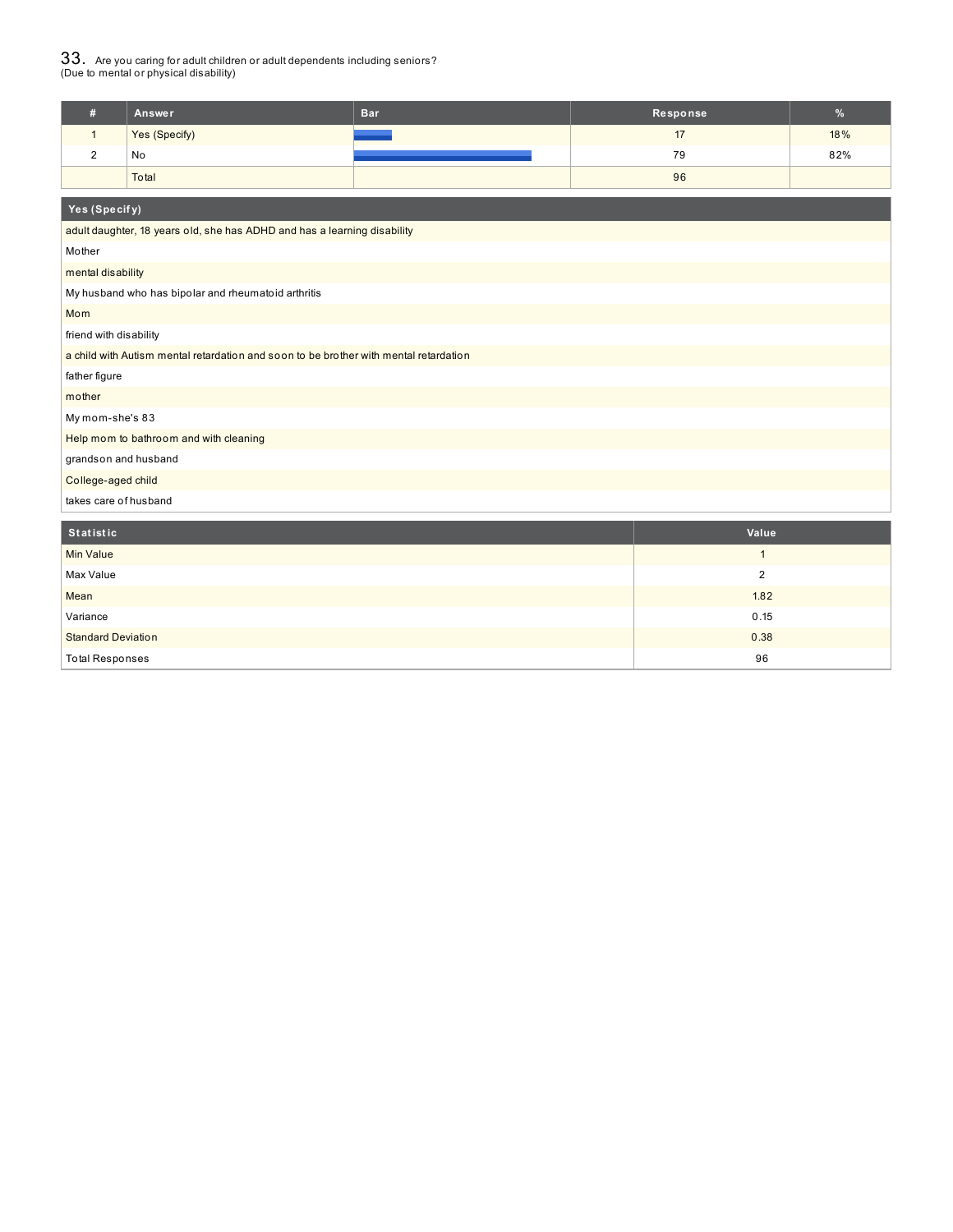$33_\cdot$  Are you caring for adult children or adult dependents including seniors?<br>(Due to mental or physical disability)

|   | Answer        | <b>Bar</b> | Response | $\overline{a}$<br>Yo. |
|---|---------------|------------|----------|-----------------------|
|   | Yes (Specify) |            |          | 18%                   |
| - | No            |            | 79       | 82%                   |
|   | Total         |            | 96       |                       |

| Yes (Specify)                                                                         |                |
|---------------------------------------------------------------------------------------|----------------|
| adult daughter, 18 years old, she has ADHD and has a learning disability              |                |
| Mother                                                                                |                |
| mental disability                                                                     |                |
| My husband who has bipolar and rheumatoid arthritis                                   |                |
| Mom                                                                                   |                |
| friend with disability                                                                |                |
| a child with Autism mental retardation and soon to be brother with mental retardation |                |
| father figure                                                                         |                |
| mother                                                                                |                |
| My mom-she's 83                                                                       |                |
| Help mom to bathroom and with cleaning                                                |                |
| grandson and husband                                                                  |                |
| College-aged child                                                                    |                |
| takes care of husband                                                                 |                |
| <b>Statistic</b>                                                                      | Value          |
| <b>Min Value</b>                                                                      | $\mathbf{1}$   |
| Max Value                                                                             | $\overline{2}$ |
| Mean                                                                                  | 1.82           |
| Variance                                                                              | 0.15           |
| <b>Standard Deviation</b>                                                             | 0.38           |
| <b>Total Responses</b>                                                                | 96             |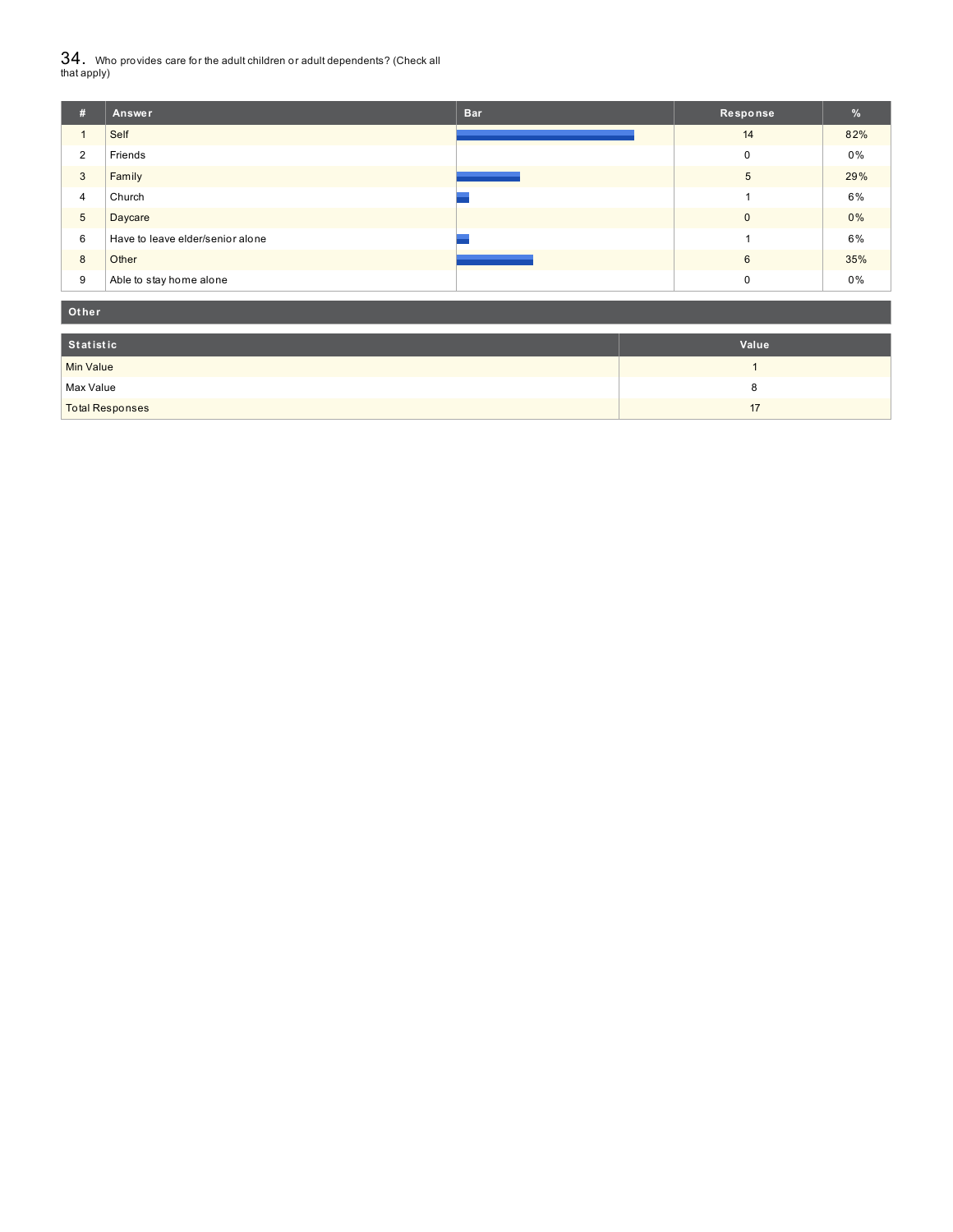${\bf 34}$  . Who provides care for the adult children or adult dependents? (Check all<br>that apply)

| #               | Answer                           | <b>Bar</b> | Response     | %     |
|-----------------|----------------------------------|------------|--------------|-------|
|                 | Self                             |            | 14           | 82%   |
| $\overline{2}$  | Friends                          |            | $\mathbf 0$  | 0%    |
| 3               | Family                           |            | 5            | 29%   |
| 4               | Church                           |            |              | 6%    |
| $5\phantom{.0}$ | Daycare                          |            | $\mathbf{0}$ | 0%    |
| 6               | Have to leave elder/senior alone |            |              | 6%    |
| 8               | Other                            |            | 6            | 35%   |
| 9               | Able to stay home alone          |            | 0            | $0\%$ |

| Other                  |       |
|------------------------|-------|
| Statistic              | Value |
| Min Value              |       |
| Max Value              |       |
| <b>Total Responses</b> | 17    |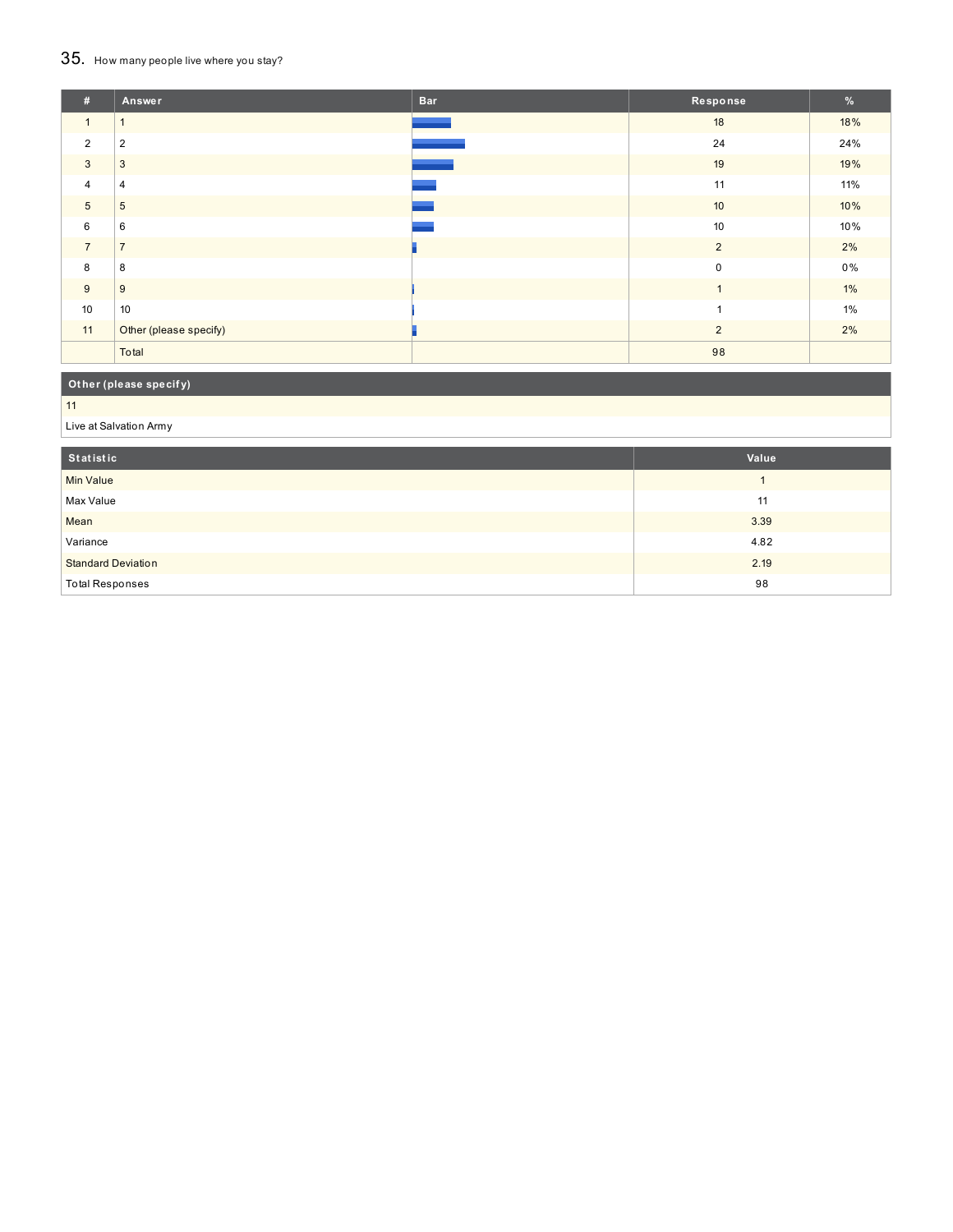## 35. How many people live where you stay?

| #              | <b>Answer</b>          | <b>Bar</b> | Response       | %     |
|----------------|------------------------|------------|----------------|-------|
| $\mathbf{1}$   | $\overline{1}$         |            | 18             | 18%   |
| $\overline{2}$ | $\overline{2}$         |            | 24             | 24%   |
| 3              | 3                      |            | 19             | 19%   |
| $\overline{4}$ | $\overline{4}$         |            | 11             | 11%   |
| $\overline{5}$ | 5                      |            | 10             | 10%   |
| 6              | 6                      |            | 10             | 10%   |
| $\overline{7}$ | $\overline{7}$         |            | $\overline{2}$ | 2%    |
| 8              | 8                      |            | $\mathbf 0$    | $0\%$ |
| 9              | 9                      |            | $\overline{1}$ | $1\%$ |
| 10             | 10                     |            | $\overline{1}$ | 1%    |
| 11             | Other (please specify) |            | $\overline{2}$ | 2%    |
|                | Total                  |            | 98             |       |

## **Ot her (please specif y)**

11

#### Live at Salvation Army

| Statistic                 | Value |
|---------------------------|-------|
| <b>Min Value</b>          |       |
| Max Value                 | 11    |
| Mean                      | 3.39  |
| Variance                  | 4.82  |
| <b>Standard Deviation</b> | 2.19  |
| <b>Total Responses</b>    | 98    |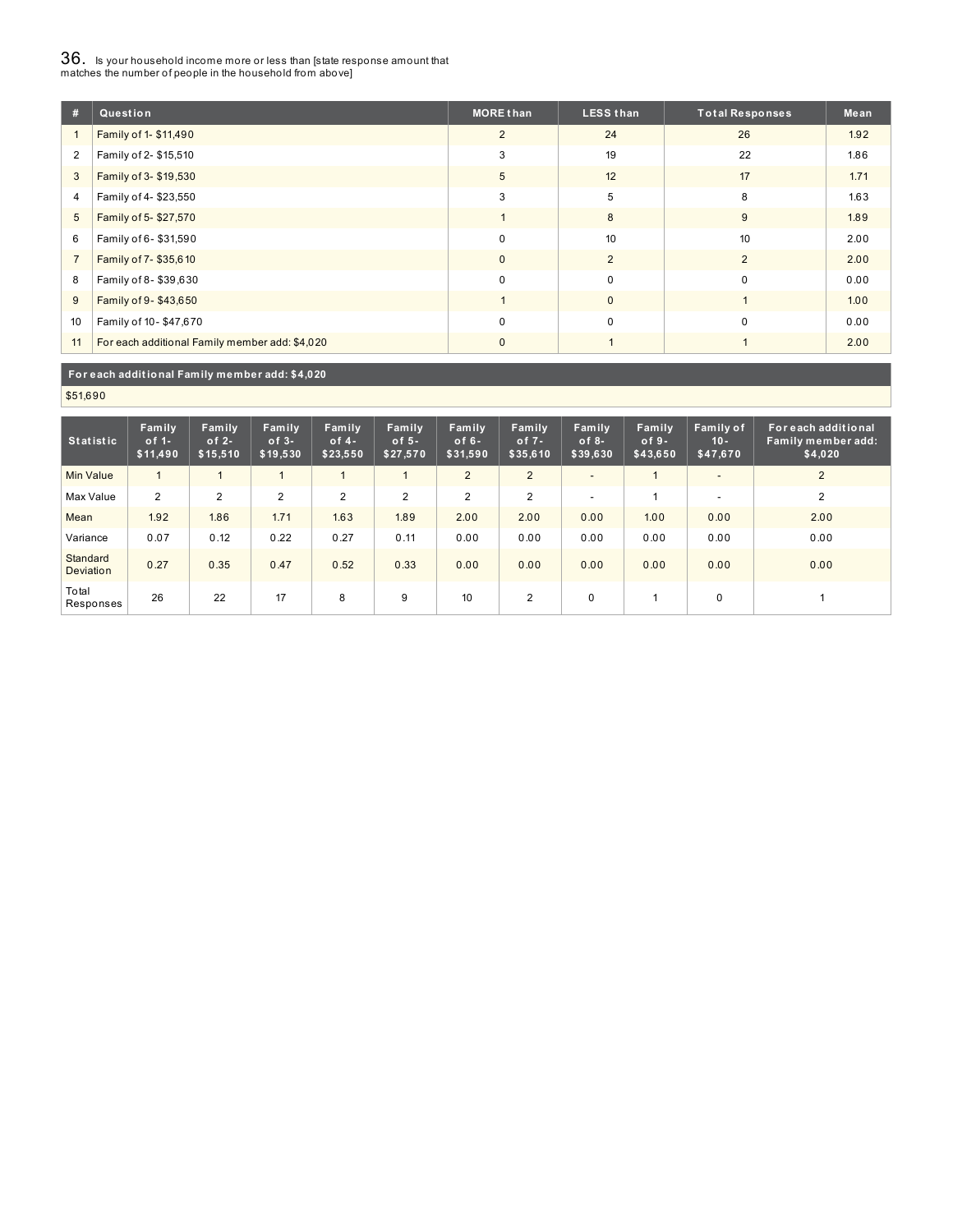# $36_\cdot$  is your household income more or less than [state response amount that<br>matches the number of people in the household from above]

| #              | Question                                       | <b>MORE than</b> | <b>LESS than</b> | <b>Total Responses</b> | Mean |
|----------------|------------------------------------------------|------------------|------------------|------------------------|------|
|                | Family of 1- \$11,490                          | $\overline{2}$   | 24               | 26                     | 1.92 |
| $\overline{2}$ | Family of 2- \$15,510                          | 3                | 19               | 22                     | 1.86 |
| 3              | Family of 3- \$19,530                          | 5                | 12               | 17                     | 1.71 |
| 4              | Family of 4-\$23,550                           | 3                | 5                | 8                      | 1.63 |
| 5              | Family of 5-\$27,570                           |                  | 8                | 9                      | 1.89 |
| 6              | Family of 6-\$31,590                           | $\Omega$         | 10               | 10                     | 2.00 |
| $\overline{7}$ | Family of 7-\$35,610                           | $\mathbf{0}$     | 2                | $\overline{2}$         | 2.00 |
| 8              | Family of 8-\$39,630                           | $\mathbf 0$      | $\mathbf 0$      | $\Omega$               | 0.00 |
| 9              | Family of 9-\$43,650                           |                  | $\mathbf{0}$     |                        | 1.00 |
| 10             | Family of 10-\$47,670                          | $\mathbf 0$      | $\mathbf 0$      | $\Omega$               | 0.00 |
| 11             | For each additional Family member add: \$4,020 | $\Omega$         |                  |                        | 2.00 |

#### **For each addit ional Family member add: \$4,020**

\$51,690

| <b>Statistic</b>      | Family<br>$of 1-$<br>\$11,490 | Family<br>of $2-$<br>\$15,510 | Family<br>$of 3-$<br>\$19,530 | Family<br>of $4-$<br>\$23,550 | Family<br>of $5-$<br>\$27,570 | Family<br>of $6-$<br>\$31,590 | Family<br>of $7 -$<br>\$35,610 | Family<br>$of 8-$<br>\$39,630 | Family<br>$of 9-$<br>\$43,650 | Family of<br>$10 -$<br>\$47,670 | For each additional<br>Family member add:<br>\$4,020 |
|-----------------------|-------------------------------|-------------------------------|-------------------------------|-------------------------------|-------------------------------|-------------------------------|--------------------------------|-------------------------------|-------------------------------|---------------------------------|------------------------------------------------------|
| <b>Min Value</b>      | $\mathbf{1}$                  |                               |                               |                               |                               | 2                             | $\overline{2}$                 | -                             |                               | $\overline{\phantom{a}}$        | 2                                                    |
| Max Value             | 2                             | 2                             | 2                             | $\overline{2}$                | 2                             | $\overline{2}$                | 2                              |                               |                               | $\overline{\phantom{a}}$        | 2                                                    |
| Mean                  | 1.92                          | 1.86                          | 1.71                          | 1.63                          | 1.89                          | 2.00                          | 2.00                           | 0.00                          | 1.00                          | 0.00                            | 2.00                                                 |
| Variance              | 0.07                          | 0.12                          | 0.22                          | 0.27                          | 0.11                          | 0.00                          | 0.00                           | 0.00                          | 0.00                          | 0.00                            | 0.00                                                 |
| Standard<br>Deviation | 0.27                          | 0.35                          | 0.47                          | 0.52                          | 0.33                          | 0.00                          | 0.00                           | 0.00                          | 0.00                          | 0.00                            | 0.00                                                 |
| Total<br>Responses    | 26                            | 22                            | 17                            | 8                             | 9                             | 10                            | 2                              | $\Omega$                      |                               | 0                               |                                                      |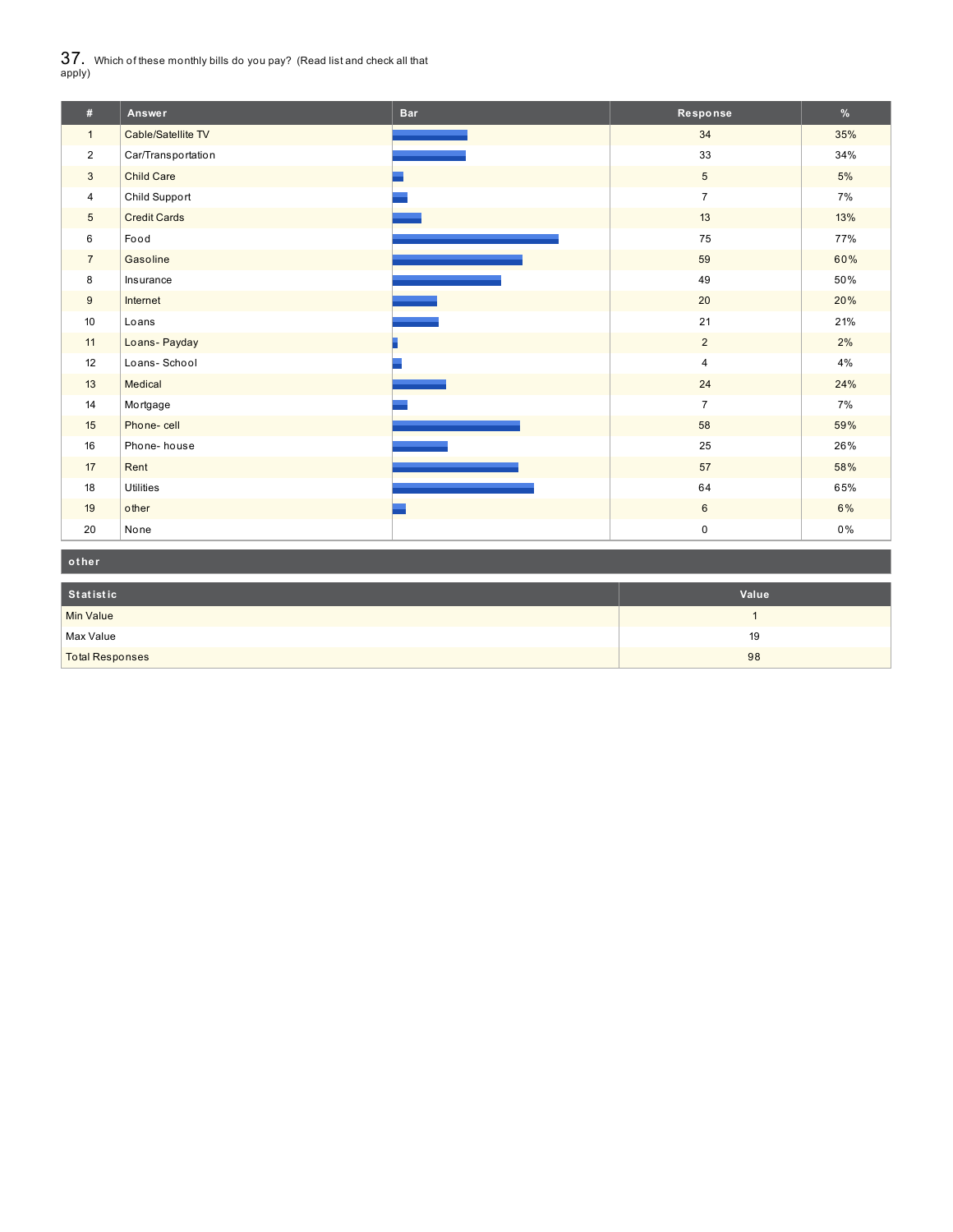$37_\cdot$  Which of these monthly bills do you pay? (Read list and check all that apply)

| #               | Answer              | <b>Bar</b> | Response                | $\%$ |
|-----------------|---------------------|------------|-------------------------|------|
| $\mathbf{1}$    | Cable/Satellite TV  |            | 34                      | 35%  |
| $\overline{2}$  | Car/Transportation  |            | 33                      | 34%  |
| $\mathbf{3}$    | <b>Child Care</b>   |            | $5\overline{)}$         | 5%   |
| 4               | Child Support       |            | $\overline{7}$          | 7%   |
| $5\overline{)}$ | <b>Credit Cards</b> |            | 13                      | 13%  |
| 6               | Food                |            | 75                      | 77%  |
| $\overline{7}$  | Gasoline            |            | 59                      | 60%  |
| 8               | Insurance           |            | 49                      | 50%  |
| 9               | Internet            |            | 20                      | 20%  |
| 10              | Loans               |            | 21                      | 21%  |
| 11              | Loans- Payday       |            | $\overline{2}$          | 2%   |
| 12              | Loans-School        |            | $\overline{4}$          | 4%   |
| 13              | Medical             |            | 24                      | 24%  |
| 14              | Mortgage            |            | $\overline{7}$          | 7%   |
| 15              | Phone-cell          |            | 58                      | 59%  |
| 16              | Phone-house         |            | 25                      | 26%  |
| 17              | Rent                |            | 57                      | 58%  |
| 18              | Utilities           |            | 64                      | 65%  |
| 19              | other               |            | $6\phantom{.}6$         | 6%   |
| 20              | None                |            | $\mathsf{O}\phantom{0}$ | 0%   |

| other                  |       |
|------------------------|-------|
| Statistic              | Value |
| Min Value              |       |
| Max Value              | 19    |
| <b>Total Responses</b> | 98    |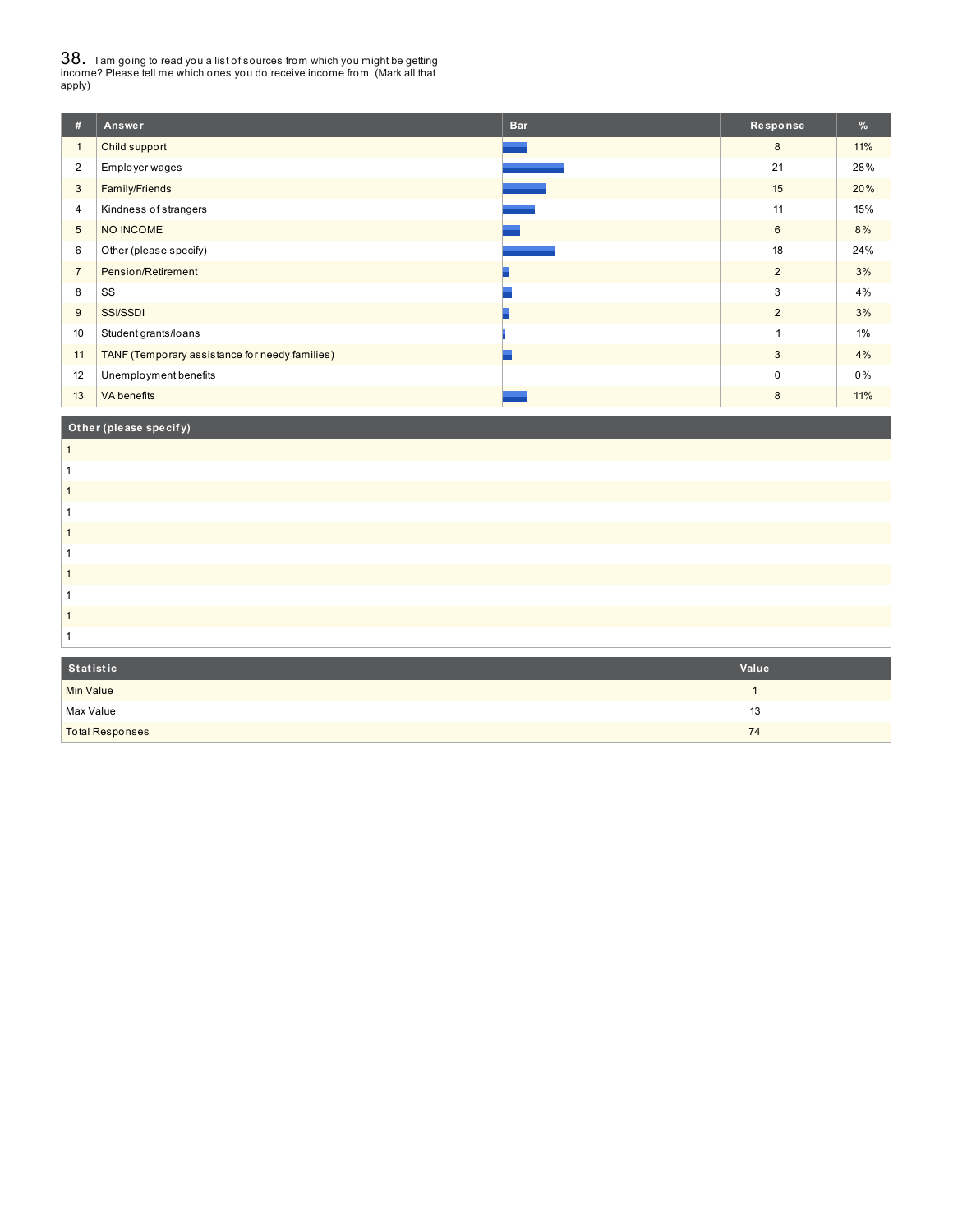38. <sup>I</sup> am going to read you <sup>a</sup> list of sources from which you might be getting income? Please tell me which ones you do receive income from. (Mark all that apply)

| #               | Answer                                         | <b>Bar</b> | Response    | %   |
|-----------------|------------------------------------------------|------------|-------------|-----|
| $\overline{1}$  | Child support                                  |            | 8           | 11% |
| $\overline{2}$  | Employer wages                                 |            | 21          | 28% |
| 3               | Family/Friends                                 |            | 15          | 20% |
| 4               | Kindness of strangers                          |            | 11          | 15% |
| $5\phantom{.0}$ | NO INCOME                                      |            | 6           | 8%  |
| 6               | Other (please specify)                         |            | 18          | 24% |
| $\overline{7}$  | Pension/Retirement                             |            | 2           | 3%  |
| 8               | SS                                             |            | 3           | 4%  |
| 9               | <b>SSI/SSDI</b>                                |            | 2           | 3%  |
| 10              | Student grants/loans                           |            | 1           | 1%  |
| 11              | TANF (Temporary assistance for needy families) |            | 3           | 4%  |
| 12              | Unemployment benefits                          |            | $\mathbf 0$ | 0%  |
| 13              | <b>VA</b> benefits                             |            | 8           | 11% |
|                 |                                                |            |             |     |

## **Ot her (please specif y)**

| Statistic              | Value |
|------------------------|-------|
| Min Value              |       |
| Max Value              | 13    |
| <b>Total Responses</b> | 74    |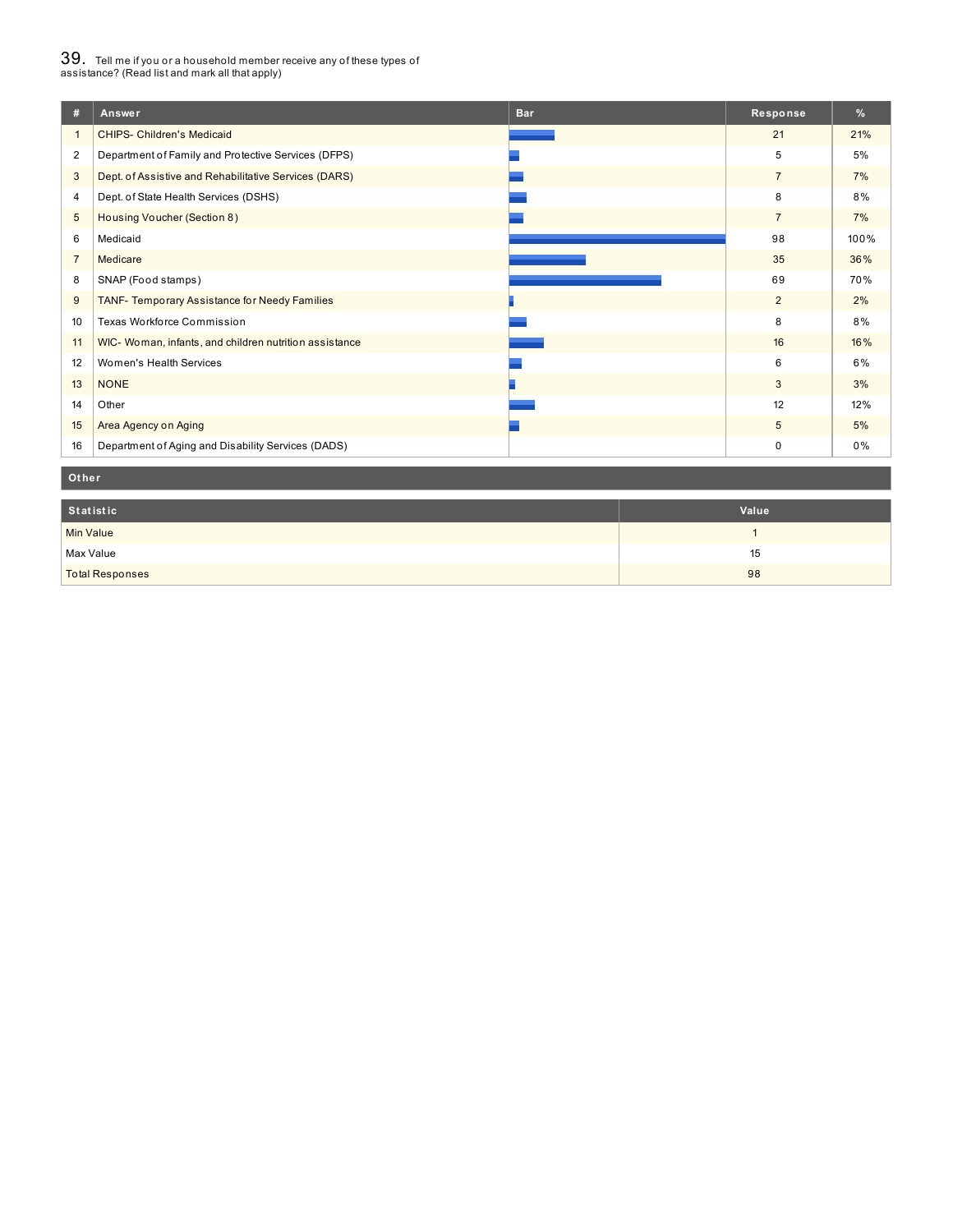# $39_\cdot$  Tell me if you or a household member receive any of these types of<br>assistance? (Read list and mark all that apply)

| #              | <b>Bar</b><br>Answer                                   | Response       | %    |
|----------------|--------------------------------------------------------|----------------|------|
| $\mathbf{1}$   | <b>CHIPS- Children's Medicaid</b>                      | 21             | 21%  |
| $\overline{2}$ | Department of Family and Protective Services (DFPS)    | 5              | 5%   |
| 3              | Dept. of Assistive and Rehabilitative Services (DARS)  | $\overline{7}$ | 7%   |
| 4              | Dept. of State Health Services (DSHS)                  | 8              | 8%   |
| 5              | Housing Voucher (Section 8)                            | $\overline{7}$ | 7%   |
| 6              | Medicaid                                               | 98             | 100% |
| $\overline{7}$ | Medicare                                               | 35             | 36%  |
| 8              | SNAP (Food stamps)                                     | 69             | 70%  |
| 9              | TANF- Temporary Assistance for Needy Families          | $\overline{2}$ | 2%   |
| 10             | Texas Workforce Commission                             | 8              | 8%   |
| 11             | WIC- Woman, infants, and children nutrition assistance | 16             | 16%  |
| 12             | Women's Health Services                                | 6              | 6%   |
| 13             | <b>NONE</b>                                            | 3              | 3%   |
| 14             | Other                                                  | 12             | 12%  |
| 15             | Area Agency on Aging                                   | 5              | 5%   |
| 16             | Department of Aging and Disability Services (DADS)     | $\mathbf 0$    | 0%   |

#### **Ot her**

| Statistic              | Value |
|------------------------|-------|
| <b>Min Value</b>       |       |
| Max Value              | 15    |
| <b>Total Responses</b> | 98    |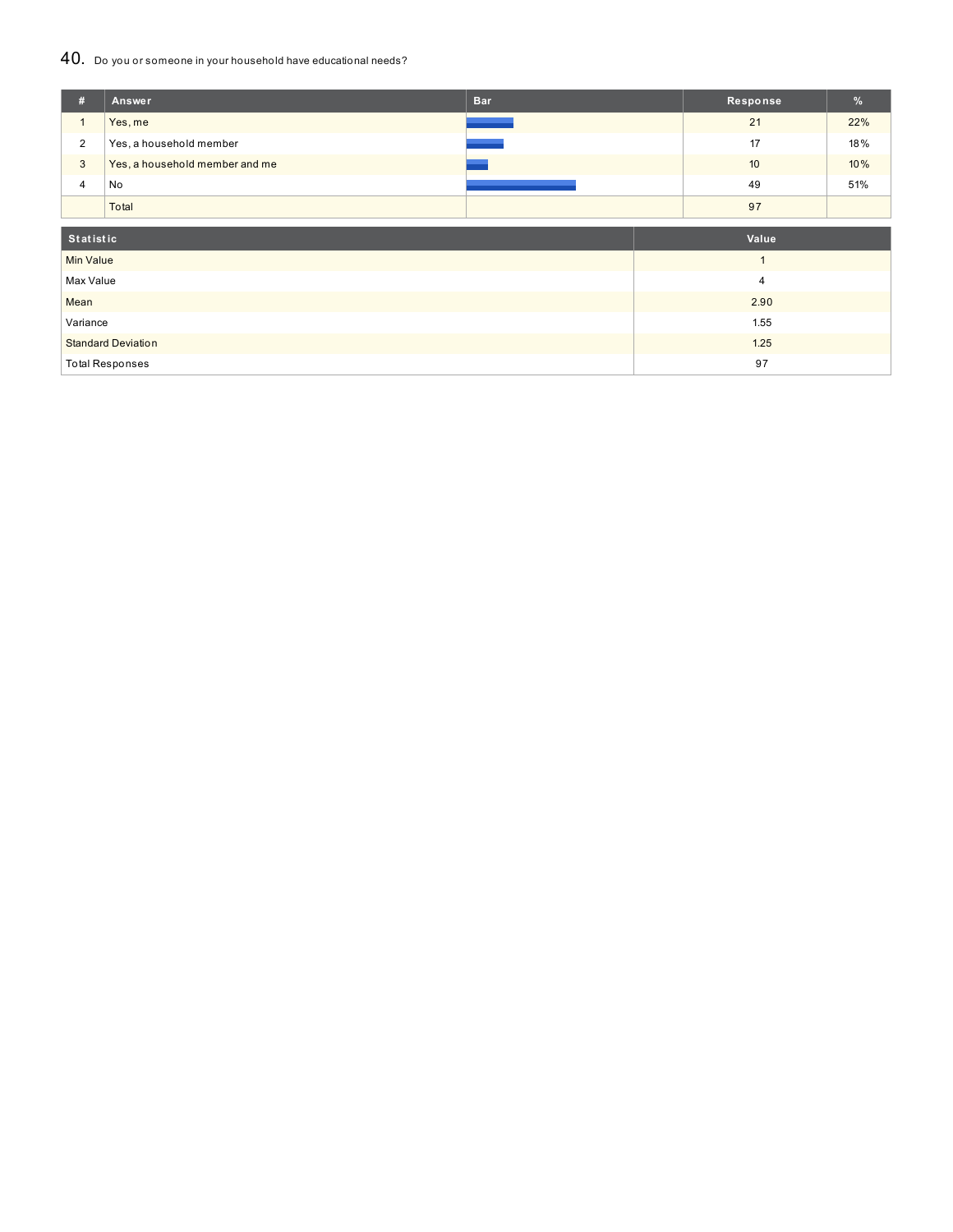### 40. Do you or someone in your household have educational needs?

| #                | Answer                         | <b>Bar</b> | Response     | %   |
|------------------|--------------------------------|------------|--------------|-----|
| $\mathbf{1}$     | Yes, me                        |            | 21           | 22% |
| $\overline{2}$   | Yes, a household member        |            | 17           | 18% |
| $\mathbf{3}$     | Yes, a household member and me |            | 10           | 10% |
| 4                | No                             |            | 49           | 51% |
|                  | Total                          |            | 97           |     |
| Statistic        |                                |            | Value        |     |
| <b>Min Value</b> |                                |            | $\mathbf{1}$ |     |
| Max Value        |                                |            | 4            |     |
| Mean             |                                |            | 2.90         |     |
| Variance         |                                |            | 1.55         |     |
|                  | <b>Standard Deviation</b>      |            | 1.25         |     |
|                  | <b>Total Responses</b>         |            | 97           |     |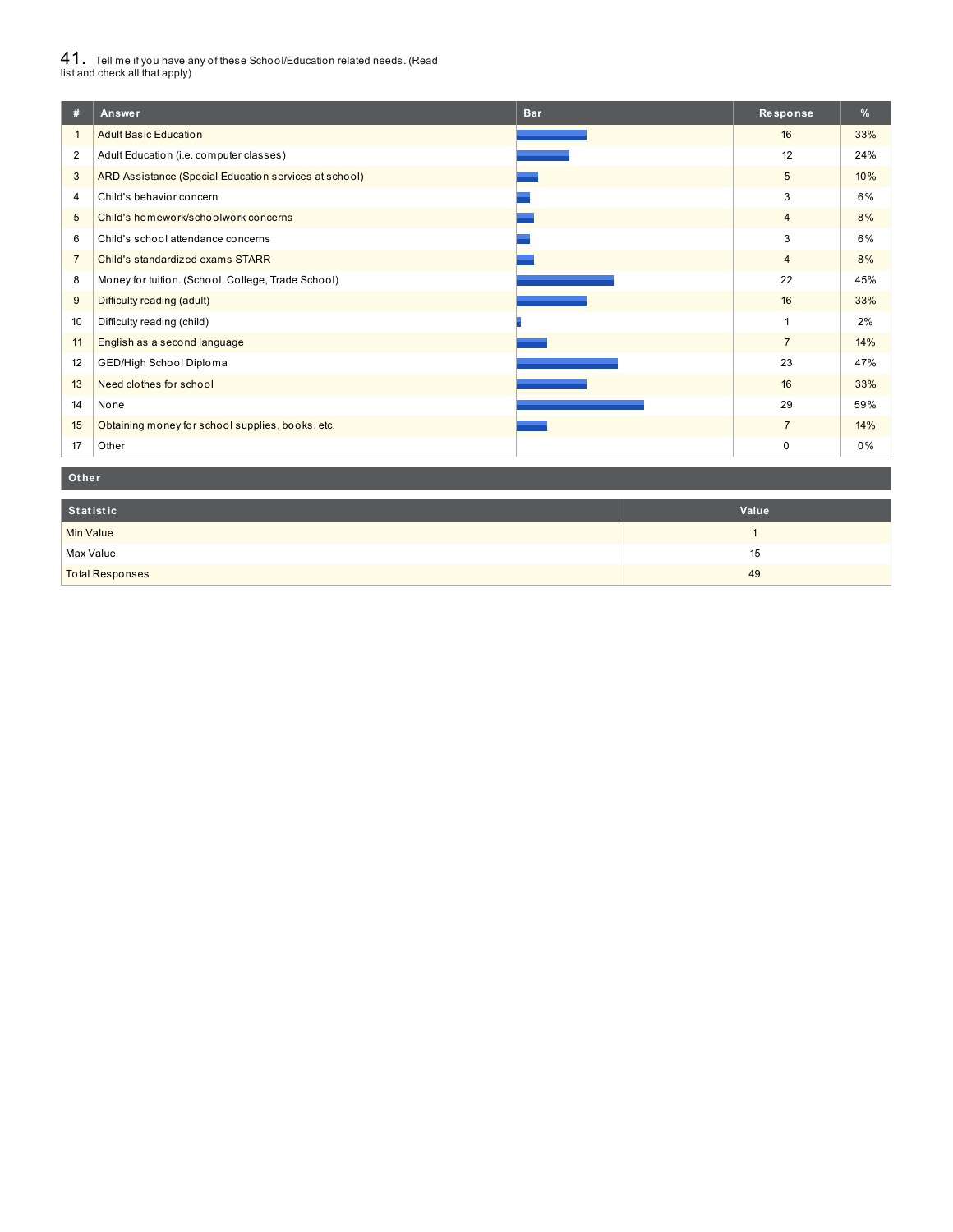# $41_\cdot$  Tell me if you have any of these School/Education related needs. (Read<br>list and check all that apply)

| #              | <b>Bar</b><br>Answer                                  | Response       | %   |
|----------------|-------------------------------------------------------|----------------|-----|
| $\mathbf{1}$   | <b>Adult Basic Education</b>                          | 16             | 33% |
| $\overline{2}$ | Adult Education (i.e. computer classes)               | 12             | 24% |
| 3              | ARD Assistance (Special Education services at school) | 5              | 10% |
| 4              | Child's behavior concern                              | 3              | 6%  |
| 5              | Child's homework/schoolwork concerns                  | $\overline{4}$ | 8%  |
| 6              | Child's school attendance concerns                    | 3              | 6%  |
| $\overline{7}$ | Child's standardized exams STARR                      | $\overline{4}$ | 8%  |
| 8              | Money for tuition. (School, College, Trade School)    | 22             | 45% |
| 9              | Difficulty reading (adult)                            | 16             | 33% |
| 10             | Difficulty reading (child)                            | 1              | 2%  |
| 11             | English as a second language                          | $\overline{7}$ | 14% |
| 12             | GED/High School Diploma                               | 23             | 47% |
| 13             | Need clothes for school                               | 16             | 33% |
| 14             | None                                                  | 29             | 59% |
| 15             | Obtaining money for school supplies, books, etc.      | $\overline{7}$ | 14% |
| 17             | Other                                                 | 0              | 0%  |

#### **Ot her**

| Statistic              | Value |
|------------------------|-------|
| <b>Min Value</b>       |       |
| Max Value              | 15    |
| <b>Total Responses</b> | 49    |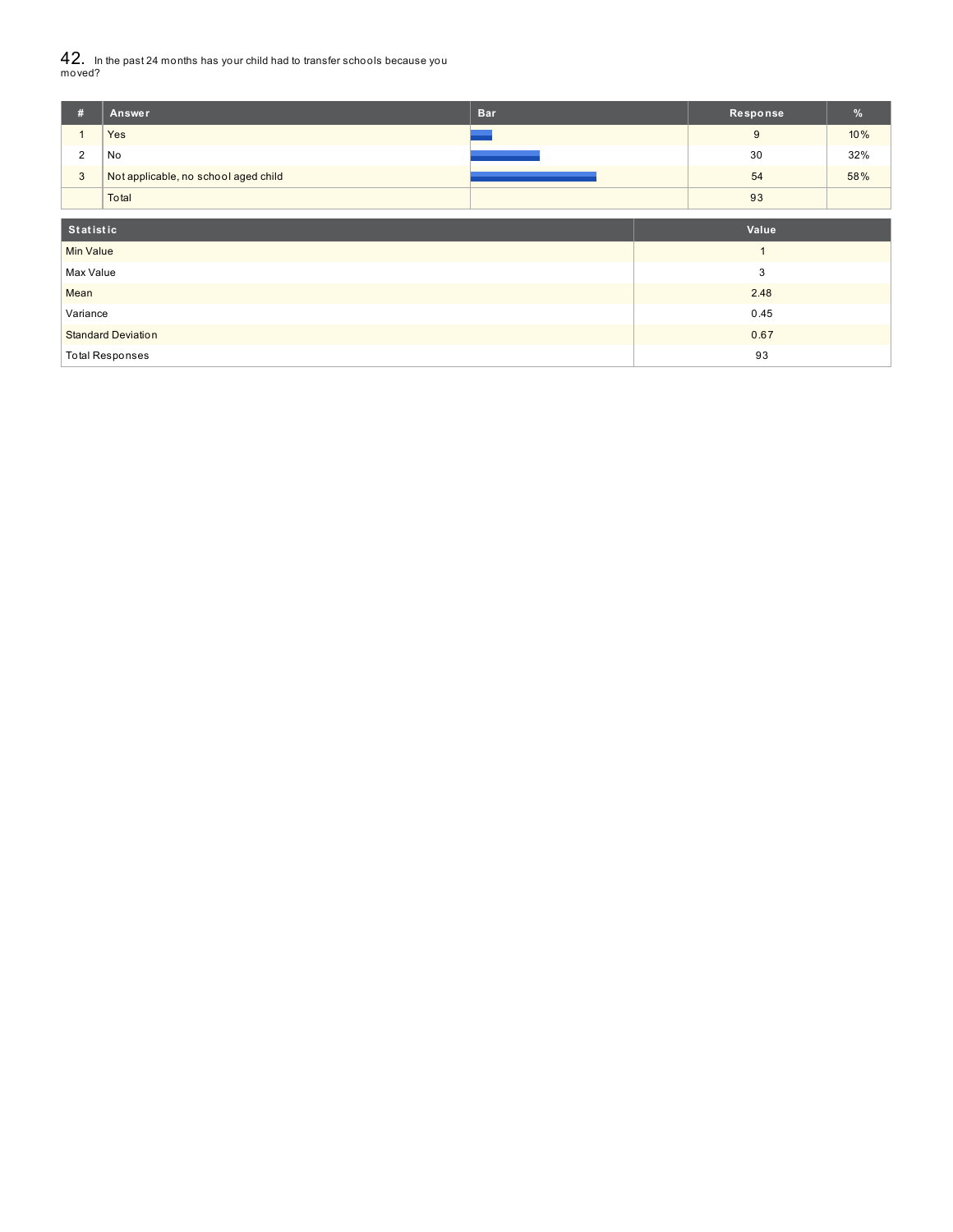42. In the past <sup>24</sup> months has your child had to transfer schools because you moved?

| #                      | Answer                               | <b>Bar</b> |    | Response | $\frac{9}{6}$ |
|------------------------|--------------------------------------|------------|----|----------|---------------|
|                        | Yes                                  |            |    | 9        | 10%           |
| 2                      | No                                   |            |    | 30       | 32%           |
| $\mathbf{3}$           | Not applicable, no school aged child |            |    | 54       | 58%           |
|                        | Total                                |            |    | 93       |               |
| Statistic              |                                      |            |    | Value    |               |
| <b>Min Value</b>       |                                      |            |    |          |               |
| Max Value              |                                      |            |    | 3        |               |
| Mean                   |                                      |            |    | 2.48     |               |
| Variance               |                                      |            |    | 0.45     |               |
|                        | <b>Standard Deviation</b>            |            |    | 0.67     |               |
| <b>Total Responses</b> |                                      |            | 93 |          |               |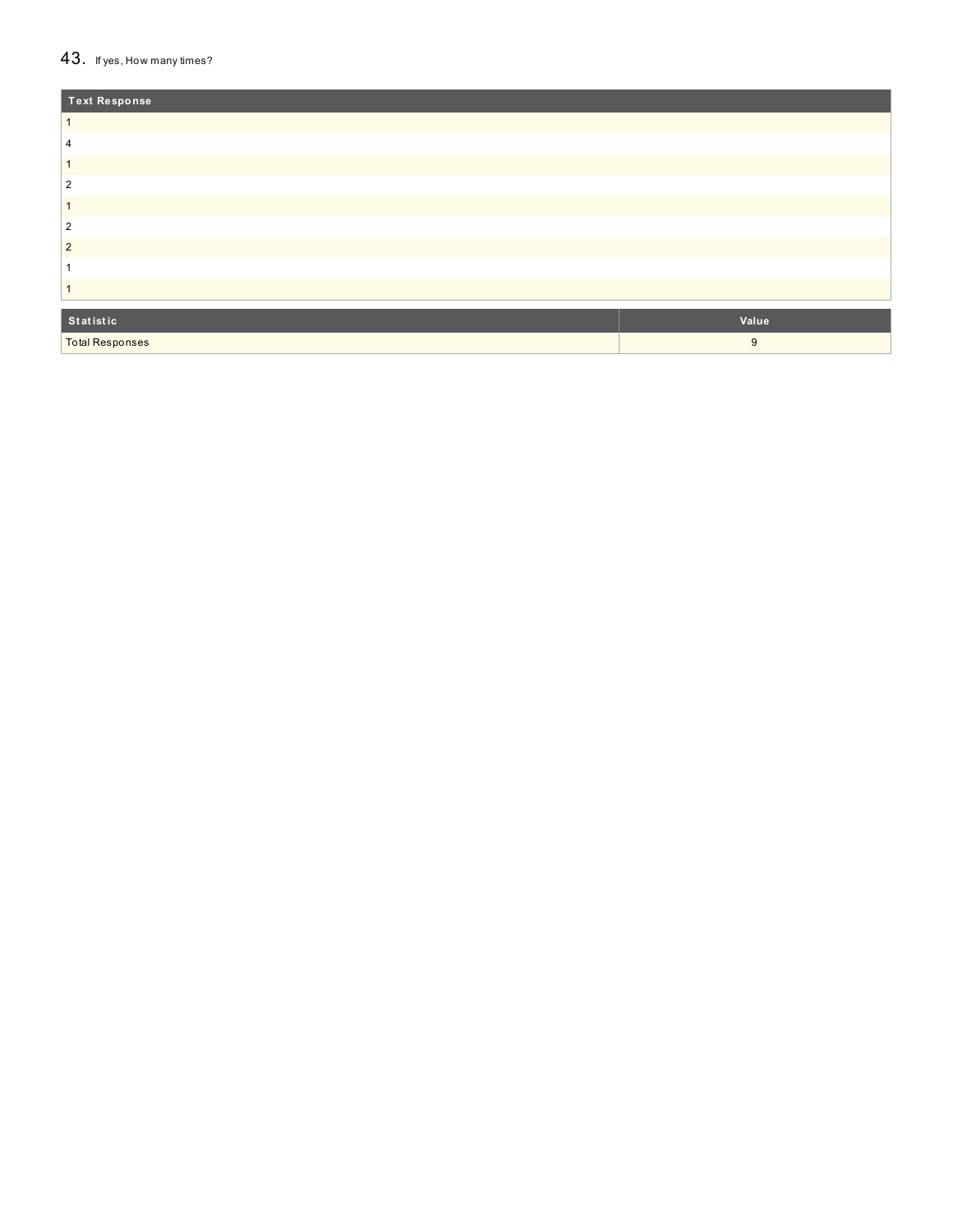#### $43.$  If yes, How many times?

| Text Response          |       |
|------------------------|-------|
|                        |       |
| 4                      |       |
|                        |       |
| $\overline{2}$         |       |
|                        |       |
| $\overline{2}$         |       |
| $\overline{2}$         |       |
|                        |       |
|                        |       |
| Statistic              | Value |
| <b>Total Responses</b> | 9     |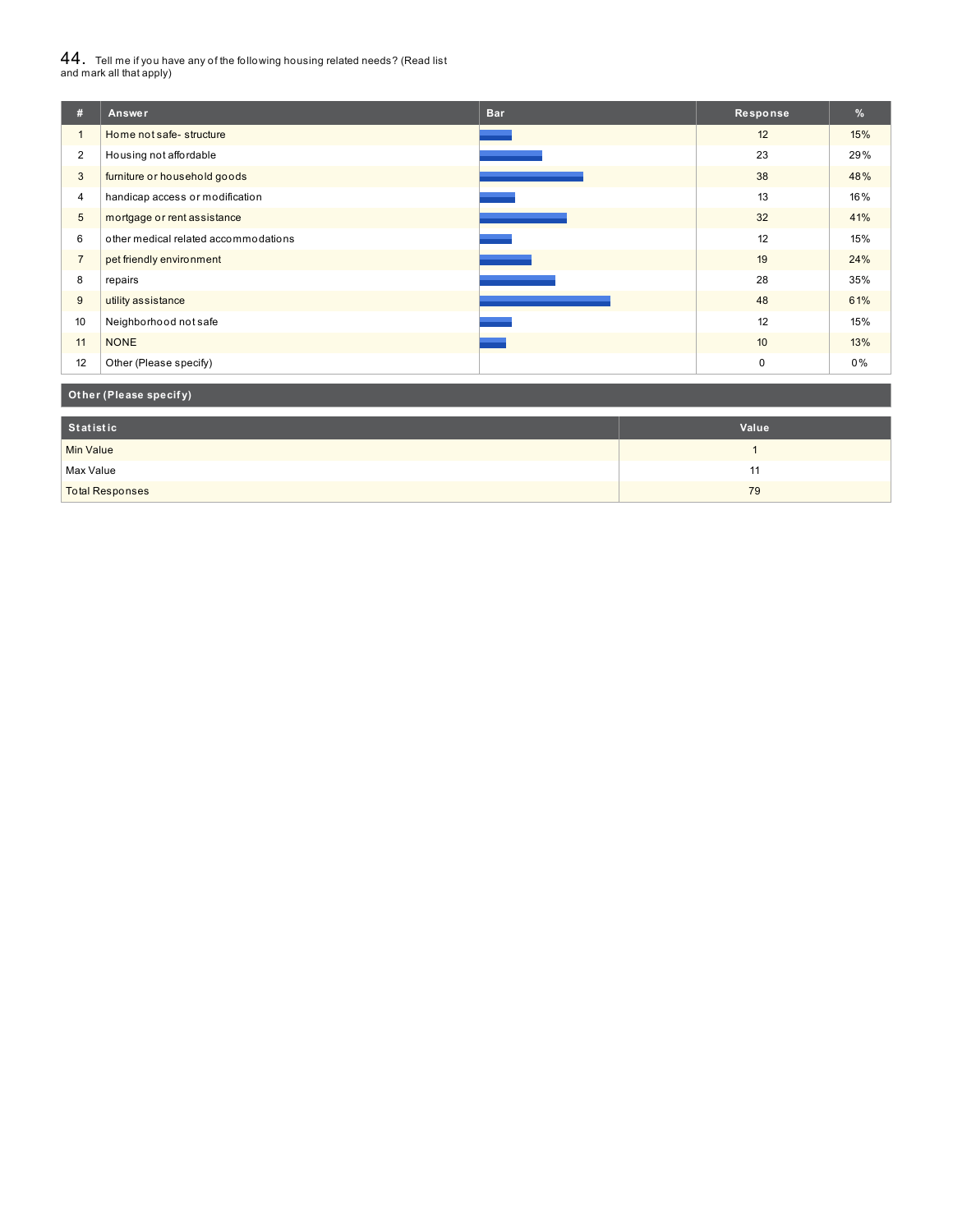# $44_\cdot$  Tell me if you have any of the following housing related needs? (Read list<br>and mark all that apply)

| #              | Answer                               | <b>Bar</b> | Response         | %   |
|----------------|--------------------------------------|------------|------------------|-----|
| $\mathbf{1}$   | Home not safe-structure              |            | 12               | 15% |
| $\overline{2}$ | Housing not affordable               |            | 23               | 29% |
| 3              | furniture or household goods         |            | 38               | 48% |
| $\overline{4}$ | handicap access or modification      |            | 13               | 16% |
| 5              | mortgage or rent assistance          |            | 32               | 41% |
| 6              | other medical related accommodations |            | 12               | 15% |
| $\overline{7}$ | pet friendly environment             |            | 19               | 24% |
| 8              | repairs                              |            | 28               | 35% |
| 9              | utility assistance                   |            | 48               | 61% |
| 10             | Neighborhood not safe                |            | 12               | 15% |
| 11             | <b>NONE</b>                          |            | 10 <sup>10</sup> | 13% |
| 12             | Other (Please specify)               |            | $\mathbf 0$      | 0%  |

### **Ot her (Please specif y)**

| Statistic              | Value |
|------------------------|-------|
| <b>Min Value</b>       |       |
| Max Value              | . .   |
| <b>Total Responses</b> | 79    |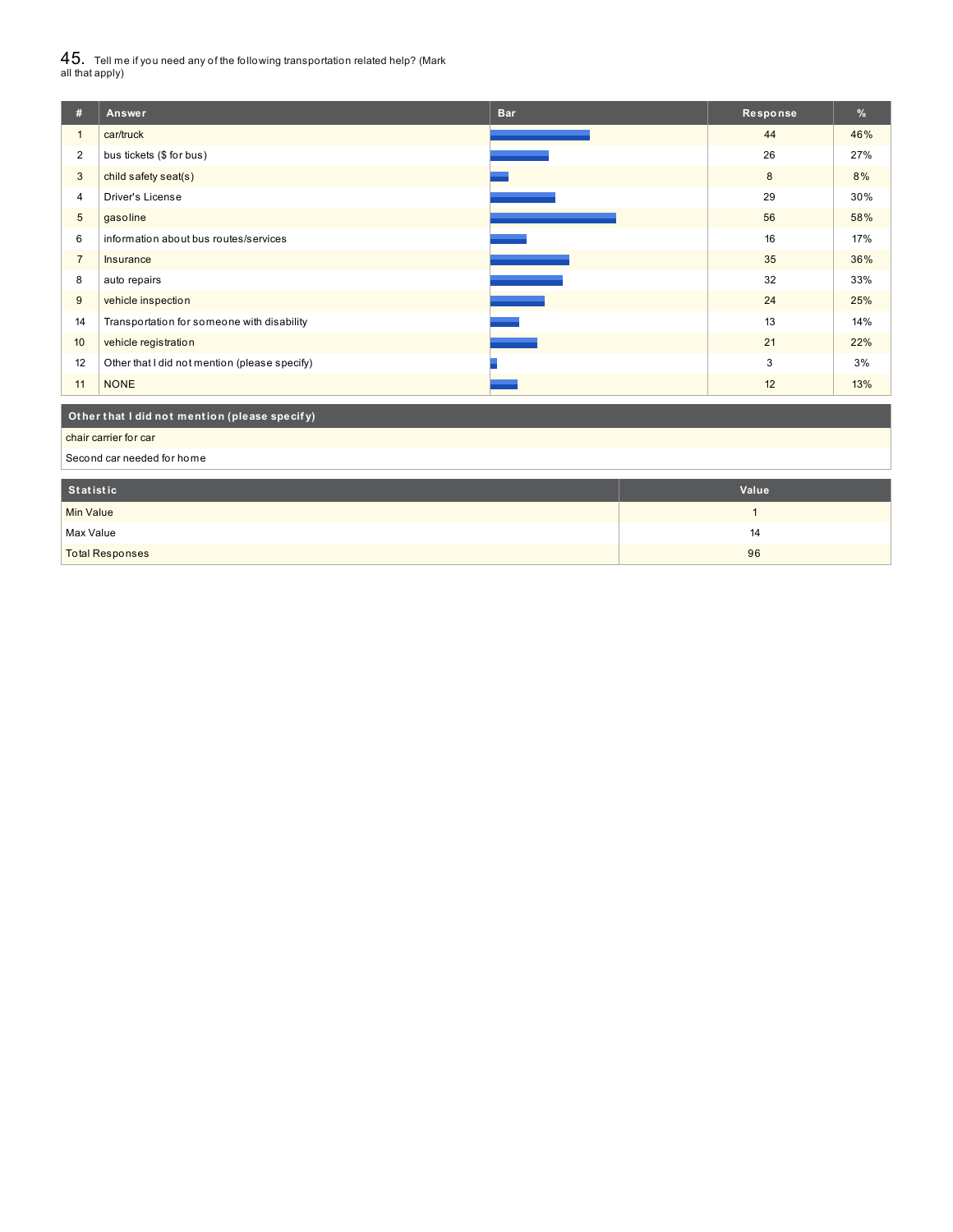$45_\cdot$  Tell me if you need any of the following transportation related help? (Mark<br>all that apply)

| #                                             | Answer                                        | <b>Bar</b> | Response | $\frac{9}{6}$ |
|-----------------------------------------------|-----------------------------------------------|------------|----------|---------------|
| $\mathbf{1}$                                  | car/truck                                     |            | 44       | 46%           |
| $\overline{2}$                                | bus tickets (\$ for bus)                      |            | 26       | 27%           |
| 3                                             | child safety seat(s)                          |            | 8        | 8%            |
| 4                                             | Driver's License                              |            | 29       | 30%           |
| 5                                             | gasoline                                      |            | 56       | 58%           |
| 6                                             | information about bus routes/services         |            | 16       | 17%           |
| $\overline{7}$                                | Insurance                                     |            | 35       | 36%           |
| 8                                             | auto repairs                                  |            | 32       | 33%           |
| 9                                             | vehicle inspection                            |            | 24       | 25%           |
| 14                                            | Transportation for someone with disability    |            | 13       | 14%           |
| 10                                            | vehicle registration                          |            | 21       | 22%           |
| 12                                            | Other that I did not mention (please specify) |            | 3        | 3%            |
| 11                                            | <b>NONE</b>                                   |            | 12       | 13%           |
| Other that I did not mention (please specify) |                                               |            |          |               |
|                                               | chair carrier for car                         |            |          |               |

Second car needed for home

| Statistic              | Value |
|------------------------|-------|
| <b>Min Value</b>       |       |
| Max Value              | 14    |
| <b>Total Responses</b> | 96    |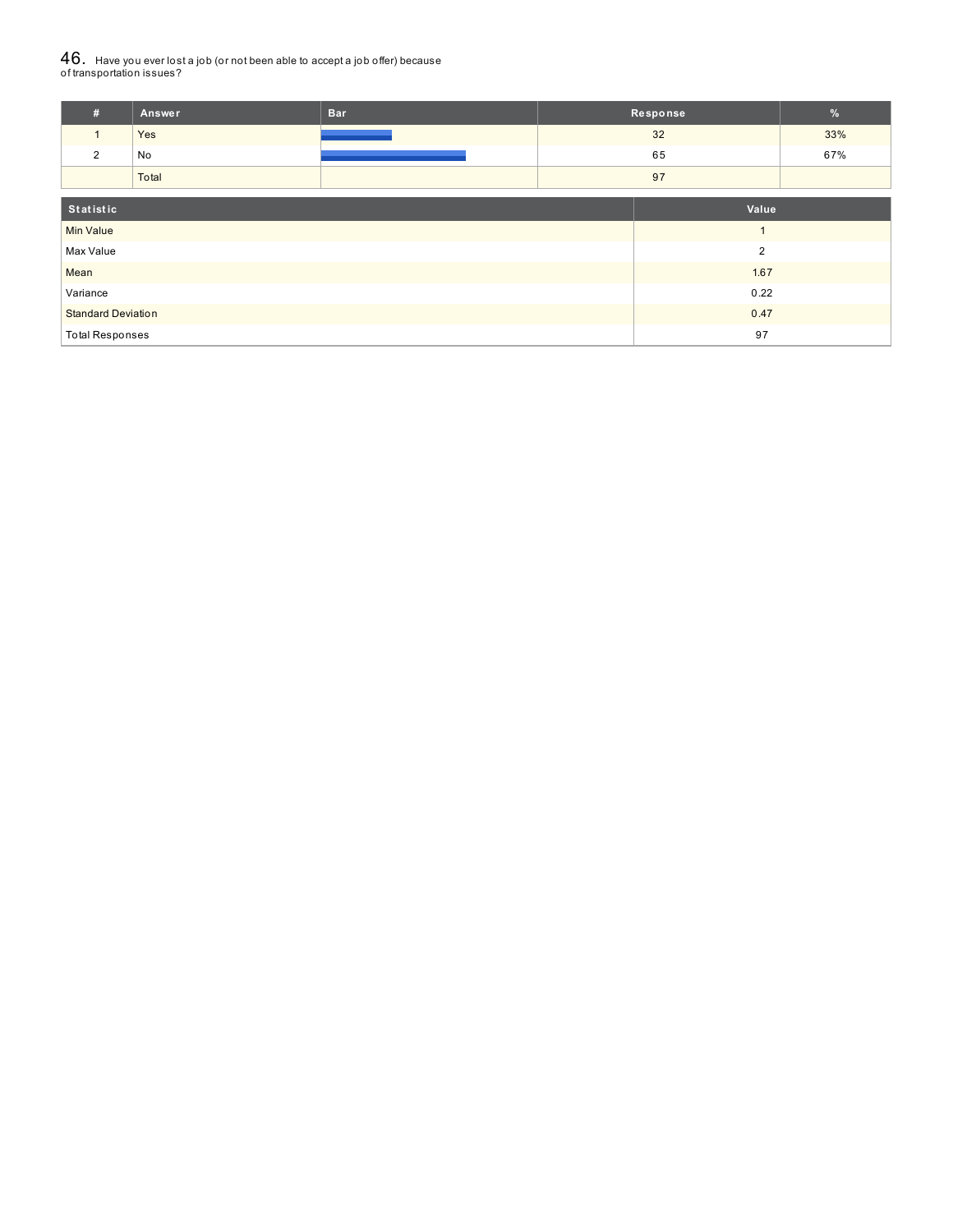# ${\bf 46}_{\cdot}\,$  Have you ever lost a job (or not been able to accept a job offer) because<br>of transportation issues?

| #                         | <b>Answer</b>          | <b>Bar</b> |                | Response |     |
|---------------------------|------------------------|------------|----------------|----------|-----|
| $\mathbf{1}$              | Yes                    |            |                | 32       | 33% |
| 2                         | No                     |            |                | 65       | 67% |
|                           | Total                  |            |                | 97       |     |
| Statistic<br>Value        |                        |            |                |          |     |
| <b>Min Value</b>          |                        |            |                |          |     |
| Max Value                 |                        |            | $\overline{2}$ |          |     |
| Mean                      |                        |            | 1.67           |          |     |
| Variance                  |                        |            | 0.22           |          |     |
| <b>Standard Deviation</b> |                        |            |                | 0.47     |     |
|                           | <b>Total Responses</b> |            |                | 97       |     |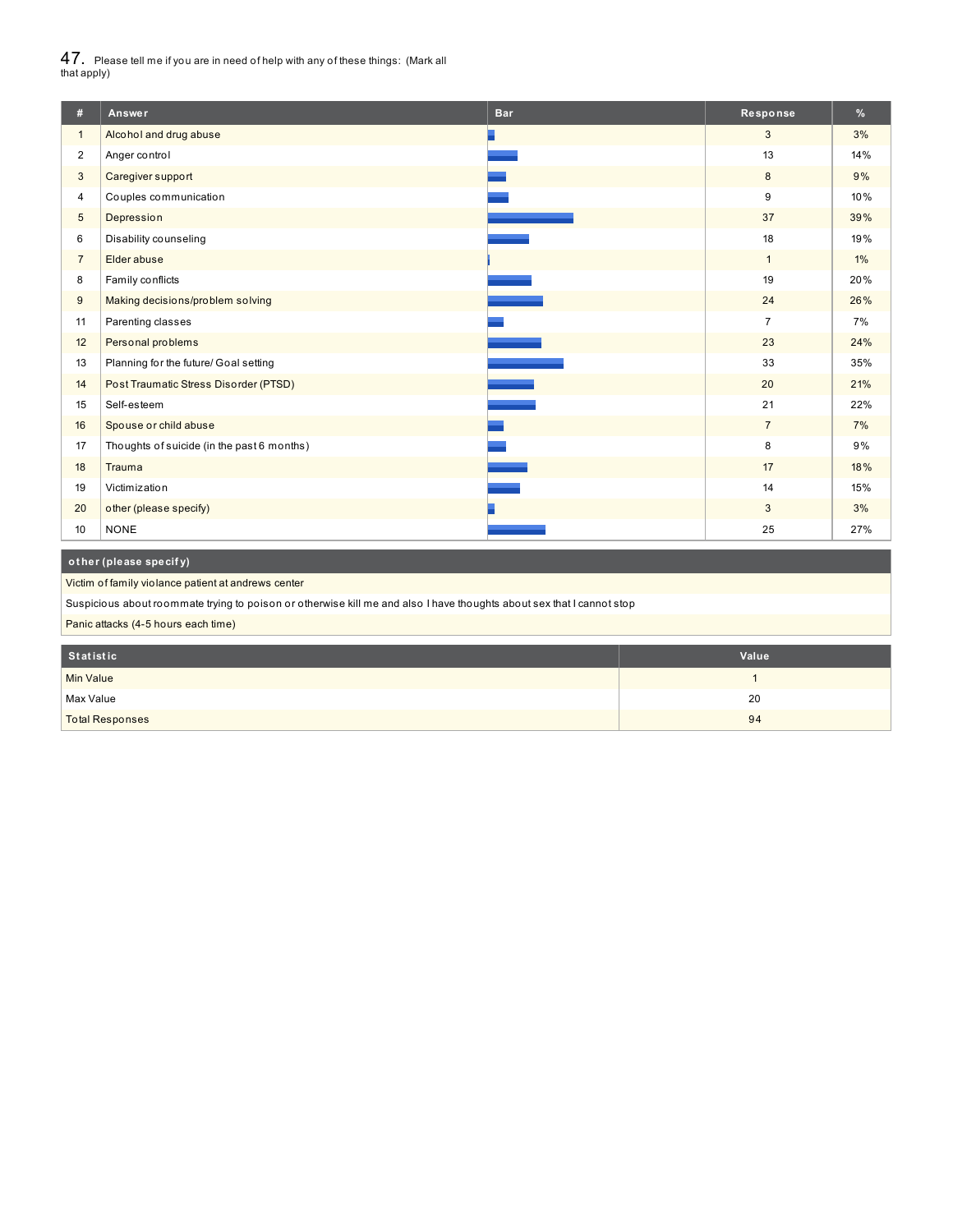$47_\cdot$  Please tell me if you are in need of help with any of these things: (Mark all<br>that apply)

| #              | Answer                                     | <b>Bar</b> | Response        | %     |
|----------------|--------------------------------------------|------------|-----------------|-------|
| $\mathbf{1}$   | Alcohol and drug abuse                     |            | 3               | 3%    |
| $\overline{2}$ | Anger control                              |            | 13              | 14%   |
| 3              | Caregiver support                          |            | 8               | 9%    |
| 4              | Couples communication                      |            | 9               | 10%   |
| 5              | Depression                                 |            | 37              | 39%   |
| 6              | Disability counseling                      |            | 18              | 19%   |
| $\overline{7}$ | Elder abuse                                |            | $\mathbf{1}$    | $1\%$ |
| 8              | Family conflicts                           |            | 19              | 20%   |
| 9              | Making decisions/problem solving           |            | 24              | 26%   |
| 11             | Parenting classes                          |            | $\overline{7}$  | 7%    |
| 12             | Personal problems                          |            | 23              | 24%   |
| 13             | Planning for the future/ Goal setting      |            | 33              | 35%   |
| 14             | Post Traumatic Stress Disorder (PTSD)      |            | 20              | 21%   |
| 15             | Self-esteem                                |            | 21              | 22%   |
| 16             | Spouse or child abuse                      |            | $7\overline{ }$ | 7%    |
| 17             | Thoughts of suicide (in the past 6 months) |            | 8               | 9%    |
| 18             | Trauma                                     |            | 17              | 18%   |
| 19             | Victimization                              |            | 14              | 15%   |
| 20             | other (please specify)                     |            | 3               | 3%    |
| 10             | <b>NONE</b>                                |            | 25              | 27%   |
|                | other (please specify)                     |            |                 |       |

Victim of family violance patient at andrews center

Suspicious about roommate trying to poison or otherwise kill me and also I have thoughts about sex that I cannot stop

Panic attacks (4-5 hours each time)

| Statistic              | Value |
|------------------------|-------|
| <b>Min Value</b>       |       |
| Max Value              | 20    |
| <b>Total Responses</b> | 94    |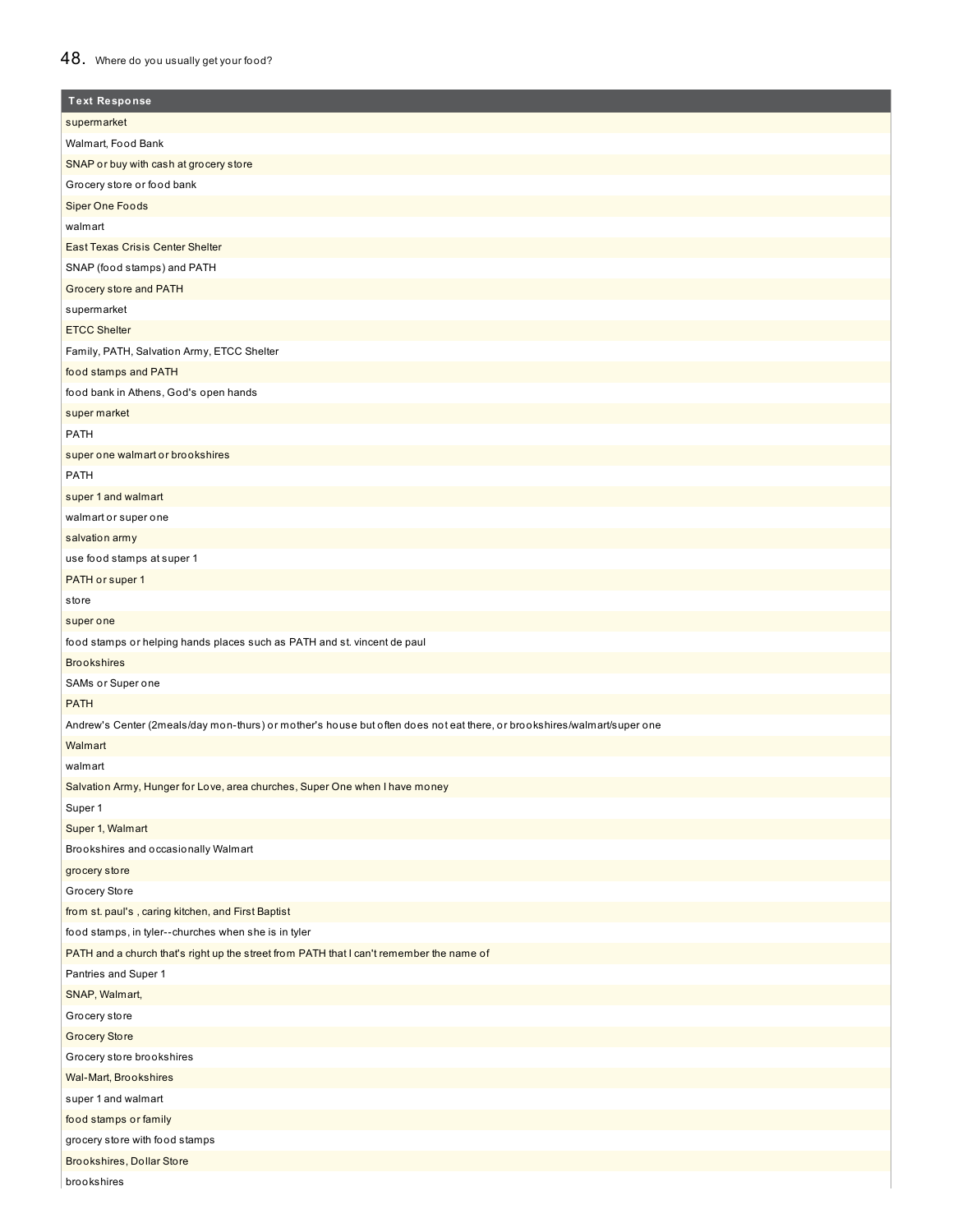## 48. Where do you usually get your food?

| <b>Text Response</b>                                                                                                    |
|-------------------------------------------------------------------------------------------------------------------------|
| supermarket                                                                                                             |
| Walmart, Food Bank                                                                                                      |
| SNAP or buy with cash at grocery store                                                                                  |
| Grocery store or food bank                                                                                              |
| <b>Siper One Foods</b>                                                                                                  |
| walmart                                                                                                                 |
| <b>East Texas Crisis Center Shelter</b>                                                                                 |
| SNAP (food stamps) and PATH                                                                                             |
| Grocery store and PATH                                                                                                  |
| supermarket                                                                                                             |
| <b>ETCC Shelter</b>                                                                                                     |
| Family, PATH, Salvation Army, ETCC Shelter                                                                              |
| food stamps and PATH                                                                                                    |
| food bank in Athens, God's open hands                                                                                   |
| super market                                                                                                            |
| <b>PATH</b>                                                                                                             |
| super one walmart or brookshires                                                                                        |
| PATH                                                                                                                    |
| super 1 and walmart                                                                                                     |
| walmart or super one                                                                                                    |
| salvation army                                                                                                          |
| use food stamps at super 1                                                                                              |
| PATH or super 1                                                                                                         |
| store                                                                                                                   |
| super one                                                                                                               |
| food stamps or helping hands places such as PATH and st. vincent de paul                                                |
| <b>Brookshires</b>                                                                                                      |
| SAMs or Super one                                                                                                       |
| <b>PATH</b>                                                                                                             |
| Andrew's Center (2meals/day mon-thurs) or mother's house but often does not eat there, or brookshires/walmart/super one |
| Walmart                                                                                                                 |
| walmart                                                                                                                 |
|                                                                                                                         |
| Salvation Army, Hunger for Love, area churches, Super One when I have money<br>Super 1                                  |
| Super 1, Walmart                                                                                                        |
| Brookshires and occasionally Walmart                                                                                    |
| grocery store                                                                                                           |
| Grocery Store                                                                                                           |
| from st. paul's, caring kitchen, and First Baptist                                                                      |
| food stamps, in tyler--churches when she is in tyler                                                                    |
| PATH and a church that's right up the street from PATH that I can't remember the name of                                |
| Pantries and Super 1                                                                                                    |
|                                                                                                                         |
| SNAP, Walmart,                                                                                                          |
| Grocery store                                                                                                           |
| <b>Grocery Store</b>                                                                                                    |
| Grocery store brookshires                                                                                               |
| Wal-Mart, Brookshires                                                                                                   |
| super 1 and walmart                                                                                                     |
| food stamps or family                                                                                                   |
| grocery store with food stamps                                                                                          |
| Brookshires, Dollar Store                                                                                               |
| brookshires                                                                                                             |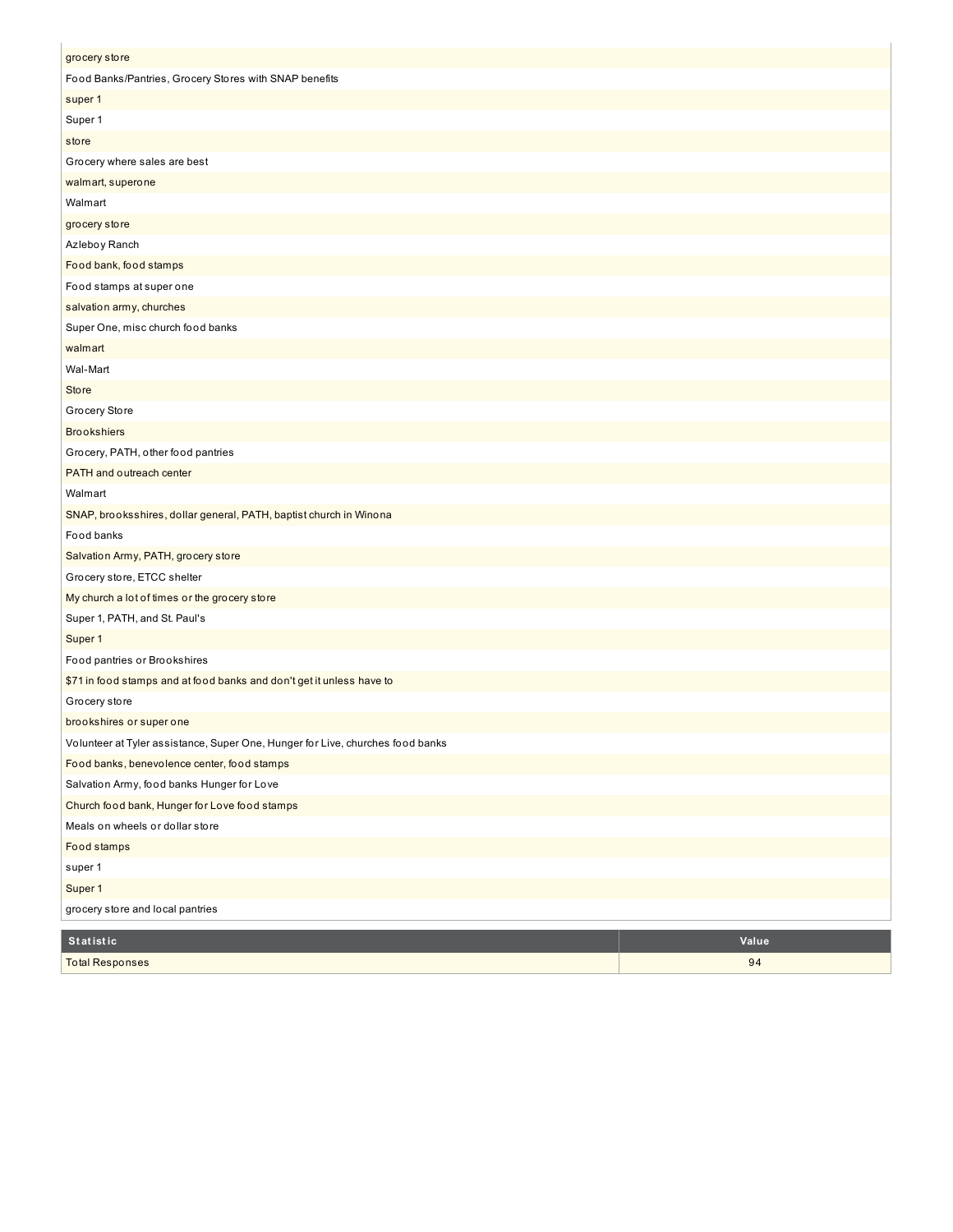| grocery store                                                                  |       |
|--------------------------------------------------------------------------------|-------|
| Food Banks/Pantries, Grocery Stores with SNAP benefits                         |       |
| super 1                                                                        |       |
| Super 1                                                                        |       |
| store                                                                          |       |
| Grocery where sales are best                                                   |       |
| walmart, superone                                                              |       |
| Walmart                                                                        |       |
| grocery store                                                                  |       |
| Azleboy Ranch                                                                  |       |
| Food bank, food stamps                                                         |       |
| Food stamps at super one                                                       |       |
| salvation army, churches                                                       |       |
| Super One, misc church food banks                                              |       |
| walmart                                                                        |       |
| Wal-Mart                                                                       |       |
| <b>Store</b>                                                                   |       |
| Grocery Store                                                                  |       |
| <b>Brookshiers</b>                                                             |       |
| Grocery, PATH, other food pantries                                             |       |
| PATH and outreach center                                                       |       |
| Walmart                                                                        |       |
| SNAP, brooksshires, dollar general, PATH, baptist church in Winona             |       |
| Food banks                                                                     |       |
| Salvation Army, PATH, grocery store                                            |       |
| Grocery store, ETCC shelter                                                    |       |
| My church a lot of times or the grocery store                                  |       |
| Super 1, PATH, and St. Paul's                                                  |       |
| Super 1                                                                        |       |
| Food pantries or Brookshires                                                   |       |
| \$71 in food stamps and at food banks and don't get it unless have to          |       |
| Grocery store                                                                  |       |
| brookshires or super one                                                       |       |
| Volunteer at Tyler assistance, Super One, Hunger for Live, churches food banks |       |
| Food banks, benevolence center, food stamps                                    |       |
| Salvation Army, food banks Hunger for Love                                     |       |
| Church food bank, Hunger for Love food stamps                                  |       |
| Meals on wheels or dollar store                                                |       |
| Food stamps                                                                    |       |
| super 1                                                                        |       |
| Super 1                                                                        |       |
| grocery store and local pantries                                               |       |
| Statistic                                                                      | Value |
| <b>Total Responses</b>                                                         | 94    |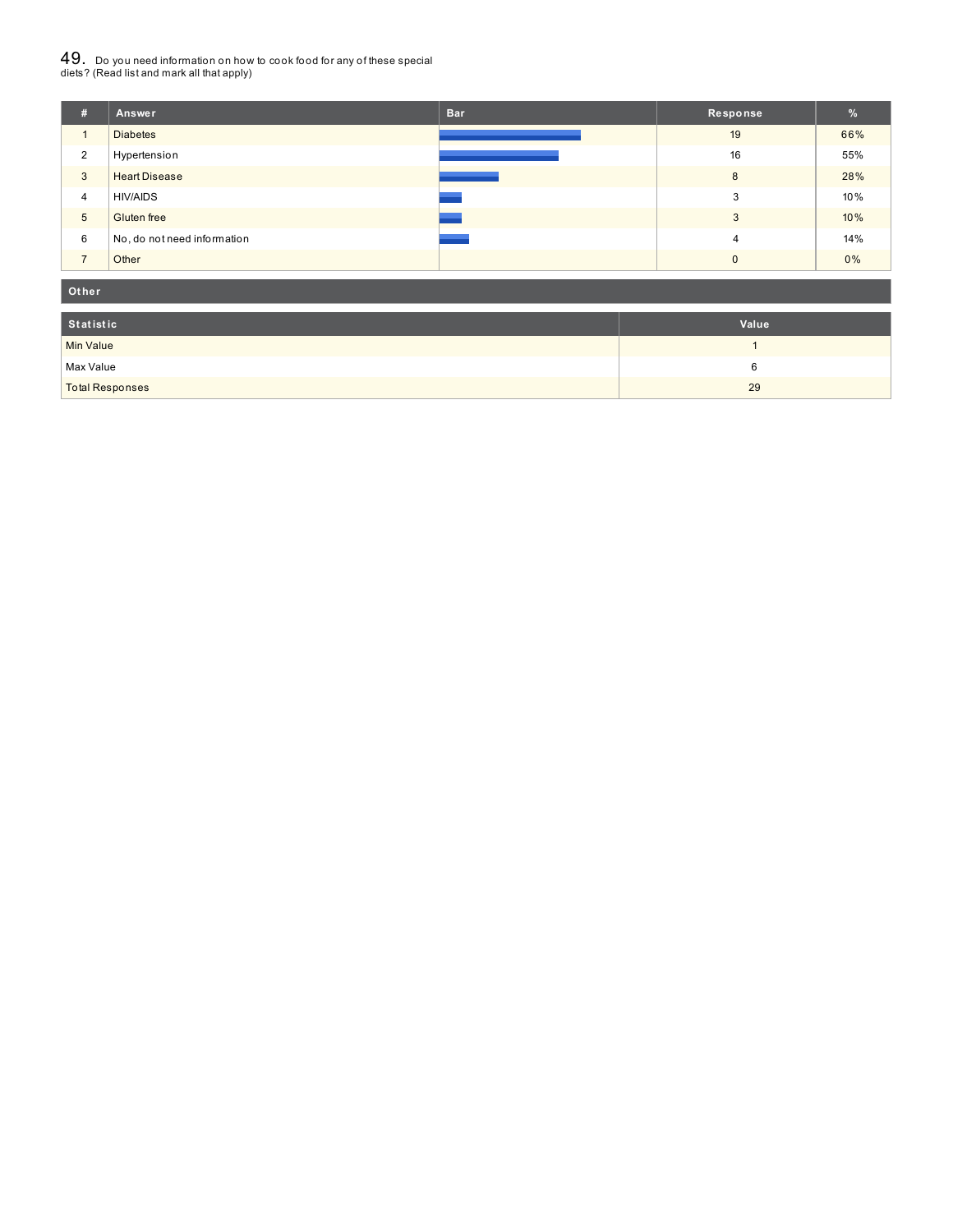# $49_\cdot$  Do you need information on how to cook food for any of these special<br>diets? (Read list and mark all that apply)

| #              | Answer                      | <b>Bar</b> | Response | $\frac{9}{6}$ |
|----------------|-----------------------------|------------|----------|---------------|
| $\mathbf{1}$   | <b>Diabetes</b>             |            | 19       | 66%           |
| 2              | Hypertension                |            | 16       | 55%           |
| 3              | <b>Heart Disease</b>        |            | 8        | 28%           |
| $\overline{4}$ | <b>HIV/AIDS</b>             |            | 3        | 10%           |
| 5              | <b>Gluten</b> free          |            | 3        | 10%           |
| 6              | No, do not need information |            | 4        | 14%           |
| $\overline{ }$ | Other                       |            | $\Omega$ | $0\%$         |

#### **Ot her**

| Statistic              | Value |
|------------------------|-------|
| Min Value              |       |
| Max Value              |       |
| <b>Total Responses</b> | 29    |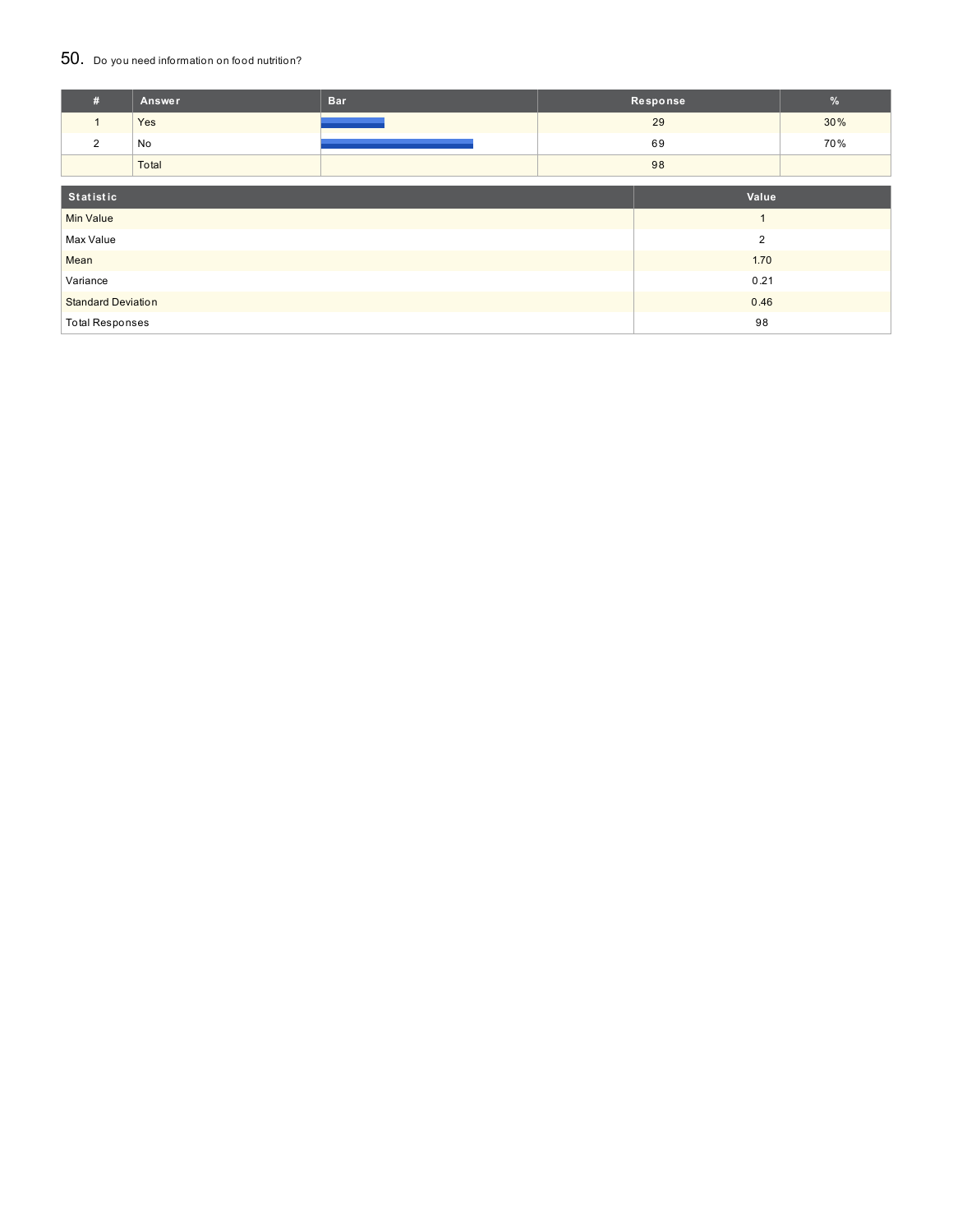### 50. Do you need information on food nutrition?

| #                         | Answer | <b>Bar</b> |                | Response | $\frac{9}{6}$ |
|---------------------------|--------|------------|----------------|----------|---------------|
| $\mathbf{1}$              | Yes    |            |                | 29       | 30%           |
| 2                         | No     |            |                | 69       | 70%           |
|                           | Total  |            |                | 98       |               |
|                           |        |            |                |          |               |
| Statistic                 |        |            |                | Value    |               |
| <b>Min Value</b>          |        |            | $\overline{1}$ |          |               |
| Max Value                 |        |            | $\overline{2}$ |          |               |
| Mean                      |        |            |                | 1.70     |               |
| Variance                  |        |            | 0.21           |          |               |
| <b>Standard Deviation</b> |        |            | 0.46           |          |               |
| <b>Total Responses</b>    |        |            |                | 98       |               |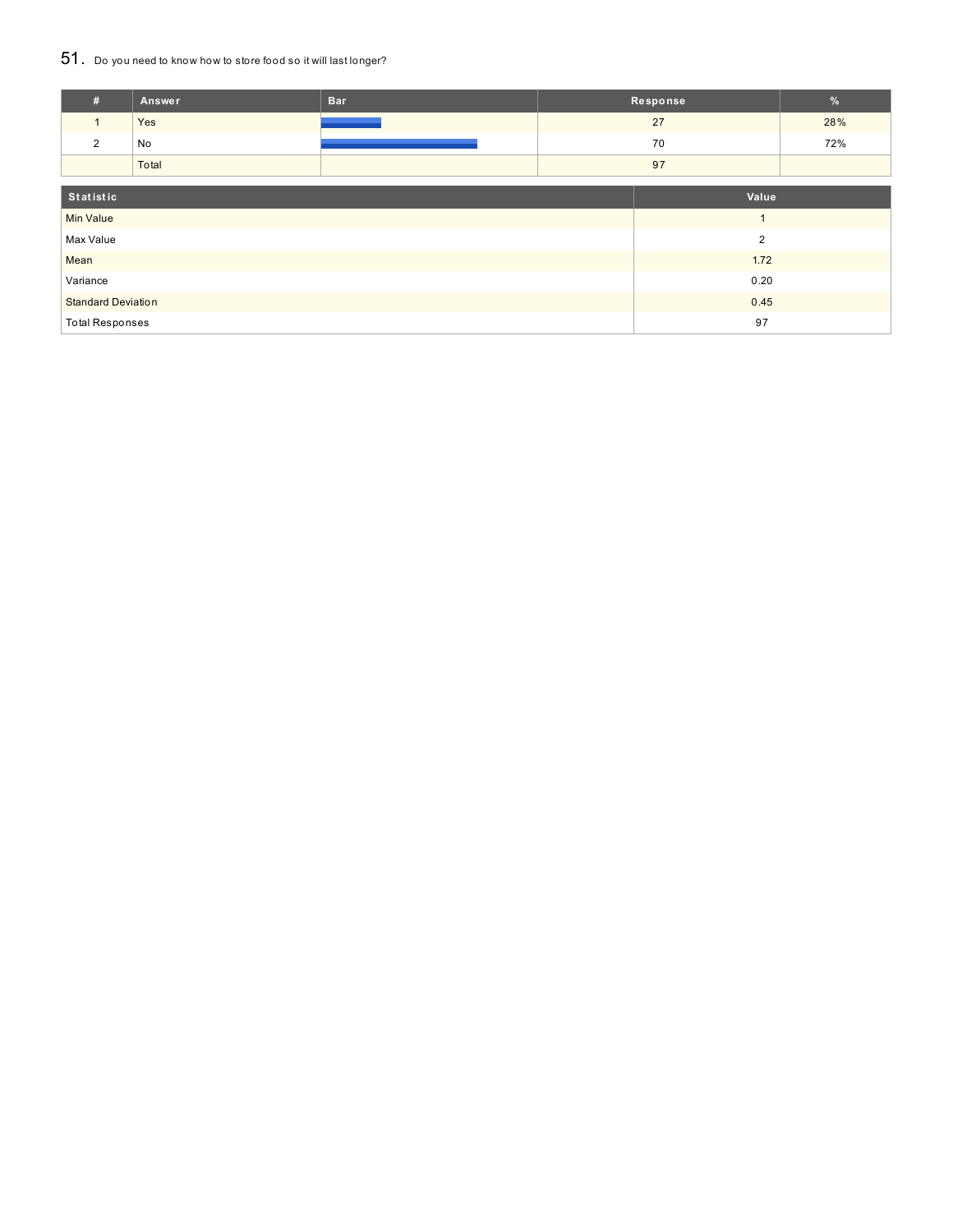## 51. Do you need to know how to store food so it will last longer?

| #                         | <b>Answer</b> | <b>Bar</b> |                | Response | %   |
|---------------------------|---------------|------------|----------------|----------|-----|
|                           | Yes           |            |                | 27       | 28% |
| 2                         | No            |            |                | 70       | 72% |
|                           | Total         |            |                | 97       |     |
| Statistic                 |               |            | Value          |          |     |
| <b>Min Value</b>          |               |            | $\overline{A}$ |          |     |
| Max Value                 |               |            | $\overline{2}$ |          |     |
| Mean                      |               |            | 1.72           |          |     |
| Variance                  |               |            |                | 0.20     |     |
| <b>Standard Deviation</b> |               |            |                | 0.45     |     |
| <b>Total Responses</b>    |               |            |                | 97       |     |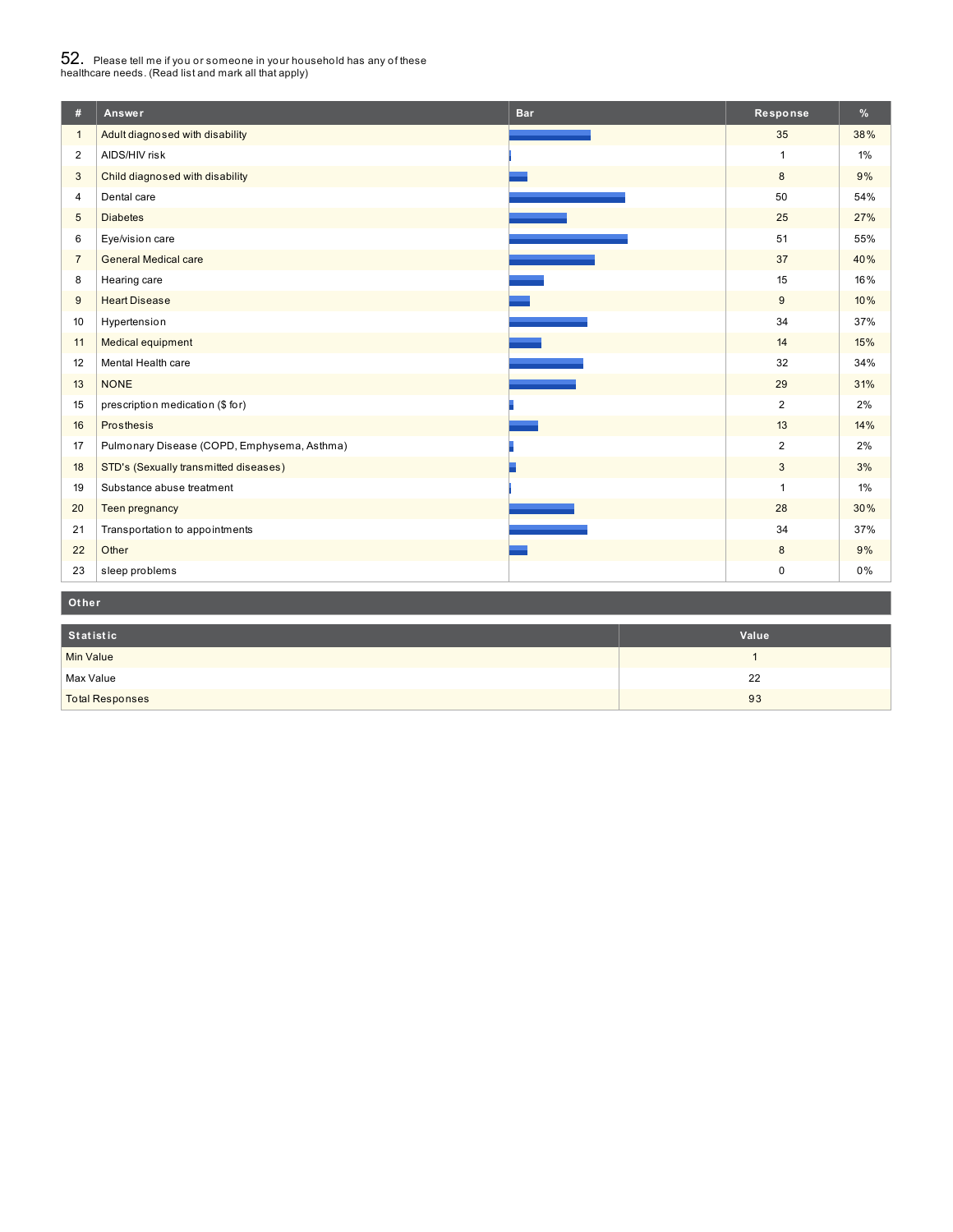# $52_\cdot$  Please tell me if you or someone in your household has any of these<br>healthcare needs. (Read list and mark all that apply)

| #              | Answer                                      | <b>Bar</b> | Response       | %   |
|----------------|---------------------------------------------|------------|----------------|-----|
| $\mathbf{1}$   | Adult diagnosed with disability             |            | 35             | 38% |
| 2              | AIDS/HIV risk                               |            | $\mathbf{1}$   | 1%  |
| $\mathbf{3}$   | Child diagnosed with disability             |            | 8              | 9%  |
| $\overline{4}$ | Dental care                                 |            | 50             | 54% |
| $\sqrt{5}$     | <b>Diabetes</b>                             |            | 25             | 27% |
| 6              | Eye/vision care                             |            | 51             | 55% |
| $\overline{7}$ | <b>General Medical care</b>                 |            | 37             | 40% |
| 8              | Hearing care                                |            | 15             | 16% |
| 9              | <b>Heart Disease</b>                        |            | 9              | 10% |
| 10             | Hypertension                                |            | 34             | 37% |
| 11             | Medical equipment                           |            | 14             | 15% |
| 12             | Mental Health care                          |            | 32             | 34% |
| 13             | <b>NONE</b>                                 |            | 29             | 31% |
| 15             | prescription medication (\$ for)            |            | $\overline{2}$ | 2%  |
| 16             | Prosthesis                                  |            | 13             | 14% |
| 17             | Pulmonary Disease (COPD, Emphysema, Asthma) |            | 2              | 2%  |
| 18             | STD's (Sexually transmitted diseases)       |            | 3              | 3%  |
| 19             | Substance abuse treatment                   |            | $\mathbf{1}$   | 1%  |
| 20             | Teen pregnancy                              |            | 28             | 30% |
| 21             | Transportation to appointments              |            | 34             | 37% |
| 22             | Other                                       |            | $8\phantom{1}$ | 9%  |
| 23             | sleep problems                              |            | $\mathbf 0$    | 0%  |
| Other          |                                             |            |                |     |

| Statistic              | Value |
|------------------------|-------|
| <b>Min Value</b>       |       |
| Max Value              | 22    |
| <b>Total Responses</b> | 93    |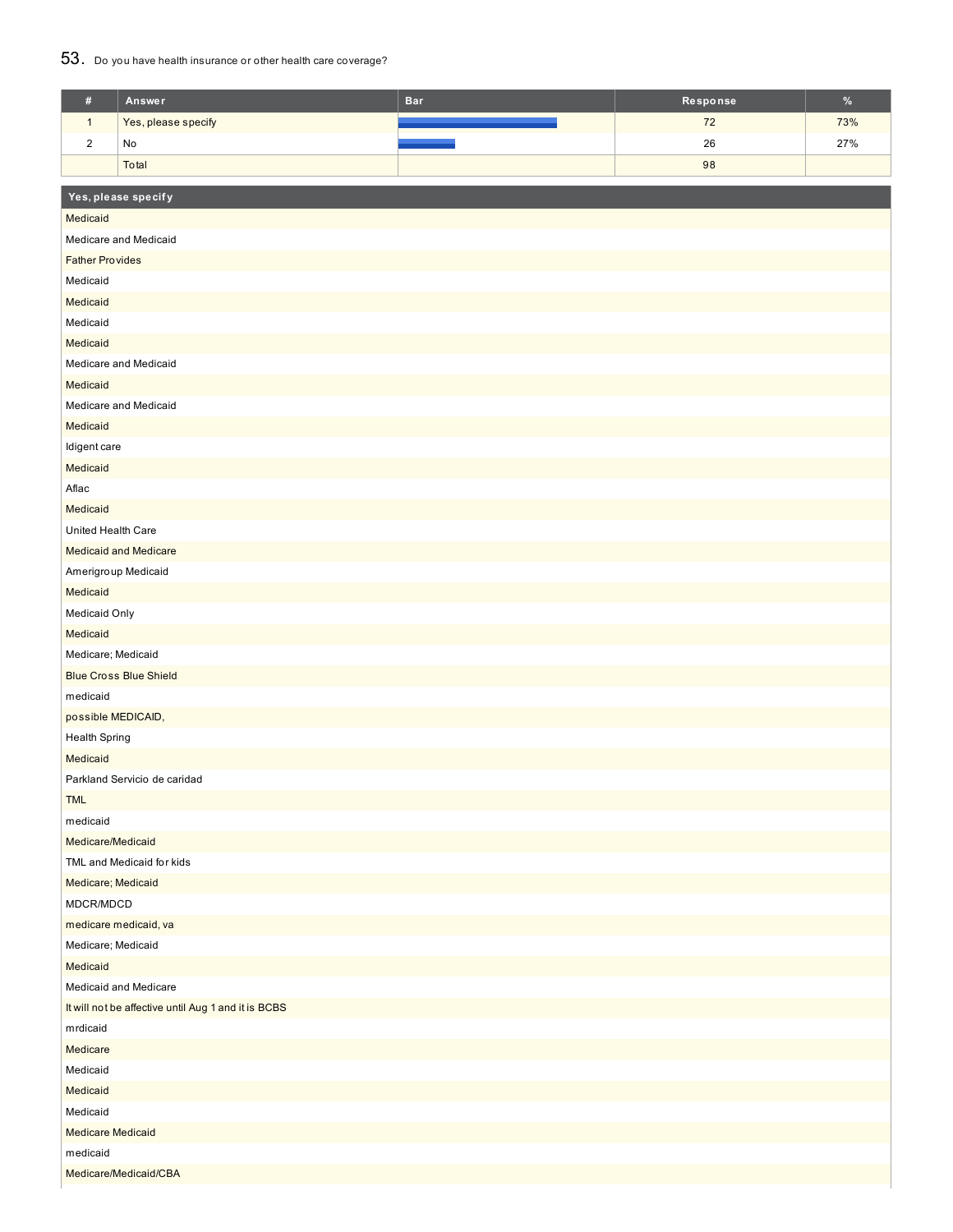### 53. Do you have health insurance or other health care coverage?

| $\#$                                                            | Answer                        | <b>Bar</b> | Response | $\%$ |  |  |  |
|-----------------------------------------------------------------|-------------------------------|------------|----------|------|--|--|--|
| $\mathbf{1}$                                                    | Yes, please specify           |            | 72       | 73%  |  |  |  |
| $\sqrt{2}$                                                      | No                            |            | 26       | 27%  |  |  |  |
|                                                                 | Total                         |            | 98       |      |  |  |  |
|                                                                 |                               |            |          |      |  |  |  |
|                                                                 | Yes, please specify           |            |          |      |  |  |  |
| Medicaid                                                        |                               |            |          |      |  |  |  |
|                                                                 | Medicare and Medicaid         |            |          |      |  |  |  |
|                                                                 | <b>Father Provides</b>        |            |          |      |  |  |  |
| Medicaid                                                        |                               |            |          |      |  |  |  |
| Medicaid                                                        |                               |            |          |      |  |  |  |
| Medicaid                                                        |                               |            |          |      |  |  |  |
| Medicaid                                                        |                               |            |          |      |  |  |  |
|                                                                 | Medicare and Medicaid         |            |          |      |  |  |  |
| Medicaid                                                        |                               |            |          |      |  |  |  |
|                                                                 | Medicare and Medicaid         |            |          |      |  |  |  |
| Medicaid                                                        |                               |            |          |      |  |  |  |
| Idigent care                                                    |                               |            |          |      |  |  |  |
| Medicaid                                                        |                               |            |          |      |  |  |  |
| Aflac                                                           |                               |            |          |      |  |  |  |
| Medicaid                                                        |                               |            |          |      |  |  |  |
| United Health Care                                              |                               |            |          |      |  |  |  |
|                                                                 | <b>Medicaid and Medicare</b>  |            |          |      |  |  |  |
| Amerigroup Medicaid                                             |                               |            |          |      |  |  |  |
| Medicaid                                                        |                               |            |          |      |  |  |  |
| Medicaid Only                                                   |                               |            |          |      |  |  |  |
| Medicaid                                                        |                               |            |          |      |  |  |  |
| Medicare; Medicaid                                              |                               |            |          |      |  |  |  |
|                                                                 | <b>Blue Cross Blue Shield</b> |            |          |      |  |  |  |
| medicaid                                                        |                               |            |          |      |  |  |  |
| possible MEDICAID,                                              |                               |            |          |      |  |  |  |
| <b>Health Spring</b>                                            |                               |            |          |      |  |  |  |
| Medicaid                                                        |                               |            |          |      |  |  |  |
|                                                                 | Parkland Servicio de caridad  |            |          |      |  |  |  |
| <b>TML</b>                                                      |                               |            |          |      |  |  |  |
| medicaid                                                        |                               |            |          |      |  |  |  |
| Medicare/Medicaid                                               |                               |            |          |      |  |  |  |
|                                                                 | TML and Medicaid for kids     |            |          |      |  |  |  |
| Medicare; Medicaid                                              |                               |            |          |      |  |  |  |
| MDCR/MDCD                                                       |                               |            |          |      |  |  |  |
|                                                                 | medicare medicaid, va         |            |          |      |  |  |  |
| Medicare; Medicaid                                              |                               |            |          |      |  |  |  |
| Medicaid                                                        |                               |            |          |      |  |  |  |
| Medicaid and Medicare                                           |                               |            |          |      |  |  |  |
| It will not be affective until Aug 1 and it is BCBS<br>mrdicaid |                               |            |          |      |  |  |  |
| Medicare                                                        |                               |            |          |      |  |  |  |
| Medicaid                                                        |                               |            |          |      |  |  |  |
| Medicaid                                                        |                               |            |          |      |  |  |  |
| Medicaid                                                        |                               |            |          |      |  |  |  |
| <b>Medicare Medicaid</b>                                        |                               |            |          |      |  |  |  |
| medicaid                                                        |                               |            |          |      |  |  |  |
| Medicare/Medicaid/CBA                                           |                               |            |          |      |  |  |  |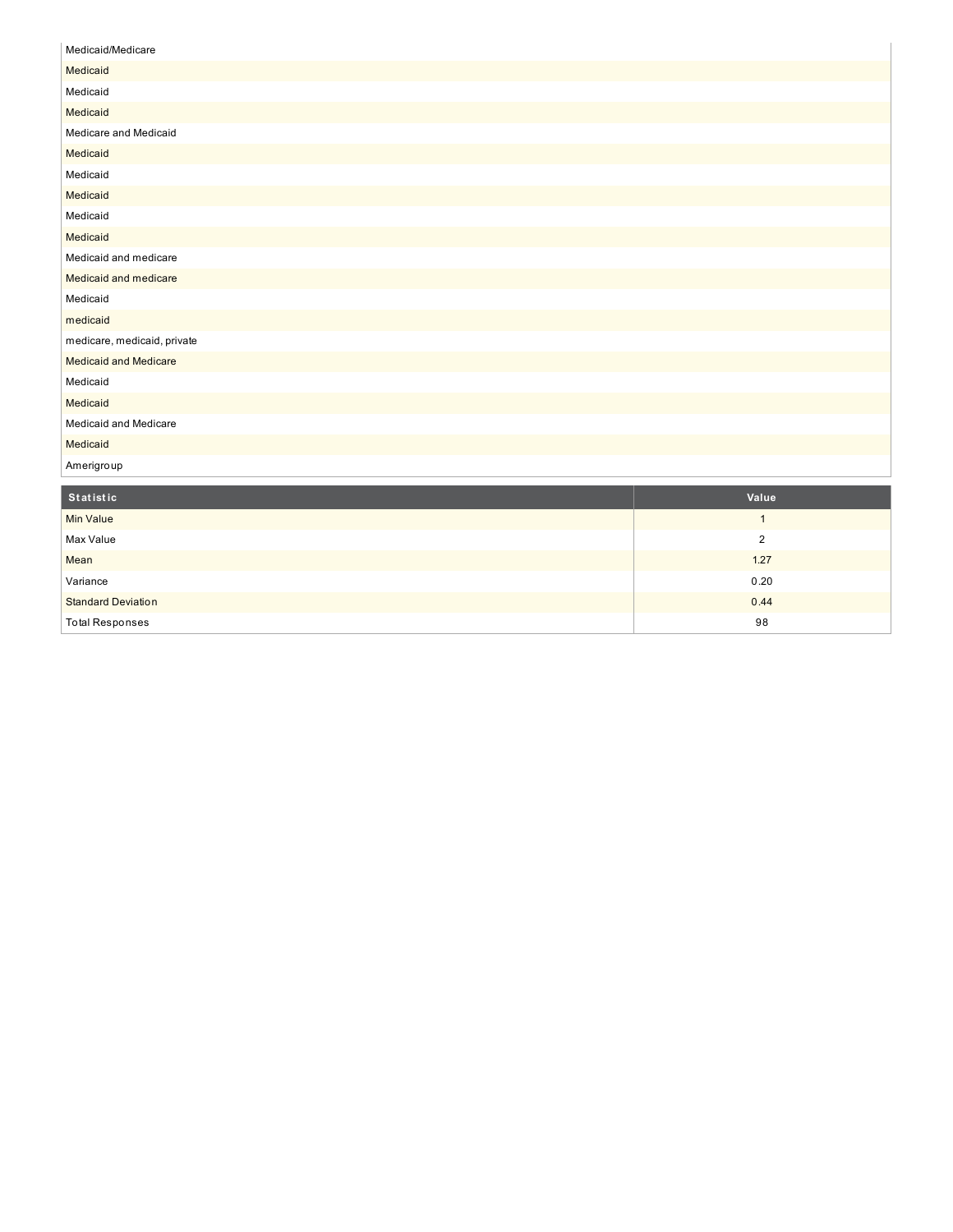| Medicaid/Medicare            |
|------------------------------|
| Medicaid                     |
| Medicaid                     |
| Medicaid                     |
| Medicare and Medicaid        |
| Medicaid                     |
| Medicaid                     |
| Medicaid                     |
| Medicaid                     |
| Medicaid                     |
| Medicaid and medicare        |
| Medicaid and medicare        |
| Medicaid                     |
| medicaid                     |
| medicare, medicaid, private  |
| <b>Medicaid and Medicare</b> |
| Medicaid                     |
| Medicaid                     |
| Medicaid and Medicare        |
| Medicaid                     |
| Amerigroup                   |

| Statistic                 | Value |
|---------------------------|-------|
| <b>Min Value</b>          |       |
| Max Value                 | ◠     |
| Mean                      | 1.27  |
| Variance                  | 0.20  |
| <b>Standard Deviation</b> | 0.44  |
| <b>Total Responses</b>    | 98    |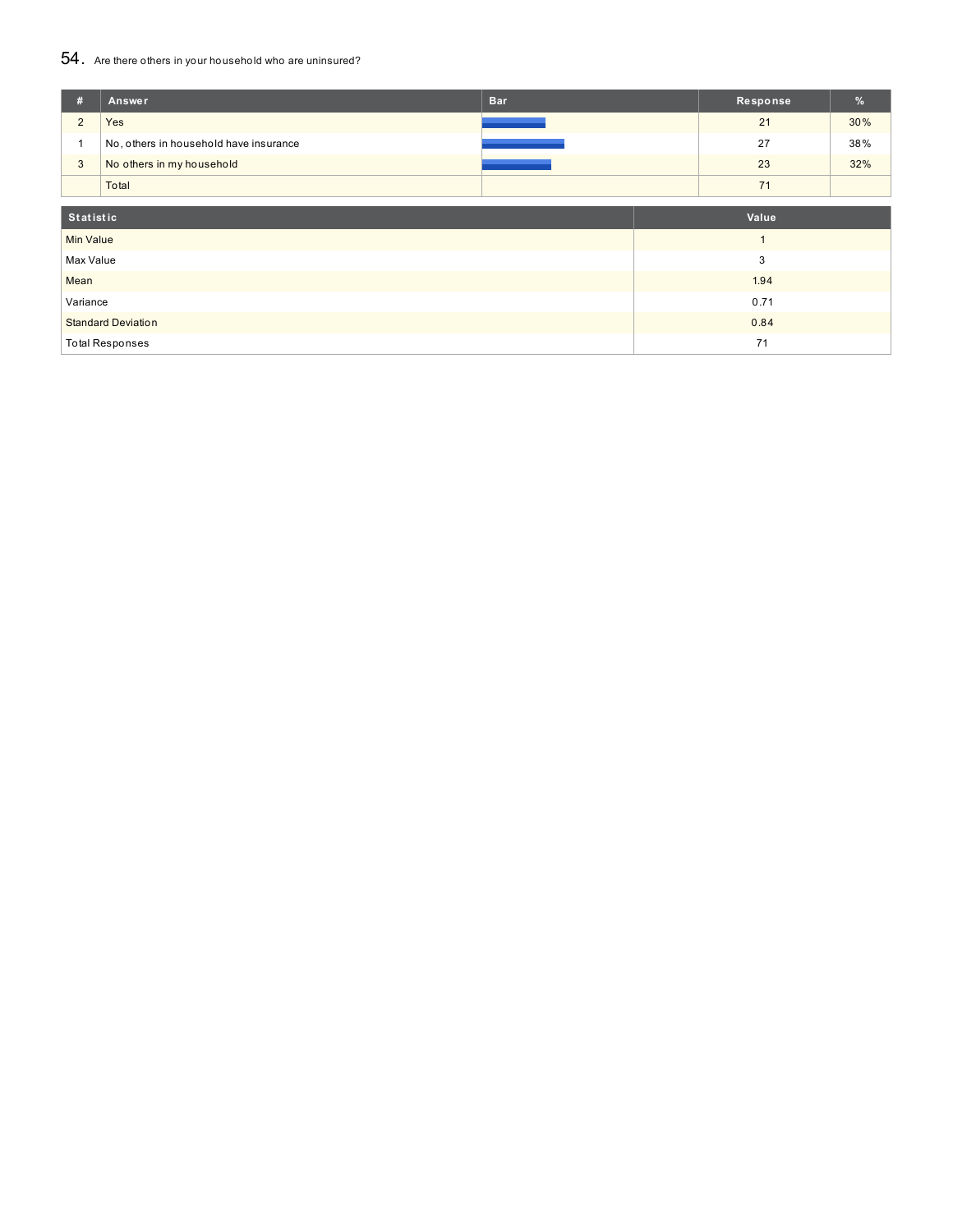## 54. Are there others in your household who are uninsured?

| #                                 | Answer                                 | <b>Bar</b> |  | Response | %   |
|-----------------------------------|----------------------------------------|------------|--|----------|-----|
| $\overline{2}$                    | Yes                                    |            |  | 21       | 30% |
|                                   | No, others in household have insurance |            |  | 27       | 38% |
| 3                                 | No others in my household              |            |  | 23       | 32% |
|                                   | Total                                  |            |  | 71       |     |
| <b>Statistic</b>                  |                                        |            |  | Value    |     |
| <b>Min Value</b>                  |                                        |            |  |          |     |
| Max Value<br>3                    |                                        |            |  |          |     |
| 1.94<br>Mean                      |                                        |            |  |          |     |
| 0.71<br>Variance                  |                                        |            |  |          |     |
| <b>Standard Deviation</b><br>0.84 |                                        |            |  |          |     |
|                                   | <b>Total Responses</b>                 |            |  | 71       |     |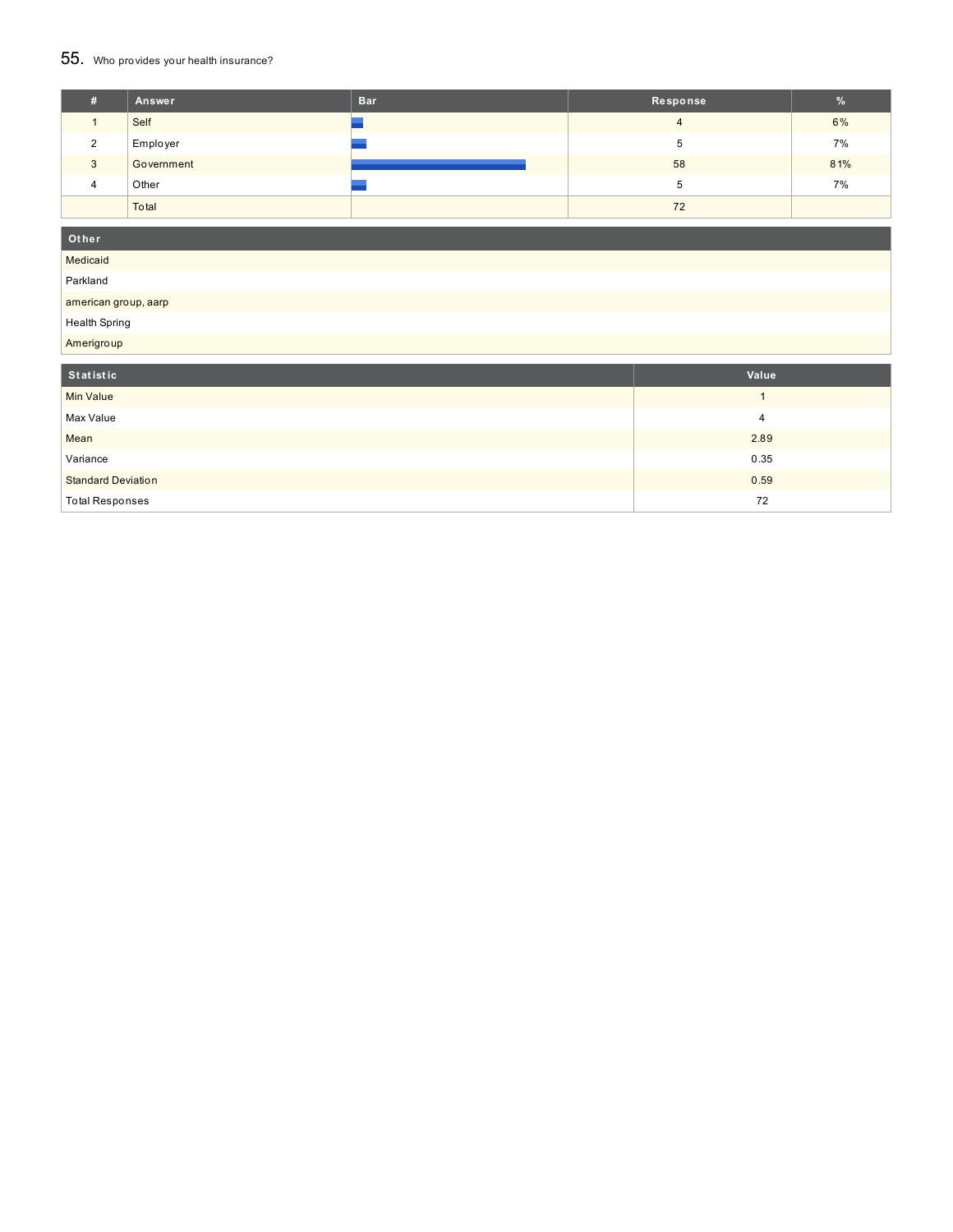#### $55$ . Who provides your health insurance?

| ₩. | Answer     | <b>Bar</b> | Response | %   |
|----|------------|------------|----------|-----|
|    | Self       |            |          | 6%  |
|    | Employer   |            | 5        | 7%  |
| 3  | Government |            | 58       | 81% |
| 4  | Other      |            | 5        | 7%  |
|    | Total      |            | 72       |     |

#### **O t h e r**

**Medicaid** 

Parkland

american group, aarp

H e alt h S p rin g

Amerigroup

| Statistic                 | Value |
|---------------------------|-------|
| <b>Min Value</b>          |       |
| Max Value                 | 4     |
| Mean                      | 2.89  |
| Variance                  | 0.35  |
| <b>Standard Deviation</b> | 0.59  |
| <b>Total Responses</b>    | 72    |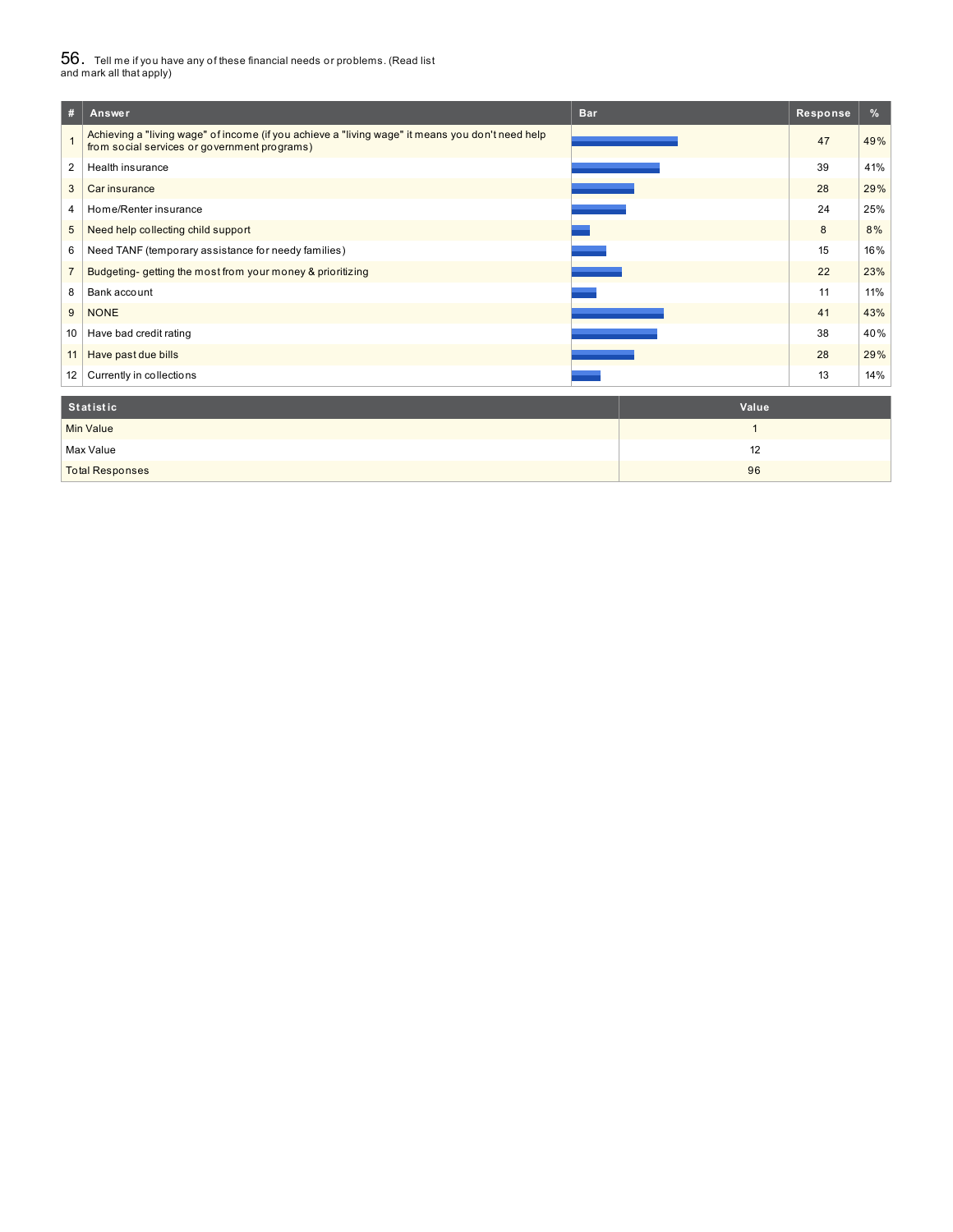# $56_\cdot$  Tell me if you have any of these financial needs or problems. (Read list<br>and mark all that apply)

| #               | Answer                                                                                                                                           | <b>Bar</b> | Response | %   |
|-----------------|--------------------------------------------------------------------------------------------------------------------------------------------------|------------|----------|-----|
|                 | Achieving a "living wage" of income (if you achieve a "living wage" it means you don't need help<br>from social services or government programs) |            | 47       | 49% |
| $\overline{2}$  | Health insurance                                                                                                                                 |            | 39       | 41% |
| 3               | Car insurance                                                                                                                                    |            | 28       | 29% |
| 4               | Home/Renter insurance                                                                                                                            |            | 24       | 25% |
| 5               | Need help collecting child support                                                                                                               |            | 8        | 8%  |
| 6               | Need TANF (temporary assistance for needy families)                                                                                              |            | 15       | 16% |
| $\overline{7}$  | Budgeting-getting the most from your money & prioritizing                                                                                        |            | 22       | 23% |
| 8               | Bank account                                                                                                                                     |            | 11       | 11% |
| 9               | <b>NONE</b>                                                                                                                                      |            | 41       | 43% |
| 10              | Have bad credit rating                                                                                                                           |            | 38       | 40% |
| 11 <sup>1</sup> | Have past due bills                                                                                                                              |            | 28       | 29% |
| 12              | Currently in collections                                                                                                                         |            | 13       | 14% |
|                 | $0.4 - 4.1 - 4.1 -$                                                                                                                              | $M = 1$    |          |     |

| Statistic              | Value |
|------------------------|-------|
| <b>Min Value</b>       |       |
| Max Value              | 12    |
| <b>Total Responses</b> | 96    |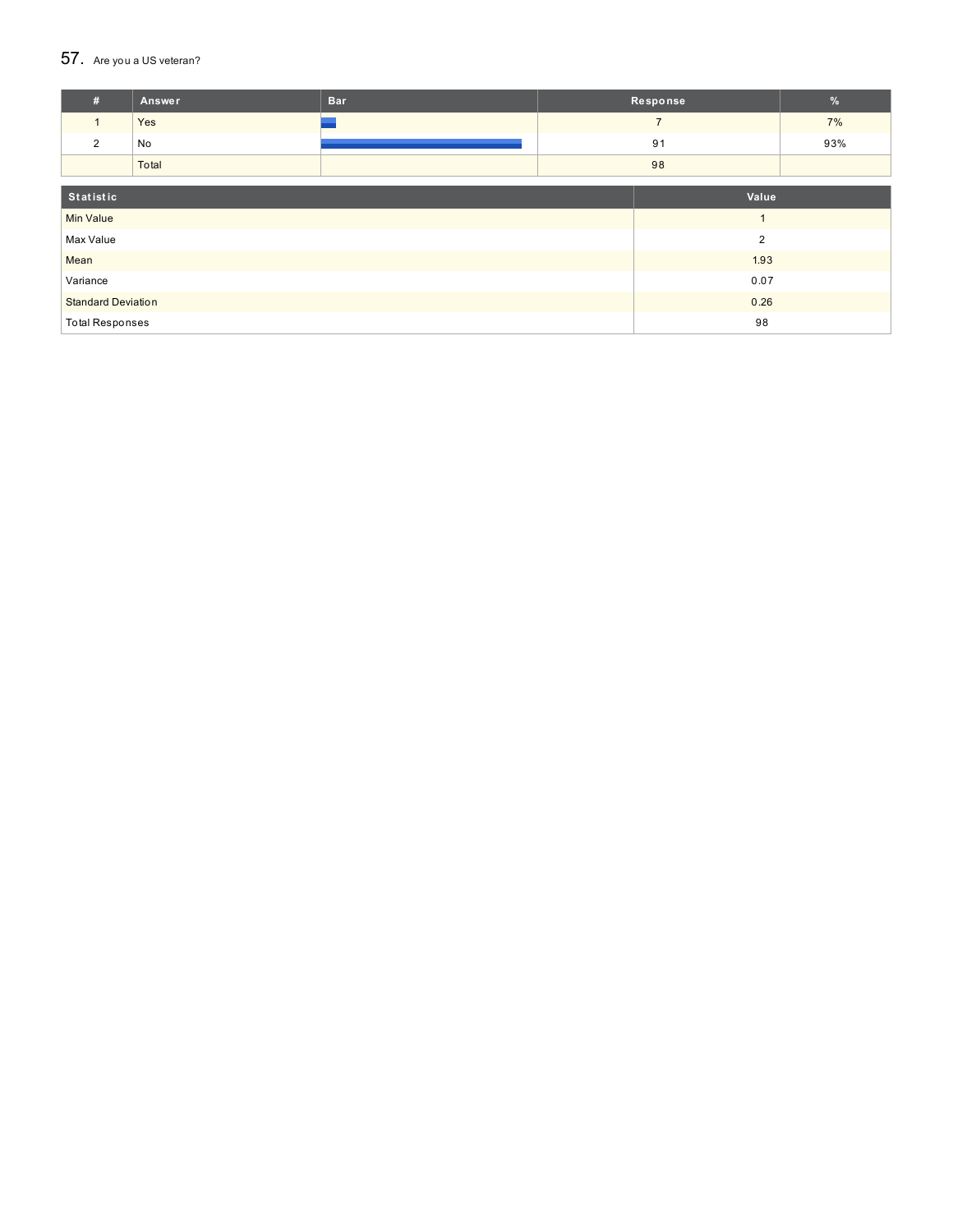### $57.$  Are you a US veteran?

| #                         | Answer | <b>Bar</b> |       | Response       | %   |
|---------------------------|--------|------------|-------|----------------|-----|
| $\mathbf{1}$              | Yes    |            |       | $\overline{7}$ | 7%  |
| 2                         | No     |            |       | 91             | 93% |
|                           | Total  |            | 98    |                |     |
|                           |        |            |       |                |     |
| Statistic                 |        |            | Value |                |     |
| <b>Min Value</b>          |        |            |       |                |     |
| Max Value                 |        | 2          |       |                |     |
| Mean                      |        | 1.93       |       |                |     |
| Variance                  |        | 0.07       |       |                |     |
| <b>Standard Deviation</b> |        | 0.26       |       |                |     |
| <b>Total Responses</b>    |        | 98         |       |                |     |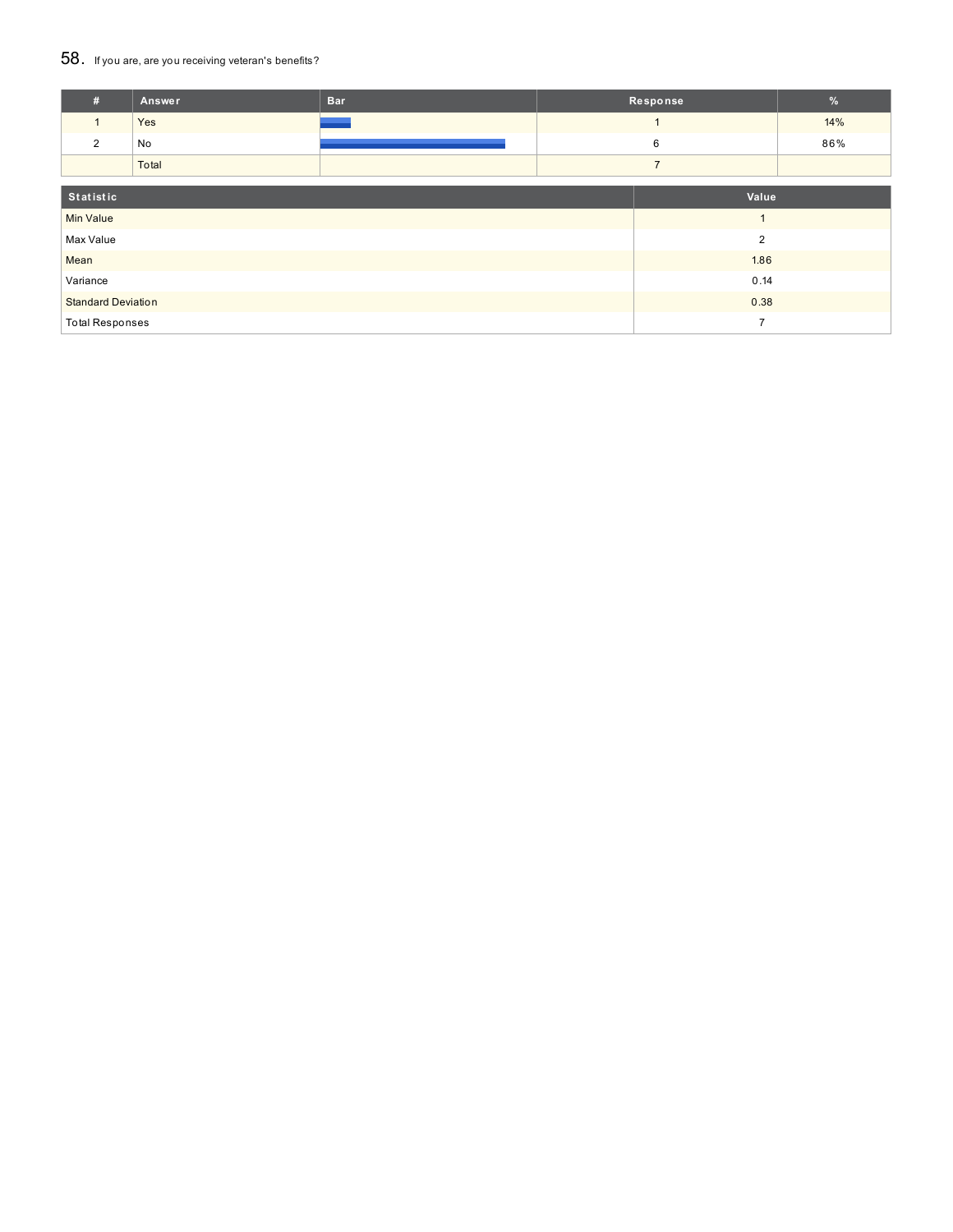### 58. If you are, are you receiving veteran's benefits?

| #                         | Answer | <b>Bar</b>     |  | Response       | $\frac{9}{6}$ |
|---------------------------|--------|----------------|--|----------------|---------------|
| $\mathbf{1}$              | Yes    |                |  |                | 14%           |
| 2                         | No     |                |  | 6              | 86%           |
|                           | Total  |                |  | $\overline{7}$ |               |
|                           |        |                |  |                |               |
| Statistic                 |        |                |  | Value          |               |
| <b>Min Value</b>          |        |                |  |                |               |
| Max Value                 |        | $\overline{2}$ |  |                |               |
| Mean                      |        | 1.86           |  |                |               |
| Variance                  |        | 0.14           |  |                |               |
| <b>Standard Deviation</b> |        | 0.38           |  |                |               |
| <b>Total Responses</b>    |        |                |  | $\overline{ }$ |               |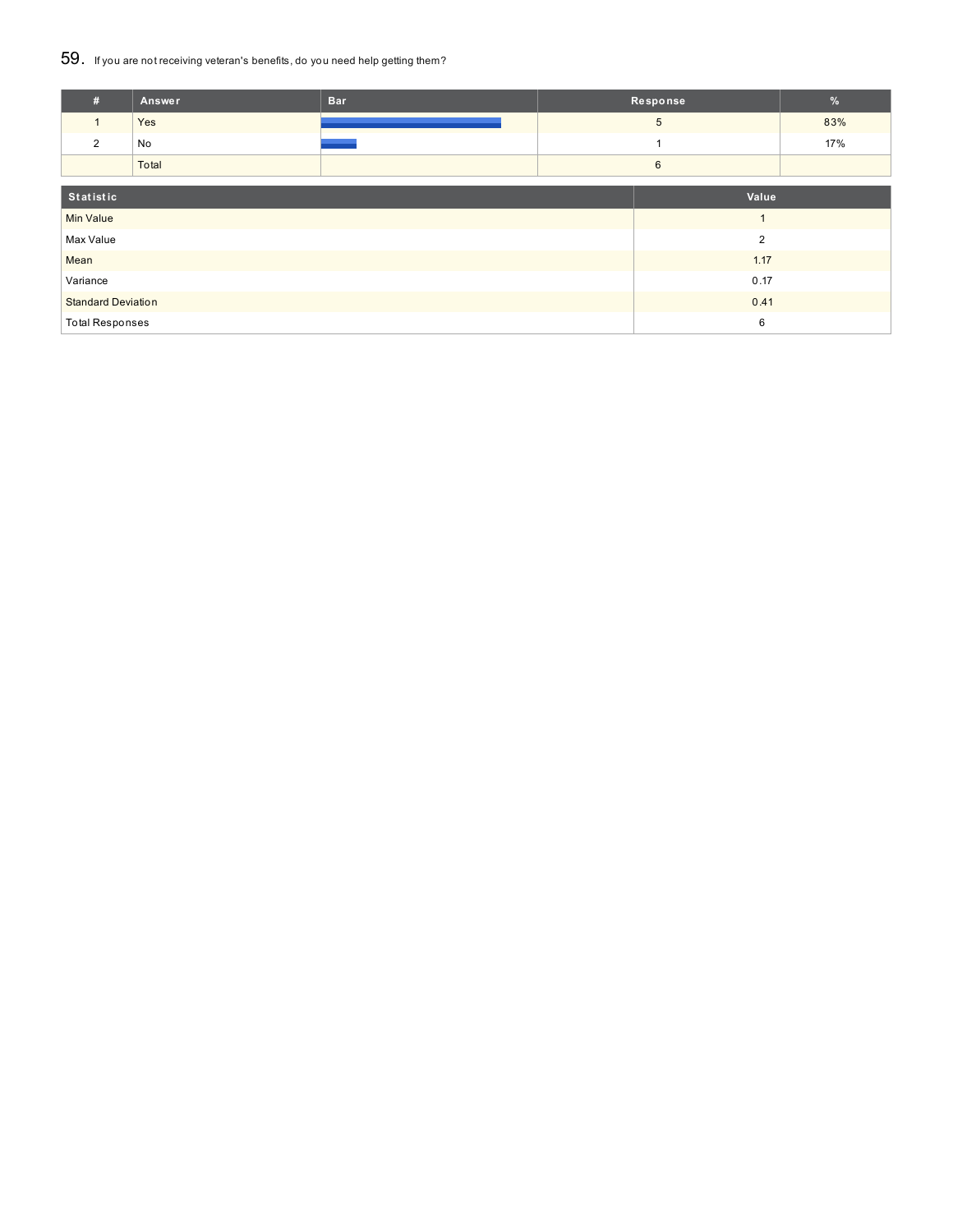### 59. If you are not receiving veteran's benefits, do you need help getting them?

| #                         | Answer | <b>Bar</b>     |      | Response       | $\frac{9}{6}$ |
|---------------------------|--------|----------------|------|----------------|---------------|
|                           | Yes    |                |      | 5              | 83%           |
| $\overline{2}$            | No     |                |      |                | 17%           |
|                           | Total  |                |      | $6\phantom{1}$ |               |
| Statistic                 |        |                |      | Value          |               |
|                           |        |                |      |                |               |
| <b>Min Value</b>          |        |                |      | $\overline{A}$ |               |
| Max Value                 |        | $\overline{2}$ |      |                |               |
| Mean                      |        |                | 1.17 |                |               |
| Variance                  |        | 0.17           |      |                |               |
| <b>Standard Deviation</b> |        | 0.41           |      |                |               |
| <b>Total Responses</b>    |        | 6              |      |                |               |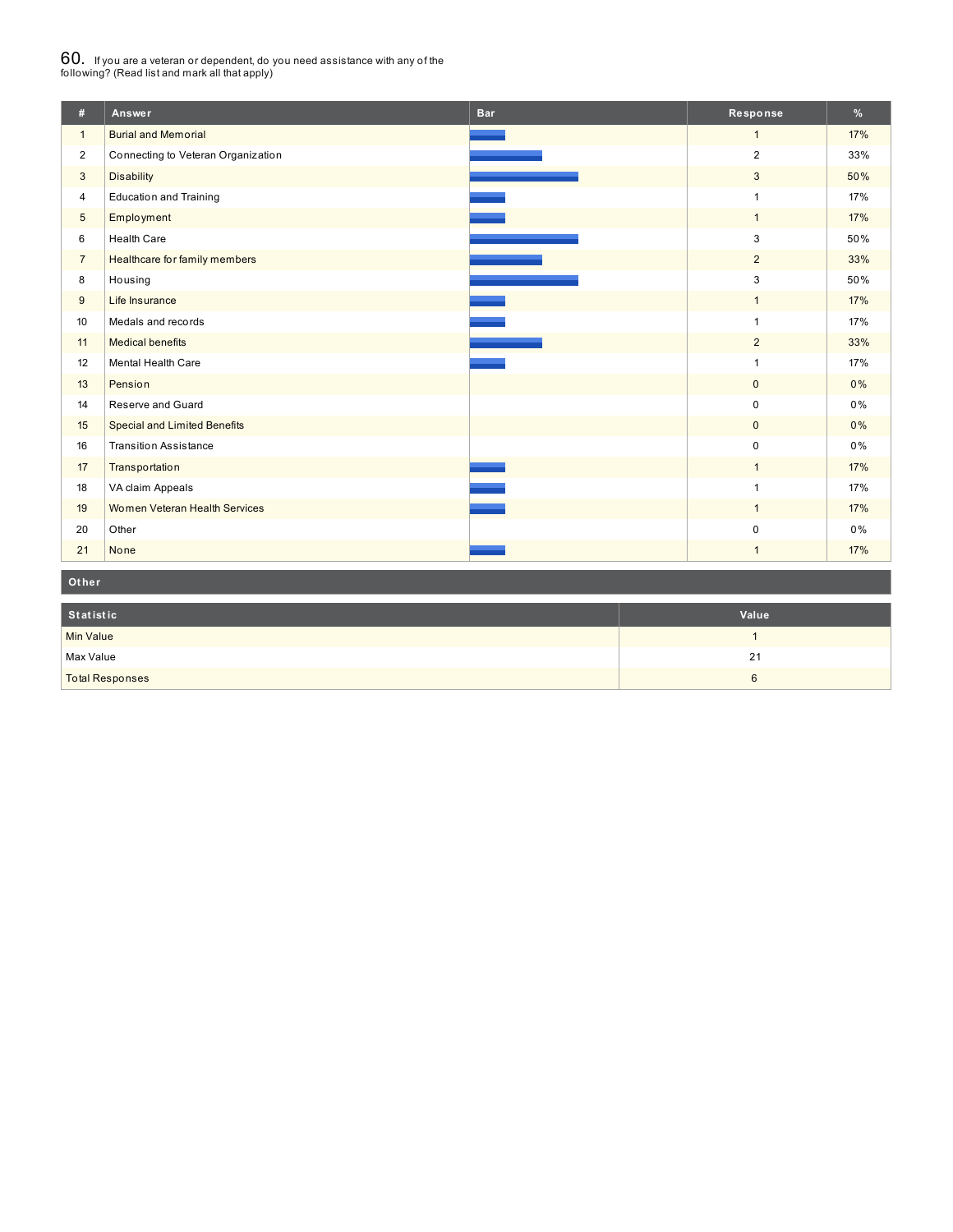# $60_\cdot$  If you are a veteran or dependent, do you need assistance with any of the<br>following? (Read list and mark all that apply)

| #              | Answer                              | <b>Bar</b> | Response       | %     |
|----------------|-------------------------------------|------------|----------------|-------|
| $\mathbf{1}$   | <b>Burial and Memorial</b>          |            | $\mathbf{1}$   | 17%   |
| $\overline{2}$ | Connecting to Veteran Organization  |            | $\overline{2}$ | 33%   |
| 3              | <b>Disability</b>                   |            | 3              | 50%   |
| $\overline{4}$ | <b>Education and Training</b>       |            | $\mathbf{1}$   | 17%   |
| 5              | Employment                          |            | $\mathbf{1}$   | 17%   |
| 6              | <b>Health Care</b>                  |            | 3              | 50%   |
| $\overline{7}$ | Healthcare for family members       |            | $\overline{2}$ | 33%   |
| 8              | Housing                             |            | 3              | 50%   |
| 9              | Life Insurance                      |            | $\mathbf{1}$   | 17%   |
| 10             | Medals and records                  |            | $\mathbf{1}$   | 17%   |
| 11             | <b>Medical benefits</b>             |            | $\overline{2}$ | 33%   |
| 12             | Mental Health Care                  |            | $\mathbf{1}$   | 17%   |
| 13             | Pension                             |            | $\mathbf{0}$   | 0%    |
| 14             | Reserve and Guard                   |            | $\mathbf 0$    | 0%    |
| 15             | <b>Special and Limited Benefits</b> |            | $\mathbf{0}$   | 0%    |
| 16             | <b>Transition Assistance</b>        |            | $\mathbf 0$    | $0\%$ |
| 17             | Transportation                      |            | $\mathbf{1}$   | 17%   |
| 18             | VA claim Appeals                    |            | $\mathbf{1}$   | 17%   |
| 19             | Women Veteran Health Services       |            | $\mathbf{1}$   | 17%   |
| 20             | Other                               |            | $\mathbf 0$    | 0%    |
| 21             | None                                |            | $\mathbf{1}$   | 17%   |

**Ot her**

| Statistic              | Value |
|------------------------|-------|
| <b>Min Value</b>       |       |
| Max Value              | 21    |
| <b>Total Responses</b> |       |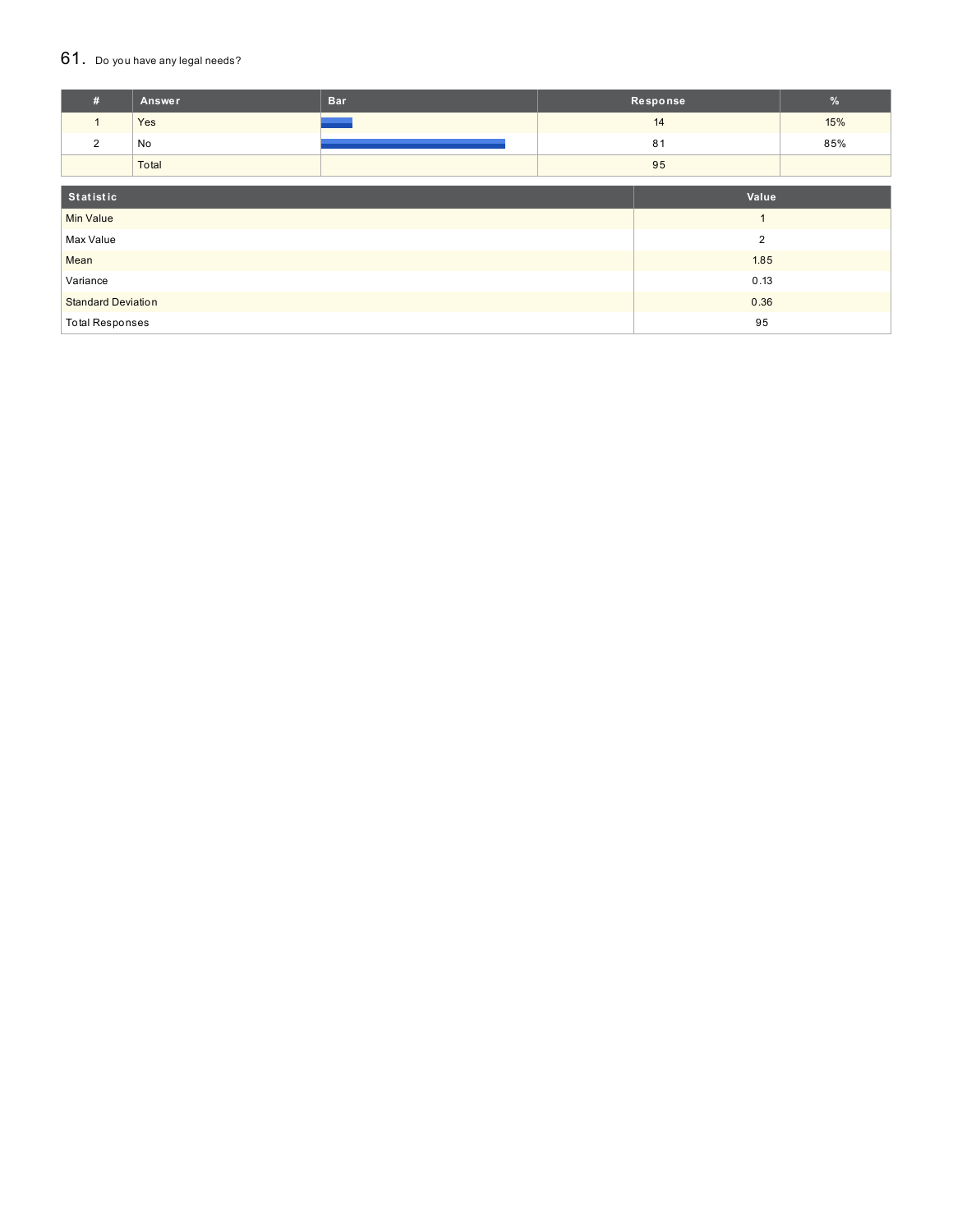#### $61.$  Do you have any legal needs?

| #                         | Answer | <b>Bar</b> |                | Response | $\%$ |
|---------------------------|--------|------------|----------------|----------|------|
| $\mathbf{1}$              | Yes    |            | 14             |          | 15%  |
| 2                         | No     |            | 81             |          | 85%  |
|                           | Total  |            | 95             |          |      |
| Statistic<br>Value        |        |            |                |          |      |
|                           |        |            |                |          |      |
| <b>Min Value</b>          |        |            | $\overline{ }$ |          |      |
| Max Value                 |        |            | $\overline{2}$ |          |      |
| Mean                      |        |            | 1.85           |          |      |
| Variance                  |        |            | 0.13           |          |      |
| <b>Standard Deviation</b> |        |            |                | 0.36     |      |
| <b>Total Responses</b>    |        |            |                | 95       |      |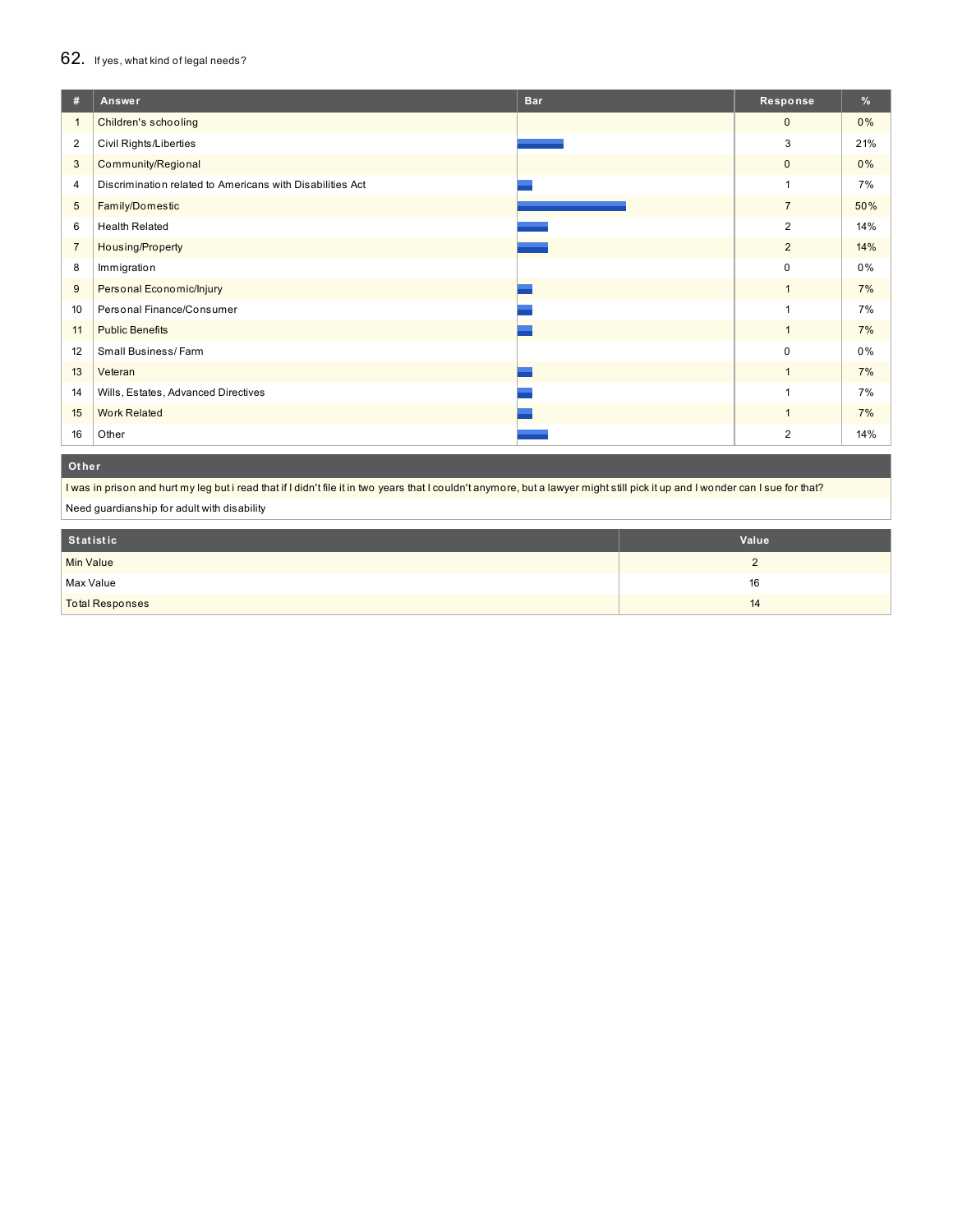### 62. If yes, what kind of legal needs?

| #              | Answer                                                    | <b>Bar</b> | Response       | $\frac{9}{6}$ |
|----------------|-----------------------------------------------------------|------------|----------------|---------------|
| 1              | Children's schooling                                      |            | $\mathbf{0}$   | 0%            |
| $\overline{2}$ | <b>Civil Rights/Liberties</b>                             |            | 3              | 21%           |
| 3              | Community/Regional                                        |            | $\mathbf 0$    | 0%            |
| 4              | Discrimination related to Americans with Disabilities Act |            | 1              | 7%            |
| 5              | Family/Domestic                                           |            | $\overline{7}$ | 50%           |
| 6              | <b>Health Related</b>                                     |            | 2              | 14%           |
| $\overline{7}$ | Housing/Property                                          |            | $\overline{2}$ | 14%           |
| 8              | Immigration                                               |            | 0              | 0%            |
| 9              | Personal Economic/Injury                                  |            | $\overline{1}$ | 7%            |
| 10             | Personal Finance/Consumer                                 |            | ٠              | 7%            |
| 11             | <b>Public Benefits</b>                                    |            | $\overline{1}$ | 7%            |
| 12             | Small Business/Farm                                       |            | $\mathbf 0$    | 0%            |
| 13             | Veteran                                                   |            |                | 7%            |
| 14             | Wills, Estates, Advanced Directives                       |            |                | 7%            |
| 15             | <b>Work Related</b>                                       |            |                | 7%            |
| 16             | Other                                                     |            | $\overline{2}$ | 14%           |

### **Ot her**

I was in prison and hurt my leg but i read that if I didn't file it in two years that I couldn't anymore, but a lawyer might still pick it up and I wonder can I sue for that?

Need guardianship for adult with disability

| Statistic              | Value |
|------------------------|-------|
| <b>Min Value</b>       | -     |
| Max Value              | 16    |
| <b>Total Responses</b> | 14    |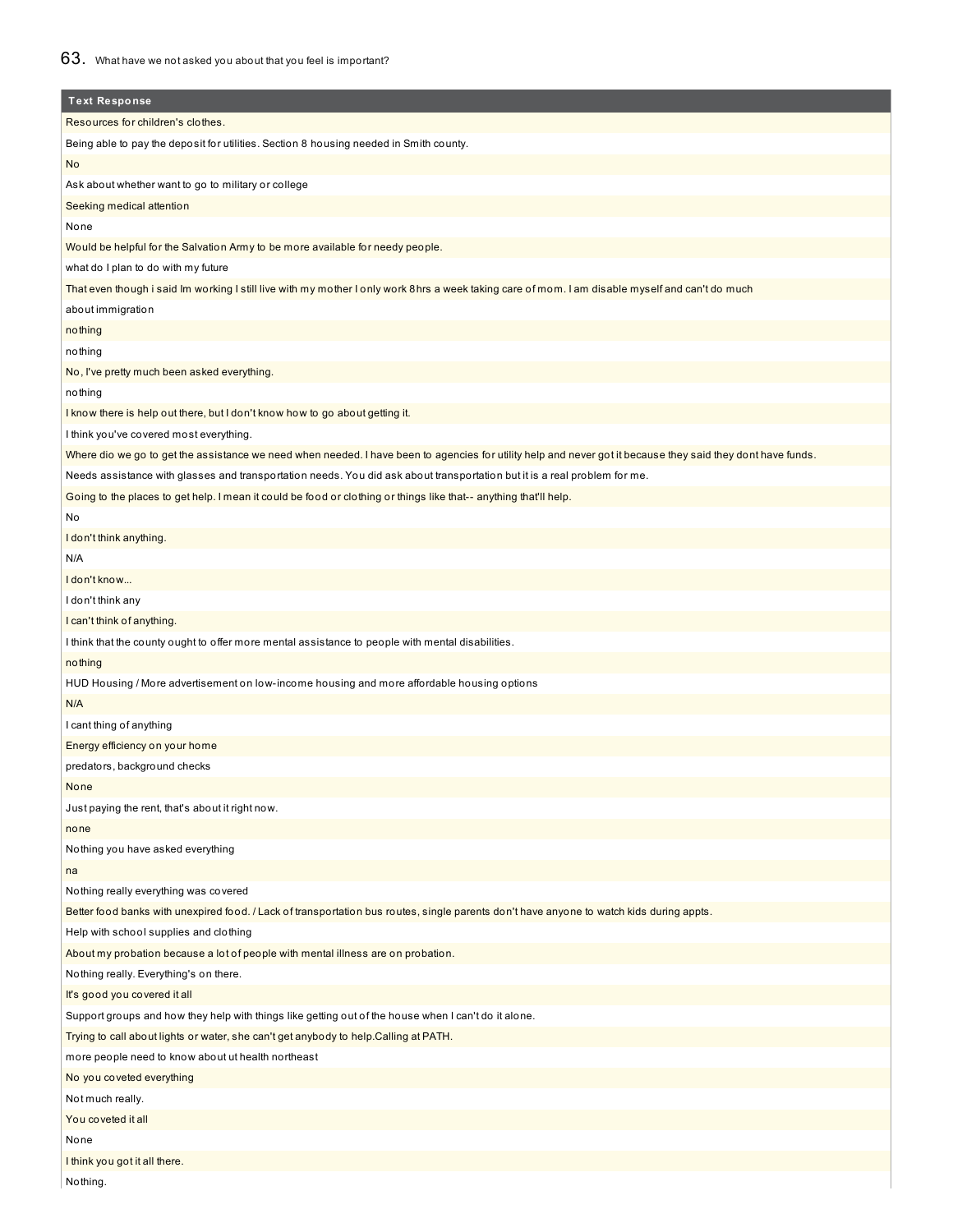| <b>Text Response</b>                                                                                                                                         |
|--------------------------------------------------------------------------------------------------------------------------------------------------------------|
| Resources for children's clothes.                                                                                                                            |
| Being able to pay the deposit for utilities. Section 8 housing needed in Smith county.                                                                       |
| <b>No</b>                                                                                                                                                    |
| Ask about whether want to go to military or college                                                                                                          |
| Seeking medical attention                                                                                                                                    |
| None                                                                                                                                                         |
| Would be helpful for the Salvation Army to be more available for needy people.                                                                               |
| what do I plan to do with my future                                                                                                                          |
| That even though i said Im working I still live with my mother I only work 8hrs a week taking care of mom. I am disable myself and can't do much             |
| about immigration                                                                                                                                            |
| nothing                                                                                                                                                      |
| nothing                                                                                                                                                      |
| No, I've pretty much been asked everything.                                                                                                                  |
| nothing                                                                                                                                                      |
| I know there is help out there, but I don't know how to go about getting it.                                                                                 |
| I think you've covered most everything.                                                                                                                      |
| Where dio we go to get the assistance we need when needed. I have been to agencies for utility help and never got it because they said they dont have funds. |
| Needs assistance with glasses and transportation needs. You did ask about transportation but it is a real problem for me.                                    |
| Going to the places to get help. I mean it could be food or clothing or things like that-- anything that'll help.                                            |
| No                                                                                                                                                           |
| I don't think anything.                                                                                                                                      |
| N/A                                                                                                                                                          |
| I don't know                                                                                                                                                 |
| I don't think any                                                                                                                                            |
| I can't think of anything.                                                                                                                                   |
| I think that the county ought to offer more mental assistance to people with mental disabilities.                                                            |
| nothing                                                                                                                                                      |
| HUD Housing / More advertisement on low-income housing and more affordable housing options                                                                   |
| N/A                                                                                                                                                          |
| I cant thing of anything                                                                                                                                     |
| Energy efficiency on your home                                                                                                                               |
| predators, background checks                                                                                                                                 |
| None                                                                                                                                                         |
| Just paying the rent, that's about it right now.                                                                                                             |
| none                                                                                                                                                         |
| Nothing you have asked everything                                                                                                                            |
| na                                                                                                                                                           |
| Nothing really everything was covered                                                                                                                        |
| Better food banks with unexpired food. / Lack of transportation bus routes, single parents don't have anyone to watch kids during appts.                     |
| Help with school supplies and clothing                                                                                                                       |
| About my probation because a lot of people with mental illness are on probation.                                                                             |
| Nothing really. Everything's on there.                                                                                                                       |
| It's good you covered it all                                                                                                                                 |
| Support groups and how they help with things like getting out of the house when I can't do it alone.                                                         |
| Trying to call about lights or water, she can't get anybody to help. Calling at PATH.                                                                        |
| more people need to know about ut health northeast                                                                                                           |
| No you coveted everything                                                                                                                                    |
| Not much really.                                                                                                                                             |
| You coveted it all                                                                                                                                           |
| None                                                                                                                                                         |
| I think you got it all there.                                                                                                                                |
| Nothing.                                                                                                                                                     |
|                                                                                                                                                              |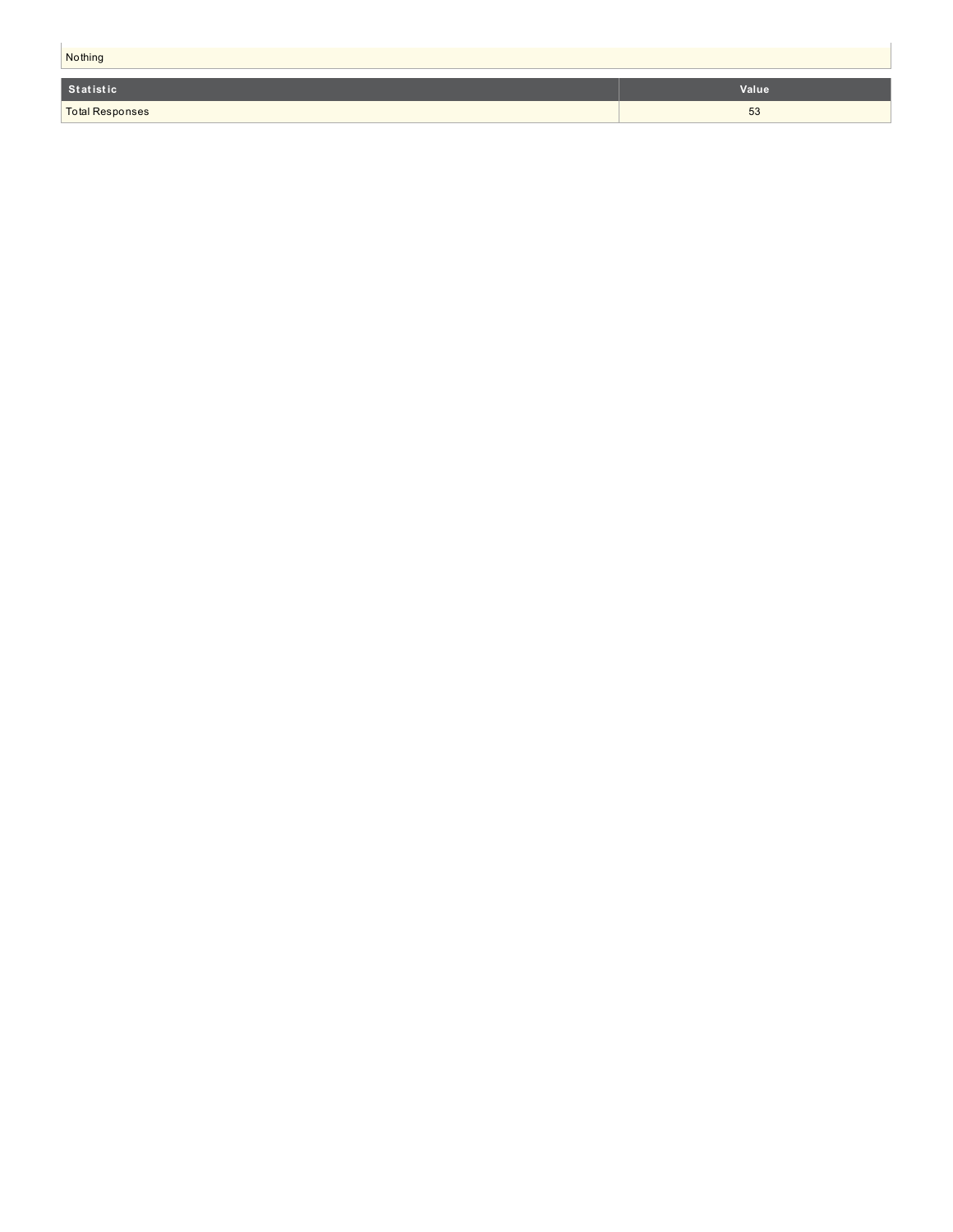| Nothing         |       |  |
|-----------------|-------|--|
| Statistic       | Value |  |
| Total Responses | 53    |  |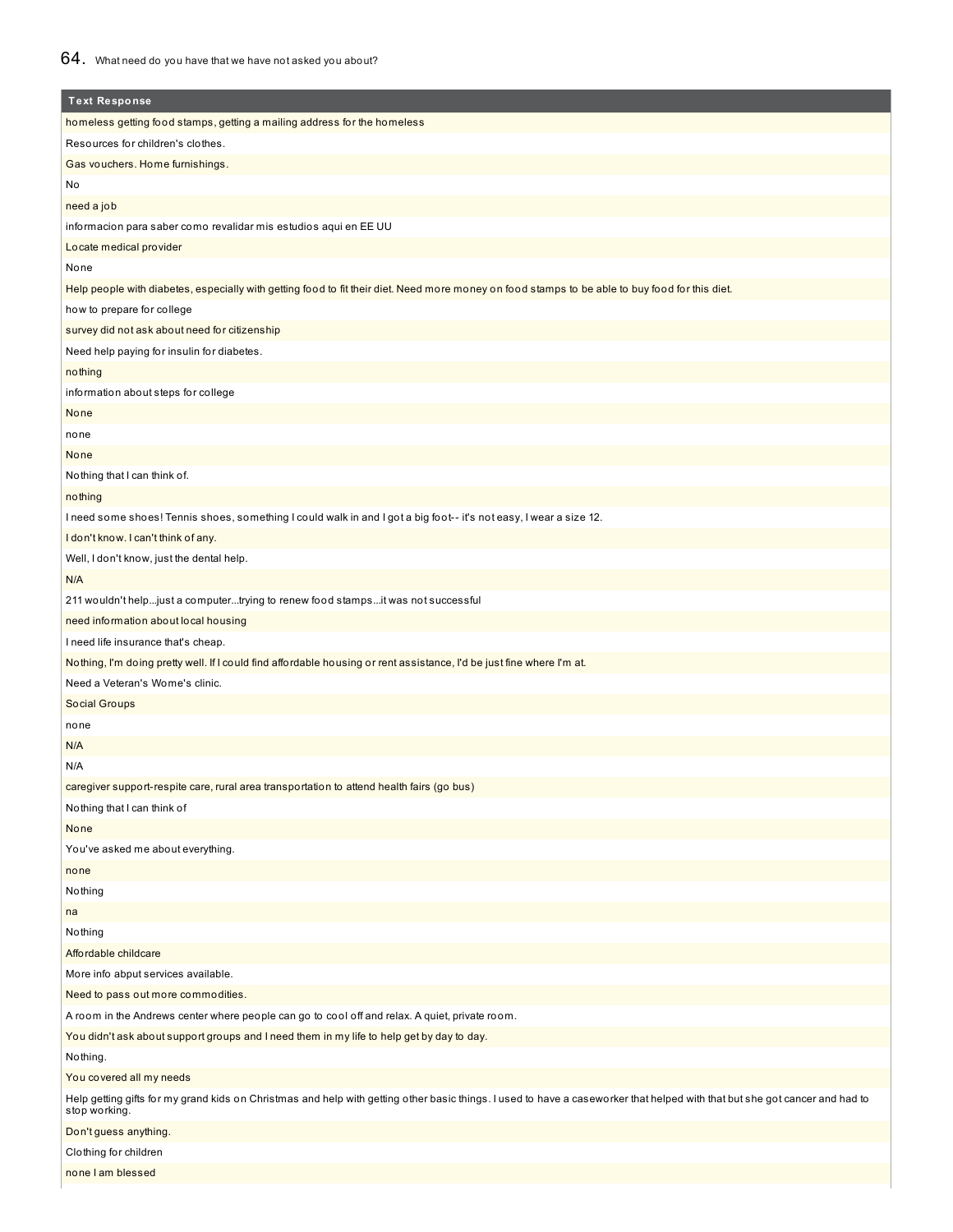| <b>Text Response</b>                                                                                                                                                                         |
|----------------------------------------------------------------------------------------------------------------------------------------------------------------------------------------------|
| homeless getting food stamps, getting a mailing address for the homeless                                                                                                                     |
| Resources for children's clothes.                                                                                                                                                            |
| Gas vouchers. Home furnishings.                                                                                                                                                              |
| No                                                                                                                                                                                           |
| need a job                                                                                                                                                                                   |
| informacion para saber como revalidar mis estudios aqui en EE UU                                                                                                                             |
| Locate medical provider                                                                                                                                                                      |
| None                                                                                                                                                                                         |
| Help people with diabetes, especially with getting food to fit their diet. Need more money on food stamps to be able to buy food for this diet.                                              |
| how to prepare for college                                                                                                                                                                   |
| survey did not ask about need for citizenship                                                                                                                                                |
| Need help paying for insulin for diabetes.                                                                                                                                                   |
| nothing                                                                                                                                                                                      |
| information about steps for college                                                                                                                                                          |
| None                                                                                                                                                                                         |
| none                                                                                                                                                                                         |
| None                                                                                                                                                                                         |
| Nothing that I can think of.                                                                                                                                                                 |
| nothing                                                                                                                                                                                      |
| I need some shoes! Tennis shoes, something I could walk in and I got a big foot-- it's not easy, I wear a size 12.                                                                           |
| I don't know. I can't think of any.                                                                                                                                                          |
| Well, I don't know, just the dental help.                                                                                                                                                    |
| N/A                                                                                                                                                                                          |
| 211 wouldn't helpjust a computertrying to renew food stampsit was not successful                                                                                                             |
| need information about local housing                                                                                                                                                         |
| I need life insurance that's cheap.                                                                                                                                                          |
| Nothing, I'm doing pretty well. If I could find affordable housing or rent assistance, I'd be just fine where I'm at.                                                                        |
| Need a Veteran's Wome's clinic.                                                                                                                                                              |
| Social Groups                                                                                                                                                                                |
| none                                                                                                                                                                                         |
| N/A                                                                                                                                                                                          |
| N/A                                                                                                                                                                                          |
| caregiver support-respite care, rural area transportation to attend health fairs (go bus)                                                                                                    |
| Nothing that I can think of                                                                                                                                                                  |
| None                                                                                                                                                                                         |
| You've asked me about everything.                                                                                                                                                            |
| none                                                                                                                                                                                         |
| Nothing                                                                                                                                                                                      |
| na                                                                                                                                                                                           |
| Nothing                                                                                                                                                                                      |
| Affordable childcare                                                                                                                                                                         |
| More info abput services available.                                                                                                                                                          |
| Need to pass out more commodities.                                                                                                                                                           |
| A room in the Andrews center where people can go to cool off and relax. A quiet, private room.                                                                                               |
| You didn't ask about support groups and I need them in my life to help get by day to day.                                                                                                    |
| Nothing.                                                                                                                                                                                     |
| You covered all my needs                                                                                                                                                                     |
| Help getting gifts for my grand kids on Christmas and help with getting other basic things. I used to have a caseworker that helped with that but she got cancer and had to<br>stop working. |
| Don't guess anything.                                                                                                                                                                        |
| Clothing for children                                                                                                                                                                        |
| none I am blessed                                                                                                                                                                            |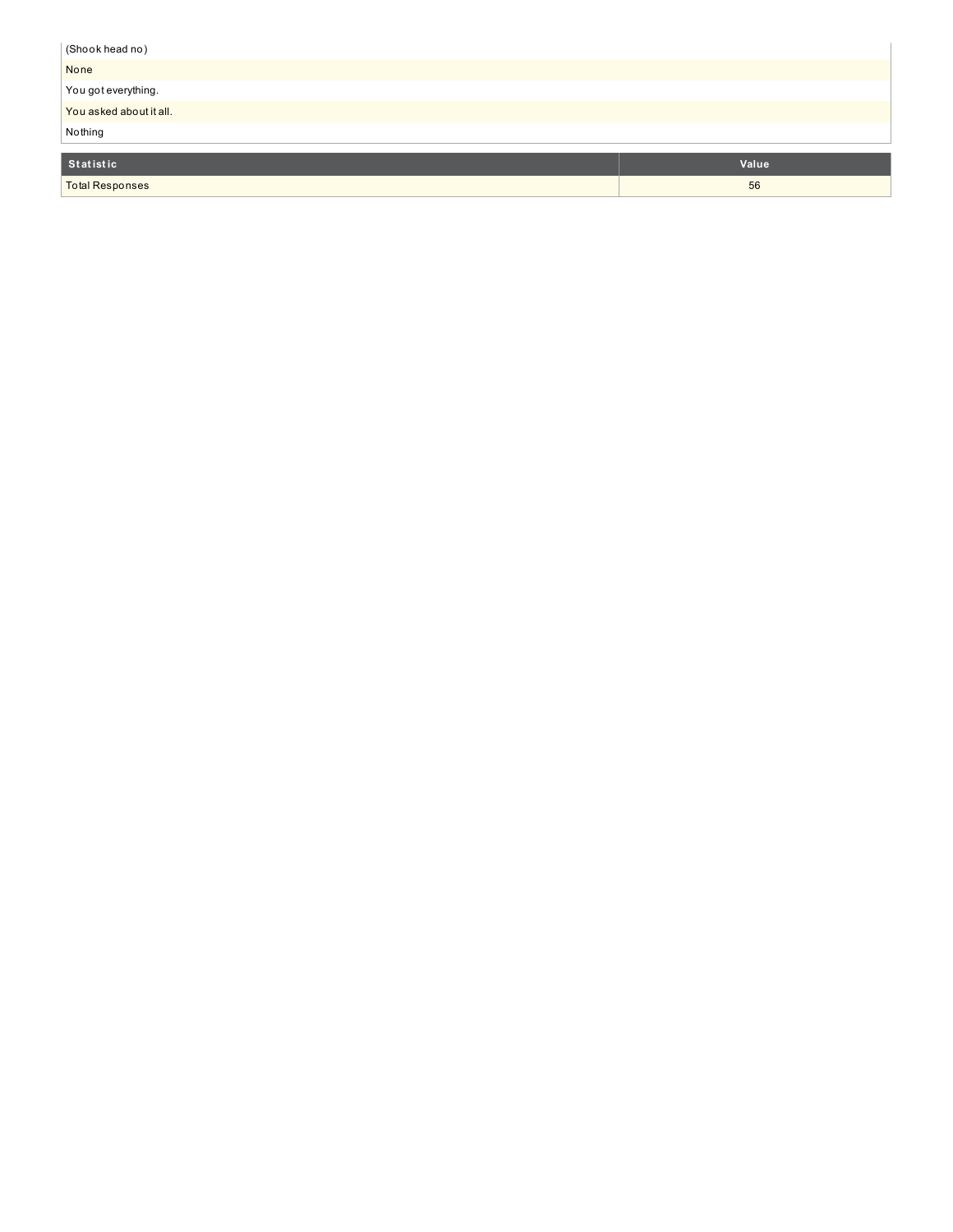| (Shook head no)         |       |
|-------------------------|-------|
| None                    |       |
| You got everything.     |       |
| You asked about it all. |       |
| Nothing                 |       |
| Statistic               | Value |
| <b>Total Responses</b>  | 56    |